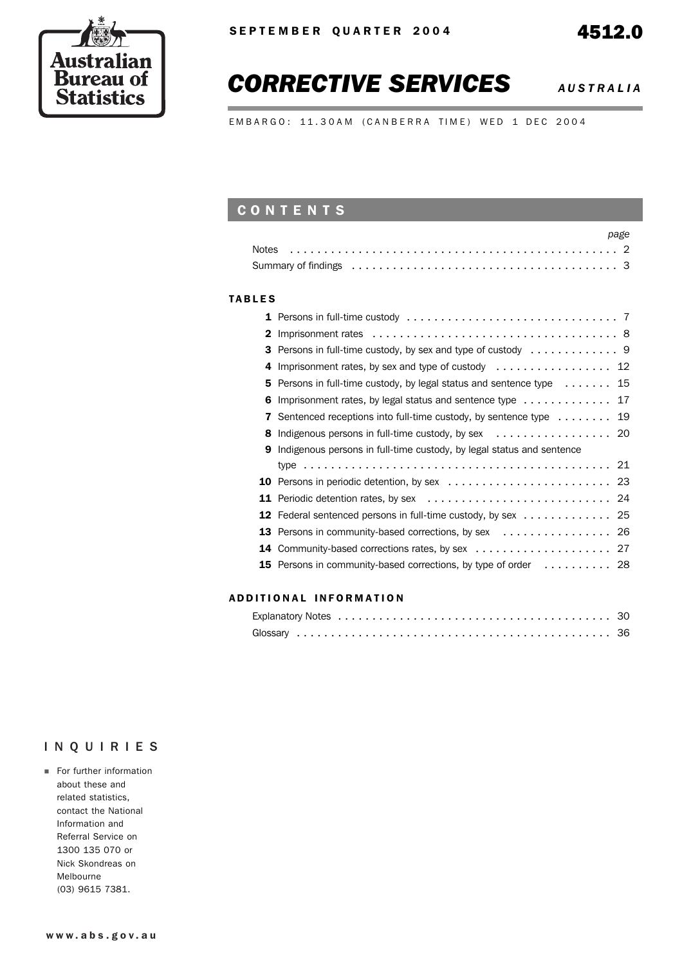

## *CORRECTIVE SERVICES AUSTRALIA*

EMBARGO: 11.30AM (CANBERRA TIME) WED 1 DEC 2004

## **CONTENTS**

| <b>Notes</b>  |                                                                                                                      | page |
|---------------|----------------------------------------------------------------------------------------------------------------------|------|
|               | Summary of findings enterpreteration of the contract of the contract of the summary of findings enterpreteration     |      |
| <b>TABLES</b> |                                                                                                                      |      |
|               | <b>1</b> Persons in full-time custody $\ldots \ldots \ldots \ldots \ldots \ldots \ldots \ldots \ldots \ldots \ldots$ |      |
|               | 2                                                                                                                    |      |
|               |                                                                                                                      |      |
|               | Imprisonment rates, by sex and type of custody  12<br>4                                                              |      |
|               | Persons in full-time custody, by legal status and sentence type 15<br>5                                              |      |
|               | Imprisonment rates, by legal status and sentence type 17<br>6                                                        |      |
|               | Sentenced receptions into full-time custody, by sentence type 19<br>7                                                |      |
|               | Indigenous persons in full-time custody, by sex $\dots\dots\dots\dots\dots\dots$ 20<br>8                             |      |
|               | Indigenous persons in full-time custody, by legal status and sentence<br>9                                           |      |
|               |                                                                                                                      |      |
|               |                                                                                                                      |      |
|               |                                                                                                                      |      |
| 12            | Federal sentenced persons in full-time custody, by sex 25                                                            |      |
|               |                                                                                                                      |      |
| 14            |                                                                                                                      |      |
| 15            | Persons in community-based corrections, by type of order 28                                                          |      |
|               |                                                                                                                      |      |

#### ADDITIONAL INFORMATION

## INQUIRIES

**For further information** about these and related statistics, contact the National Information and Referral Service on 1300 135 070 or Nick Skondreas on Melbourne (03) 9615 7381.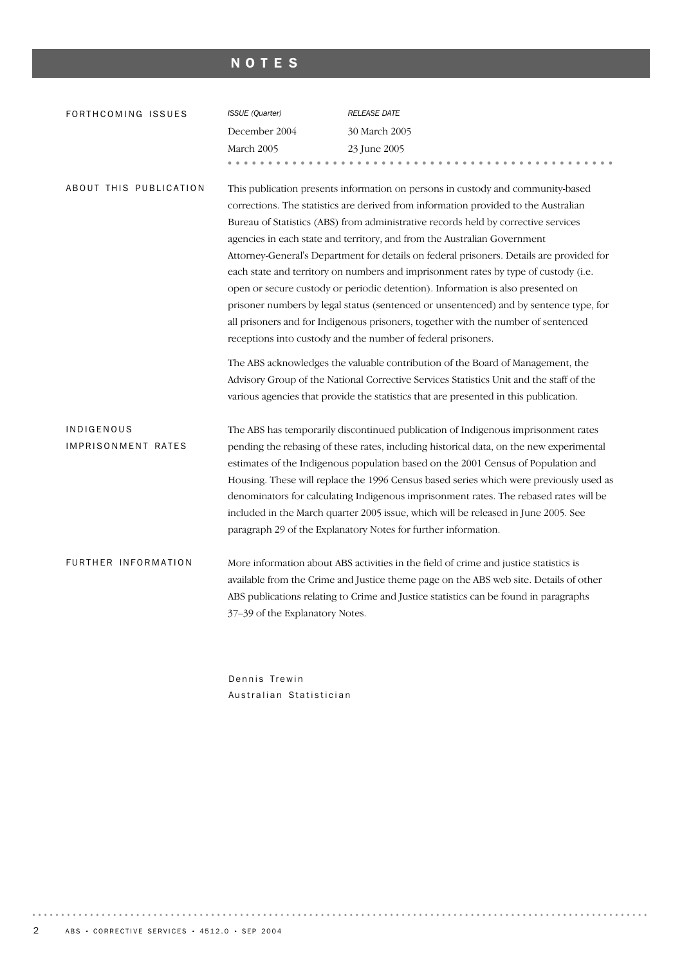## NOTES

| FORTHCOMING ISSUES     | ISSUE (Quarter)                                                                | <b>RELEASE DATE</b>                                                                      |  |  |  |  |  |  |  |
|------------------------|--------------------------------------------------------------------------------|------------------------------------------------------------------------------------------|--|--|--|--|--|--|--|
|                        | December 2004                                                                  | 30 March 2005                                                                            |  |  |  |  |  |  |  |
|                        | March 2005                                                                     | 23 June 2005                                                                             |  |  |  |  |  |  |  |
|                        |                                                                                |                                                                                          |  |  |  |  |  |  |  |
| ABOUT THIS PUBLICATION |                                                                                | This publication presents information on persons in custody and community-based          |  |  |  |  |  |  |  |
|                        |                                                                                | corrections. The statistics are derived from information provided to the Australian      |  |  |  |  |  |  |  |
|                        |                                                                                | Bureau of Statistics (ABS) from administrative records held by corrective services       |  |  |  |  |  |  |  |
|                        |                                                                                | agencies in each state and territory, and from the Australian Government                 |  |  |  |  |  |  |  |
|                        |                                                                                | Attorney-General's Department for details on federal prisoners. Details are provided for |  |  |  |  |  |  |  |
|                        |                                                                                | each state and territory on numbers and imprisonment rates by type of custody (i.e.      |  |  |  |  |  |  |  |
|                        |                                                                                | open or secure custody or periodic detention). Information is also presented on          |  |  |  |  |  |  |  |
|                        |                                                                                | prisoner numbers by legal status (sentenced or unsentenced) and by sentence type, for    |  |  |  |  |  |  |  |
|                        |                                                                                | all prisoners and for Indigenous prisoners, together with the number of sentenced        |  |  |  |  |  |  |  |
|                        |                                                                                | receptions into custody and the number of federal prisoners.                             |  |  |  |  |  |  |  |
|                        | The ABS acknowledges the valuable contribution of the Board of Management, the |                                                                                          |  |  |  |  |  |  |  |
|                        |                                                                                | Advisory Group of the National Corrective Services Statistics Unit and the staff of the  |  |  |  |  |  |  |  |
|                        |                                                                                | various agencies that provide the statistics that are presented in this publication.     |  |  |  |  |  |  |  |
| INDIGENOUS             |                                                                                | The ABS has temporarily discontinued publication of Indigenous imprisonment rates        |  |  |  |  |  |  |  |
| IMPRISONMENT RATES     |                                                                                | pending the rebasing of these rates, including historical data, on the new experimental  |  |  |  |  |  |  |  |
|                        |                                                                                | estimates of the Indigenous population based on the 2001 Census of Population and        |  |  |  |  |  |  |  |
|                        |                                                                                | Housing. These will replace the 1996 Census based series which were previously used as   |  |  |  |  |  |  |  |
|                        |                                                                                | denominators for calculating Indigenous imprisonment rates. The rebased rates will be    |  |  |  |  |  |  |  |
|                        |                                                                                | included in the March quarter 2005 issue, which will be released in June 2005. See       |  |  |  |  |  |  |  |
|                        |                                                                                | paragraph 29 of the Explanatory Notes for further information.                           |  |  |  |  |  |  |  |
| FURTHER INFORMATION    |                                                                                | More information about ABS activities in the field of crime and justice statistics is    |  |  |  |  |  |  |  |
|                        |                                                                                | available from the Crime and Justice theme page on the ABS web site. Details of other    |  |  |  |  |  |  |  |
|                        |                                                                                | ABS publications relating to Crime and Justice statistics can be found in paragraphs     |  |  |  |  |  |  |  |
|                        | 37-39 of the Explanatory Notes.                                                |                                                                                          |  |  |  |  |  |  |  |
|                        |                                                                                |                                                                                          |  |  |  |  |  |  |  |

Dennis Trewin Australian Statistician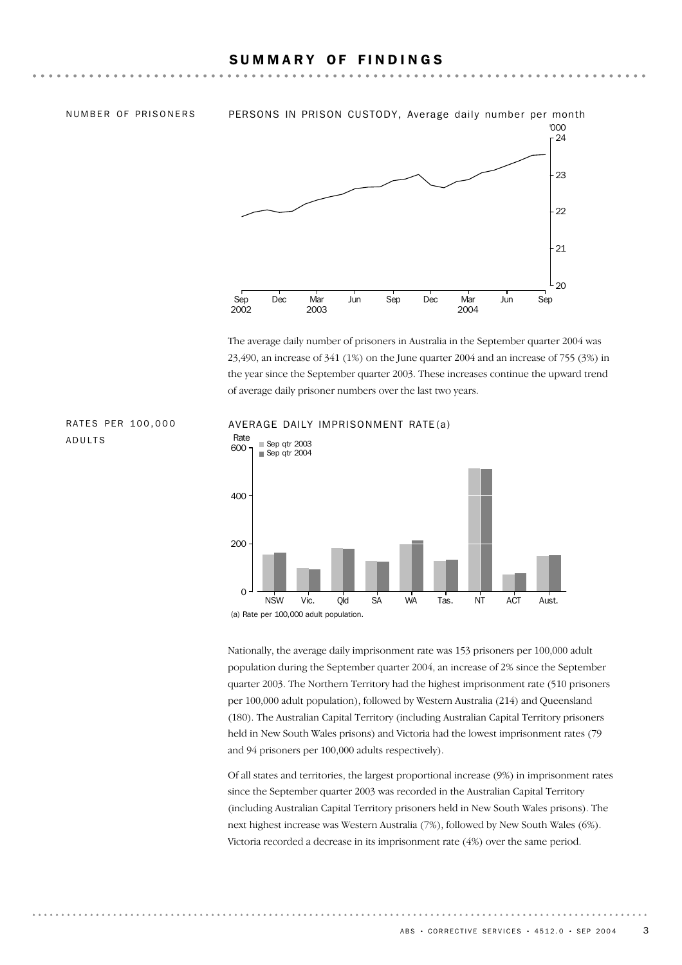#### SUMMARY OF FINDINGS

ADULTS



The average daily number of prisoners in Australia in the September quarter 2004 was 23,490, an increase of 341 (1%) on the June quarter 2004 and an increase of 755 (3%) in the year since the September quarter 2003. These increases continue the upward trend of average daily prisoner numbers over the last two years.



#### RATES PER 100,000 AVERAGE DAILY IMPRISONMENT RATE(a)

Nationally, the average daily imprisonment rate was 153 prisoners per 100,000 adult population during the September quarter 2004, an increase of 2% since the September quarter 2003. The Northern Territory had the highest imprisonment rate (510 prisoners per 100,000 adult population), followed by Western Australia (214) and Queensland (180). The Australian Capital Territory (including Australian Capital Territory prisoners held in New South Wales prisons) and Victoria had the lowest imprisonment rates (79 and 94 prisoners per 100,000 adults respectively).

Of all states and territories, the largest proportional increase (9%) in imprisonment rates since the September quarter 2003 was recorded in the Australian Capital Territory (including Australian Capital Territory prisoners held in New South Wales prisons). The next highest increase was Western Australia (7%), followed by New South Wales (6%). Victoria recorded a decrease in its imprisonment rate (4%) over the same period.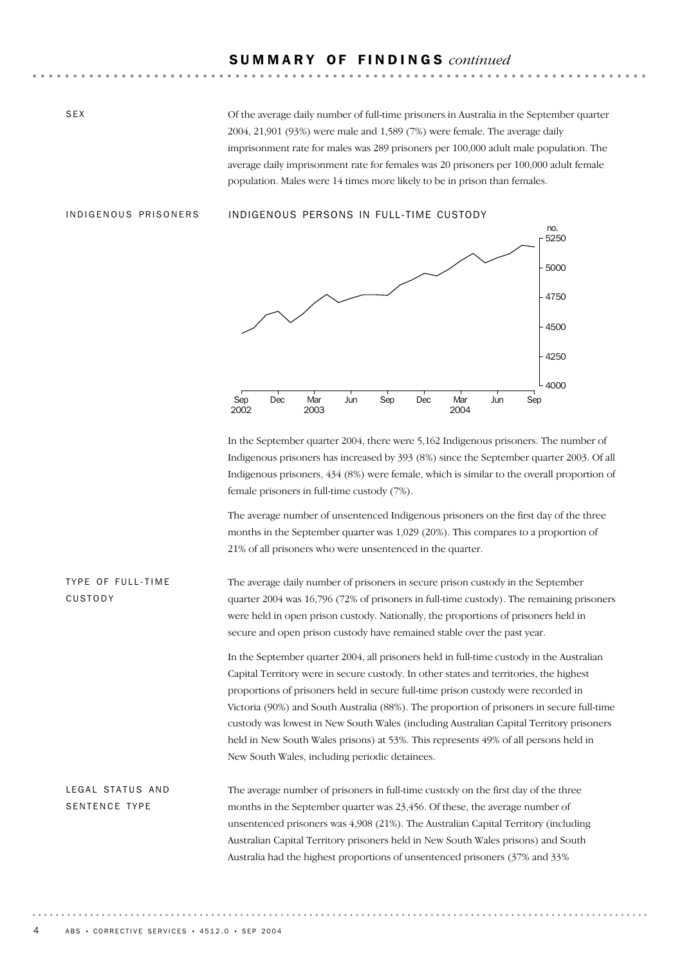## S U M M A R Y O F F I N D I N G S *continued*

Of the average daily number of full-time prisoners in Australia in the September quarter 2004, 21,901 (93%) were male and 1,589 (7%) were female. The average daily imprisonment rate for males was 289 prisoners per 100,000 adult male population. The average daily imprisonment rate for females was 20 prisoners per 100,000 adult female population. Males were 14 times more likely to be in prison than females.

SEX

#### INDIGENOUS PRISONERS INDIGENOUS PERSONS IN FULL-TIME CUSTODY



In the September quarter 2004, there were 5,162 Indigenous prisoners. The number of Indigenous prisoners has increased by 393 (8%) since the September quarter 2003. Of all Indigenous prisoners, 434 (8%) were female, which is similar to the overall proportion of female prisoners in full-time custody (7%).

The average number of unsentenced Indigenous prisoners on the first day of the three months in the September quarter was 1,029 (20%). This compares to a proportion of 21% of all prisoners who were unsentenced in the quarter.

The average daily number of prisoners in secure prison custody in the September quarter 2004 was 16,796 (72% of prisoners in full-time custody). The remaining prisoners were held in open prison custody. Nationally, the proportions of prisoners held in secure and open prison custody have remained stable over the past year. TYPE OF FULL-TIME CUSTODY

> In the September quarter 2004, all prisoners held in full-time custody in the Australian Capital Territory were in secure custody. In other states and territories, the highest proportions of prisoners held in secure full-time prison custody were recorded in Victoria (90%) and South Australia (88%). The proportion of prisoners in secure full-time custody was lowest in New South Wales (including Australian Capital Territory prisoners held in New South Wales prisons) at 53%. This represents 49% of all persons held in New South Wales, including periodic detainees.

The average number of prisoners in full-time custody on the first day of the three months in the September quarter was 23,456. Of these, the average number of unsentenced prisoners was 4,908 (21%). The Australian Capital Territory (including Australian Capital Territory prisoners held in New South Wales prisons) and South Australia had the highest proportions of unsentenced prisoners (37% and 33% LEGAL STATUS AND SENTENCE TYPE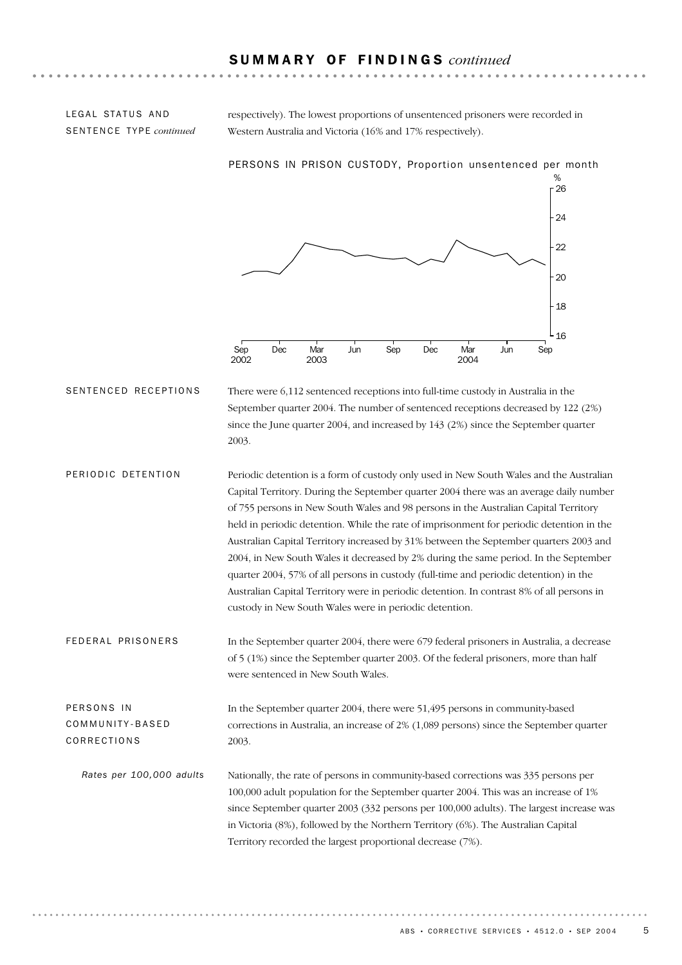#### S U M M A R Y O F F I N D I N G S *continued*

respectively). The lowest proportions of unsentenced prisoners were recorded in Western Australia and Victoria (16% and 17% respectively).

Sep Dec Mar Jun Sep Dec Mar Jun Sep % 16 18  $20$  $22$ 24  $.26$ PERSONS IN PRISON CUSTODY, Proportion unsentenced per month

2004

### LEGAL STATUS AND SENTENCE TYPE *continued*

There were 6,112 sentenced receptions into full-time custody in Australia in the September quarter 2004. The number of sentenced receptions decreased by 122 (2%) since the June quarter 2004, and increased by 143 (2%) since the September quarter 2003. SENTENCED RECEPTIONS

2003

2002

Periodic detention is a form of custody only used in New South Wales and the Australian Capital Territory. During the September quarter 2004 there was an average daily number of 755 persons in New South Wales and 98 persons in the Australian Capital Territory held in periodic detention. While the rate of imprisonment for periodic detention in the Australian Capital Territory increased by 31% between the September quarters 2003 and 2004, in New South Wales it decreased by 2% during the same period. In the September quarter 2004, 57% of all persons in custody (full-time and periodic detention) in the Australian Capital Territory were in periodic detention. In contrast 8% of all persons in custody in New South Wales were in periodic detention. PERIODIC DETENTION

In the September quarter 2004, there were 679 federal prisoners in Australia, a decrease of 5 (1%) since the September quarter 2003. Of the federal prisoners, more than half were sentenced in New South Wales. FEDERAL PRISONERS

In the September quarter 2004, there were 51,495 persons in community-based corrections in Australia, an increase of 2% (1,089 persons) since the September quarter 2003. PERSONS IN COMMUNITY-BASED CORRECTIONS

Nationally, the rate of persons in community-based corrections was 335 persons per 100,000 adult population for the September quarter 2004. This was an increase of 1% since September quarter 2003 (332 persons per 100,000 adults). The largest increase was in Victoria (8%), followed by the Northern Territory (6%). The Australian Capital Territory recorded the largest proportional decrease (7%). *Rates per 100,000 adults*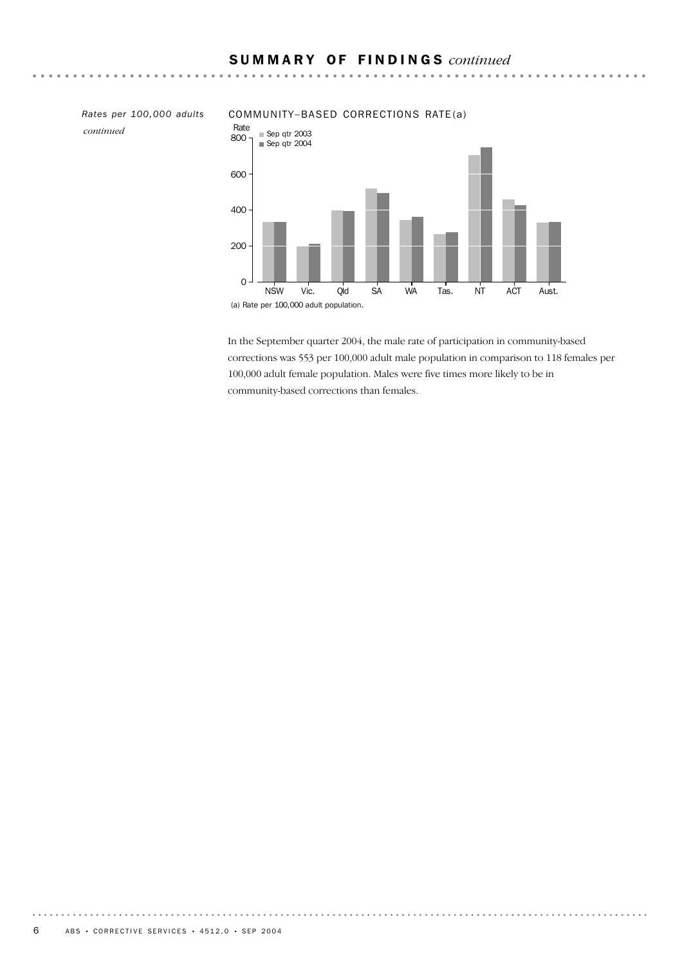*continued*

#### *Rates per 100,000 adults* COMMUNITY–BASED CORRECTIONS RATE (a)



 $\mathbf{A}$  and  $\mathbf{A}$ 

. . . . . . .

In the September quarter 2004, the male rate of participation in community-based corrections was 553 per 100,000 adult male population in comparison to 118 females per 100,000 adult female population. Males were five times more likely to be in community-based corrections than females.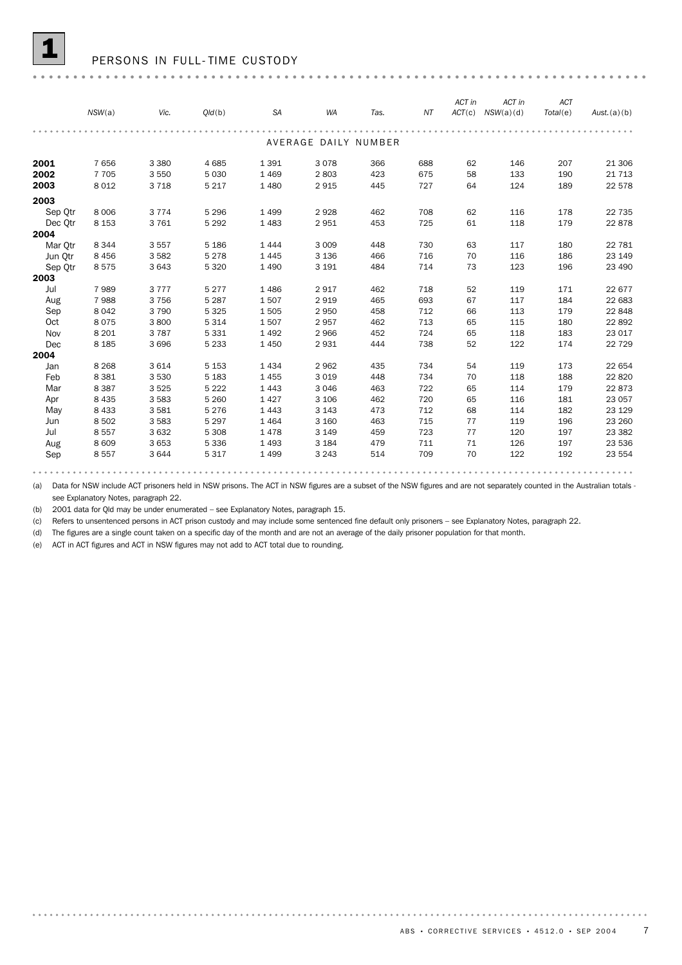#### PERSONS IN FULL-TIME CUSTODY

|                                        | NSW(a)                                                         | Vic.                                            | Q/d(b)                                                         | <b>SA</b>                                                   | <b>WA</b>                                                   | Tas.                                   | ΝT                                     | ACT in                           | ACT in<br>$ACT(c)$ $NSW(a)(d)$         | <b>ACT</b><br>Total(e)                 | Aust.(a)(b)                                               |
|----------------------------------------|----------------------------------------------------------------|-------------------------------------------------|----------------------------------------------------------------|-------------------------------------------------------------|-------------------------------------------------------------|----------------------------------------|----------------------------------------|----------------------------------|----------------------------------------|----------------------------------------|-----------------------------------------------------------|
|                                        |                                                                |                                                 |                                                                |                                                             | AVERAGE DAILY NUMBER                                        |                                        |                                        |                                  |                                        |                                        |                                                           |
| 2001<br>2002<br>2003                   | 7656<br>7 7 0 5<br>8 0 1 2                                     | 3 3 8 0<br>3 5 5 0<br>3718                      | 4685<br>5 0 3 0<br>5 2 1 7                                     | 1391<br>1469<br>1 4 8 0                                     | 3078<br>2803<br>2915                                        | 366<br>423<br>445                      | 688<br>675<br>727                      | 62<br>58<br>64                   | 146<br>133<br>124                      | 207<br>190<br>189                      | 21 30 6<br>21 7 1 3<br>22 578                             |
| 2003<br>Sep Otr<br>Dec Otr<br>2004     | 8 0 0 6<br>8 1 5 3                                             | 3 7 7 4<br>3761                                 | 5 2 9 6<br>5 2 9 2                                             | 1 4 9 9<br>1 4 8 3                                          | 2928<br>2951                                                | 462<br>453                             | 708<br>725                             | 62<br>61                         | 116<br>118                             | 178<br>179                             | 22 7 35<br>22878                                          |
| Mar Otr<br>Jun Otr<br>Sep Qtr<br>2003  | 8 3 4 4<br>8 4 5 6<br>8575                                     | 3557<br>3582<br>3 6 4 3                         | 5 1 8 6<br>5 2 7 8<br>5 3 2 0                                  | 1 4 4 4<br>1 4 4 5<br>1 4 9 0                               | 3 0 0 9<br>3 1 3 6<br>3 1 9 1                               | 448<br>466<br>484                      | 730<br>716<br>714                      | 63<br>70<br>73                   | 117<br>116<br>123                      | 180<br>186<br>196                      | 22 781<br>23 149<br>23 490                                |
| Jul<br>Aug<br>Sep<br>Oct<br>Nov        | 7989<br>7988<br>8 0 4 2<br>8075<br>8 2 0 1                     | 3777<br>3756<br>3790<br>3800<br>3787            | 5 2 7 7<br>5 2 8 7<br>5 3 2 5<br>5 3 1 4<br>5 3 3 1            | 1 4 8 6<br>1507<br>1505<br>1507<br>1 4 9 2                  | 2917<br>2919<br>2950<br>2957<br>2966                        | 462<br>465<br>458<br>462<br>452        | 718<br>693<br>712<br>713<br>724        | 52<br>67<br>66<br>65<br>65       | 119<br>117<br>113<br>115<br>118        | 171<br>184<br>179<br>180<br>183        | 22 677<br>22 683<br>22 848<br>22892<br>23 017             |
| Dec<br>2004                            | 8 1 8 5                                                        | 3 6 9 6                                         | 5 2 3 3                                                        | 1 4 5 0                                                     | 2931                                                        | 444                                    | 738                                    | 52                               | 122                                    | 174                                    | 22 7 29                                                   |
| Jan<br>Feb<br>Mar<br>Apr<br>May<br>Jun | 8 2 6 8<br>8 3 8 1<br>8 3 8 7<br>8 4 3 5<br>8 4 3 3<br>8 5 0 2 | 3614<br>3 5 3 0<br>3525<br>3583<br>3581<br>3583 | 5 1 5 3<br>5 1 8 3<br>5 2 2 2<br>5 2 6 0<br>5 2 7 6<br>5 2 9 7 | 1 4 3 4<br>1 4 5 5<br>1 4 4 3<br>1 4 2 7<br>1443<br>1 4 6 4 | 2962<br>3 0 1 9<br>3 0 4 6<br>3 1 0 6<br>3 1 4 3<br>3 1 6 0 | 435<br>448<br>463<br>462<br>473<br>463 | 734<br>734<br>722<br>720<br>712<br>715 | 54<br>70<br>65<br>65<br>68<br>77 | 119<br>118<br>114<br>116<br>114<br>119 | 173<br>188<br>179<br>181<br>182<br>196 | 22 654<br>22 8 20<br>22873<br>23 057<br>23 1 29<br>23 260 |
| Jul<br>Aug<br>Sep                      | 8 5 5 7<br>8 6 0 9<br>8 5 5 7                                  | 3632<br>3 6 5 3<br>3644                         | 5 3 0 8<br>5 3 3 6<br>5 3 1 7                                  | 1478<br>1 4 9 3<br>1 4 9 9                                  | 3 1 4 9<br>3 1 8 4<br>3 2 4 3                               | 459<br>479<br>514                      | 723<br>711<br>709                      | 77<br>71<br>70                   | 120<br>126<br>122                      | 197<br>197<br>192                      | 23 3 8 2<br>23 536<br>23 554                              |

(a) Data for NSW include ACT prisoners held in NSW prisons. The ACT in NSW figures are a subset of the NSW figures and are not separately counted in the Australian totals see Explanatory Notes, paragraph 22.

(b) 2001 data for Qld may be under enumerated – see Explanatory Notes, paragraph 15.

(c) Refers to unsentenced persons in ACT prison custody and may include some sentenced fine default only prisoners – see Explanatory Notes, paragraph 22.

(d) The figures are a single count taken on a specific day of the month and are not an average of the daily prisoner population for that month.

(e) ACT in ACT figures and ACT in NSW figures may not add to ACT total due to rounding.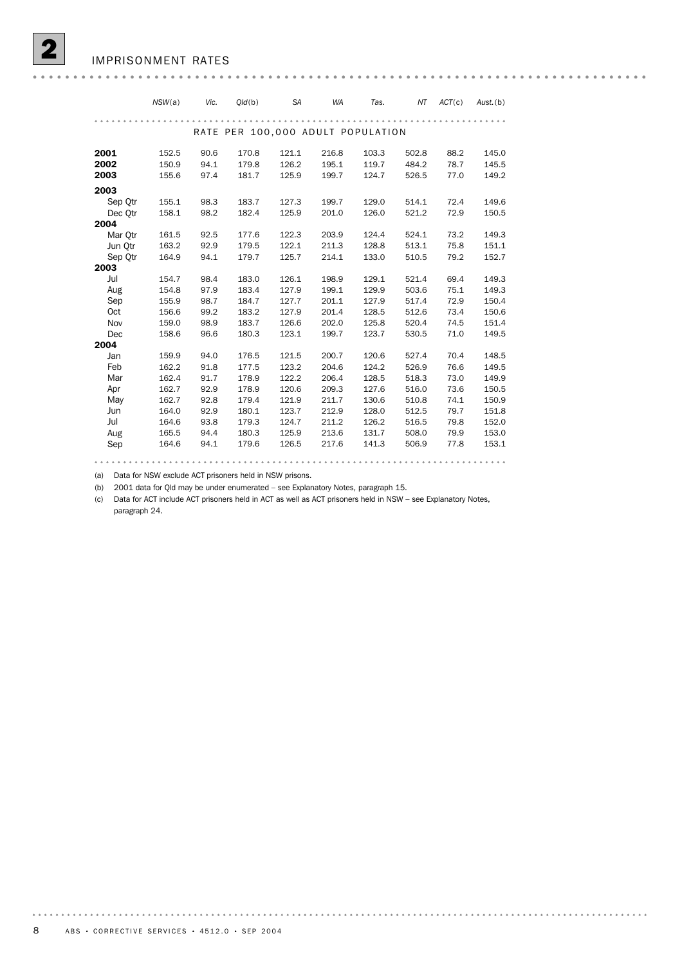|         | NSW(a) | Vic. | Old(b)                            | <b>SA</b> | <b>WA</b> | Tas.  | ΝT    | ACT(c) | $Aust.$ (b) |
|---------|--------|------|-----------------------------------|-----------|-----------|-------|-------|--------|-------------|
|         |        |      |                                   |           |           |       |       |        |             |
|         |        |      | RATE PER 100,000 ADULT POPULATION |           |           |       |       |        |             |
| 2001    | 152.5  | 90.6 | 170.8                             | 121.1     | 216.8     | 103.3 | 502.8 | 88.2   | 145.0       |
| 2002    | 150.9  | 94.1 | 179.8                             | 126.2     | 195.1     | 119.7 | 484.2 | 78.7   | 145.5       |
| 2003    | 155.6  | 97.4 | 181.7                             | 125.9     | 199.7     | 124.7 | 526.5 | 77.0   | 149.2       |
| 2003    |        |      |                                   |           |           |       |       |        |             |
| Sep Otr | 155.1  | 98.3 | 183.7                             | 127.3     | 199.7     | 129.0 | 514.1 | 72.4   | 149.6       |
| Dec Qtr | 158.1  | 98.2 | 182.4                             | 125.9     | 201.0     | 126.0 | 521.2 | 72.9   | 150.5       |
| 2004    |        |      |                                   |           |           |       |       |        |             |
| Mar Otr | 161.5  | 92.5 | 177.6                             | 122.3     | 203.9     | 124.4 | 524.1 | 73.2   | 149.3       |
| Jun Otr | 163.2  | 92.9 | 179.5                             | 122.1     | 211.3     | 128.8 | 513.1 | 75.8   | 151.1       |
| Sep Otr | 164.9  | 94.1 | 179.7                             | 125.7     | 214.1     | 133.0 | 510.5 | 79.2   | 152.7       |
| 2003    |        |      |                                   |           |           |       |       |        |             |
| Jul     | 154.7  | 98.4 | 183.0                             | 126.1     | 198.9     | 129.1 | 521.4 | 69.4   | 149.3       |
| Aug     | 154.8  | 97.9 | 183.4                             | 127.9     | 199.1     | 129.9 | 503.6 | 75.1   | 149.3       |
| Sep     | 155.9  | 98.7 | 184.7                             | 127.7     | 201.1     | 127.9 | 517.4 | 72.9   | 150.4       |
| Oct     | 156.6  | 99.2 | 183.2                             | 127.9     | 201.4     | 128.5 | 512.6 | 73.4   | 150.6       |
| Nov     | 159.0  | 98.9 | 183.7                             | 126.6     | 202.0     | 125.8 | 520.4 | 74.5   | 151.4       |
| Dec     | 158.6  | 96.6 | 180.3                             | 123.1     | 199.7     | 123.7 | 530.5 | 71.0   | 149.5       |
| 2004    |        |      |                                   |           |           |       |       |        |             |
| Jan     | 159.9  | 94.0 | 176.5                             | 121.5     | 200.7     | 120.6 | 527.4 | 70.4   | 148.5       |
| Feb     | 162.2  | 91.8 | 177.5                             | 123.2     | 204.6     | 124.2 | 526.9 | 76.6   | 149.5       |
| Mar     | 162.4  | 91.7 | 178.9                             | 122.2     | 206.4     | 128.5 | 518.3 | 73.0   | 149.9       |
| Apr     | 162.7  | 92.9 | 178.9                             | 120.6     | 209.3     | 127.6 | 516.0 | 73.6   | 150.5       |
| May     | 162.7  | 92.8 | 179.4                             | 121.9     | 211.7     | 130.6 | 510.8 | 74.1   | 150.9       |
| Jun     | 164.0  | 92.9 | 180.1                             | 123.7     | 212.9     | 128.0 | 512.5 | 79.7   | 151.8       |
| Jul     | 164.6  | 93.8 | 179.3                             | 124.7     | 211.2     | 126.2 | 516.5 | 79.8   | 152.0       |
| Aug     | 165.5  | 94.4 | 180.3                             | 125.9     | 213.6     | 131.7 | 508.0 | 79.9   | 153.0       |
| Sep     | 164.6  | 94.1 | 179.6                             | 126.5     | 217.6     | 141.3 | 506.9 | 77.8   | 153.1       |

(a) Data for NSW exclude ACT prisoners held in NSW prisons.

(b) 2001 data for Qld may be under enumerated – see Explanatory Notes, paragraph 15.

(c) Data for ACT include ACT prisoners held in ACT as well as ACT prisoners held in NSW – see Explanatory Notes, paragraph 24.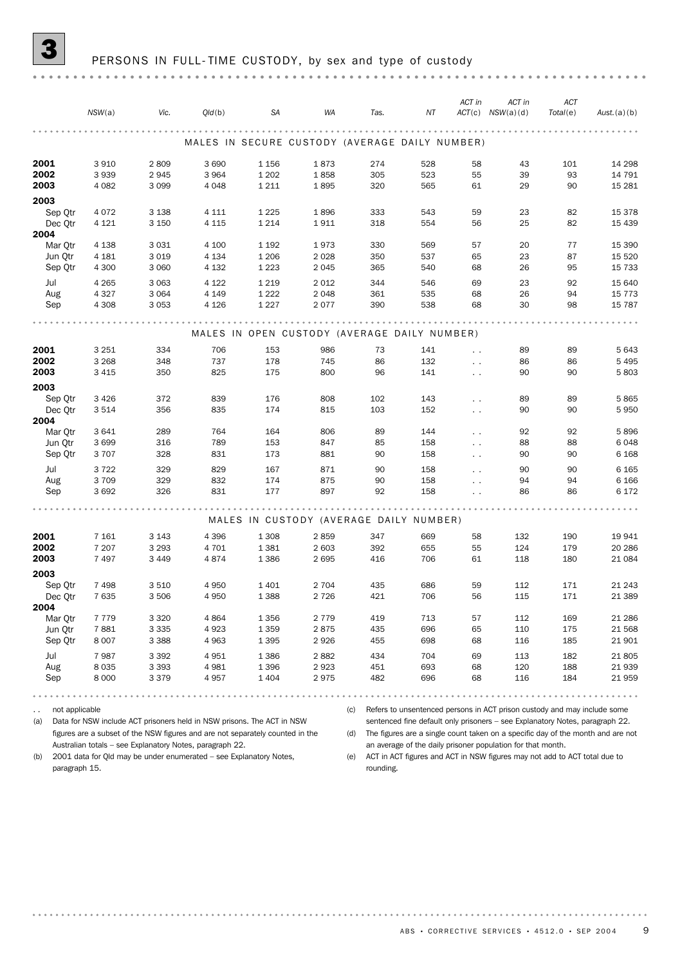|                    | NSW(a)             | Vic.               | Q/d(b)  | <b>SA</b>          | WA                                             | Tas. | NT  | ACT in               | ACT in<br>$ACT(c)$ $NSW(a)(d)$ | ACT<br>Total(e) | Aust.(a)(b)        |
|--------------------|--------------------|--------------------|---------|--------------------|------------------------------------------------|------|-----|----------------------|--------------------------------|-----------------|--------------------|
|                    |                    |                    |         |                    |                                                |      |     |                      |                                |                 |                    |
|                    |                    |                    |         |                    | MALES IN SECURE CUSTODY (AVERAGE DAILY NUMBER) |      |     |                      |                                |                 |                    |
| 2001               | 3 9 1 0            | 2809               | 3 6 9 0 | 1 1 5 6            | 1873                                           | 274  | 528 | 58                   | 43                             | 101             | 14 298             |
| 2002               | 3939               | 2945               | 3 9 6 4 | 1 2 0 2            | 1858                                           | 305  | 523 | 55                   | 39                             | 93              | 14 791             |
| 2003               | 4 0 8 2            | 3 0 9 9            | 4 0 4 8 | 1 2 1 1            | 1895                                           | 320  | 565 | 61                   | 29                             | 90              | 15 2 8 1           |
| 2003               |                    |                    |         |                    |                                                |      |     |                      |                                |                 |                    |
| Sep Qtr            | 4 0 7 2            | 3 1 3 8            | 4 1 1 1 | 1 2 2 5            | 1896                                           | 333  | 543 | 59                   | 23                             | 82              | 15 3 78            |
| Dec Qtr            | 4 1 2 1            | 3 1 5 0            | 4 1 1 5 | 1 2 1 4            | 1911                                           | 318  | 554 | 56                   | 25                             | 82              | 15 4 39            |
| 2004               |                    |                    |         |                    |                                                |      |     |                      |                                |                 |                    |
| Mar Qtr            | 4 1 3 8            | 3 0 3 1            | 4 100   | 1 1 9 2            | 1973                                           | 330  | 569 | 57                   | 20                             | 77              | 15 390             |
| Jun Qtr<br>Sep Qtr | 4 1 8 1<br>4 3 0 0 | 3 0 1 9<br>3 0 6 0 | 4 1 3 4 | 1 2 0 6<br>1 2 2 3 | 2 0 2 8<br>2 0 4 5                             | 350  | 537 | 65<br>68             | 23<br>26                       | 87<br>95        | 15 5 20<br>15 7 33 |
|                    |                    |                    | 4 1 3 2 |                    |                                                | 365  | 540 |                      |                                |                 |                    |
| Jul                | 4 2 6 5            | 3 0 6 3            | 4 1 2 2 | 1 2 1 9            | 2 0 1 2                                        | 344  | 546 | 69                   | 23                             | 92              | 15 640             |
| Aug                | 4 3 2 7            | 3 0 6 4            | 4 1 4 9 | 1 2 2 2            | 2 0 4 8                                        | 361  | 535 | 68                   | 26                             | 94              | 15 7 7 3           |
| Sep                | 4 3 0 8            | 3 0 5 3            | 4 1 2 6 | 1 2 2 7            | 2077                                           | 390  | 538 | 68                   | 30                             | 98              | 15 7 8 7           |
|                    |                    |                    |         |                    |                                                |      |     |                      |                                |                 |                    |
|                    |                    |                    |         |                    | MALES IN OPEN CUSTODY (AVERAGE DAILY NUMBER)   |      |     |                      |                                |                 |                    |
| 2001               | 3 2 5 1            | 334                | 706     | 153                | 986                                            | 73   | 141 | $\ddot{\phantom{a}}$ | 89                             | 89              | 5 6 4 3            |
| 2002               | 3 2 6 8            | 348                | 737     | 178                | 745                                            | 86   | 132 | $\sim$ $\sim$        | 86                             | 86              | 5 4 9 5            |
| 2003               | 3 4 1 5            | 350                | 825     | 175                | 800                                            | 96   | 141 | $\ddotsc$            | 90                             | 90              | 5803               |
| 2003               |                    |                    |         |                    |                                                |      |     |                      |                                |                 |                    |
| Sep Qtr            | 3 4 2 6            | 372                | 839     | 176                | 808                                            | 102  | 143 | $\ddot{\phantom{0}}$ | 89                             | 89              | 5865               |
| Dec Qtr            | 3514               | 356                | 835     | 174                | 815                                            | 103  | 152 | $\sim$ $\sim$        | 90                             | 90              | 5950               |
| 2004               |                    |                    |         |                    |                                                |      |     |                      |                                |                 |                    |
| Mar Otr            | 3 6 4 1            | 289                | 764     | 164                | 806                                            | 89   | 144 | $\sim$ $\sim$        | 92                             | 92              | 5896               |
| Jun Qtr            | 3699               | 316                | 789     | 153                | 847                                            | 85   | 158 | $\ddotsc$            | 88                             | 88              | 6048               |
| Sep Qtr            | 3 7 0 7            | 328                | 831     | 173                | 881                                            | 90   | 158 | $\ddotsc$            | 90                             | 90              | 6 1 6 8            |
| Jul                | 3722               | 329                | 829     | 167                | 871                                            | 90   | 158 | $\ddotsc$            | 90                             | 90              | 6 1 6 5            |
| Aug                | 3 7 0 9            | 329                | 832     | 174                | 875                                            | 90   | 158 | $\ddot{\phantom{0}}$ | 94                             | 94              | 6 1 6 6            |
| Sep                | 3692               | 326                | 831     | 177                | 897                                            | 92   | 158 | $\ddot{\phantom{0}}$ | 86                             | 86              | 6 1 7 2            |
|                    |                    |                    |         |                    |                                                |      |     |                      |                                |                 |                    |
|                    |                    |                    |         |                    | MALES IN CUSTODY (AVERAGE DAILY NUMBER)        |      |     |                      |                                |                 |                    |
| 2001               | 7 1 6 1            | 3 1 4 3            | 4 3 9 6 | 1 3 0 8            | 2859                                           | 347  | 669 | 58                   | 132                            | 190             | 19 941             |
| 2002               | 7 207              | 3 2 9 3            | 4 7 0 1 | 1 3 8 1            | 2 603                                          | 392  | 655 | 55                   | 124                            | 179             | 20 28 6            |
| 2003               | 7497               | 3 4 4 9            | 4874    | 1 3 8 6            | 2695                                           | 416  | 706 | 61                   | 118                            | 180             | 21 084             |
| 2003               |                    |                    |         |                    |                                                |      |     |                      |                                |                 |                    |
| Sep Qtr            | 7 4 9 8            | 3 5 1 0            | 4950    | 1401               | 2 7 0 4                                        | 435  | 686 | 59                   | 112                            | 171             | 21 243             |
| Dec Qtr            | 7635               | 3506               | 4 9 5 0 | 1388               | 2 7 2 6                                        | 421  | 706 | 56                   | 115                            | 171             | 21 389             |
| 2004               |                    |                    |         |                    |                                                |      |     |                      |                                |                 |                    |
| Mar Otr            | 7 7 7 9            | 3 3 2 0            | 4864    | 1 3 5 6            | 2 7 7 9                                        | 419  | 713 | 57                   | 112                            | 169             | 21 28 6            |
| Jun Qtr            | 7881               | 3 3 3 5            | 4923    | 1 3 5 9            | 2875                                           | 435  | 696 | 65                   | 110                            | 175             | 21 568             |
| Sep Qtr            | 8 0 0 7            | 3 3 8 8            | 4 9 6 3 | 1 3 9 5            | 2926                                           | 455  | 698 | 68                   | 116                            | 185             | 21 901             |
| Jul                | 7987               | 3 3 9 2            | 4951    | 1 3 8 6            | 2882                                           | 434  | 704 | 69                   | 113                            | 182             | 21 805             |
| Aug                | 8 0 3 5            | 3 3 9 3            | 4981    | 1 3 9 6            | 2923                                           | 451  | 693 | 68                   | 120                            | 188             | 21 939             |
| Sep                | 8 0 0 0            | 3 3 7 9            | 4957    | 1 4 0 4            | 2975                                           | 482  | 696 | 68                   | 116                            | 184             | 21 959             |
|                    |                    |                    |         |                    |                                                |      |     |                      |                                |                 |                    |

.. not applicable

(c) Refers to unsentenced persons in ACT prison custody and may include some sentenced fine default only prisoners – see Explanatory Notes, paragraph 22.

(a) Data for NSW include ACT prisoners held in NSW prisons. The ACT in NSW figures are a subset of the NSW figures and are not separately counted in the Australian totals – see Explanatory Notes, paragraph 22.

(b) 2001 data for Qld may be under enumerated – see Explanatory Notes, paragraph 15.

(d) The figures are a single count taken on a specific day of the month and are not an average of the daily prisoner population for that month. (e) ACT in ACT figures and ACT in NSW figures may not add to ACT total due to rounding.

ABS • CORRECTIVE SERVICES • 4512.0 • SEP 2004 9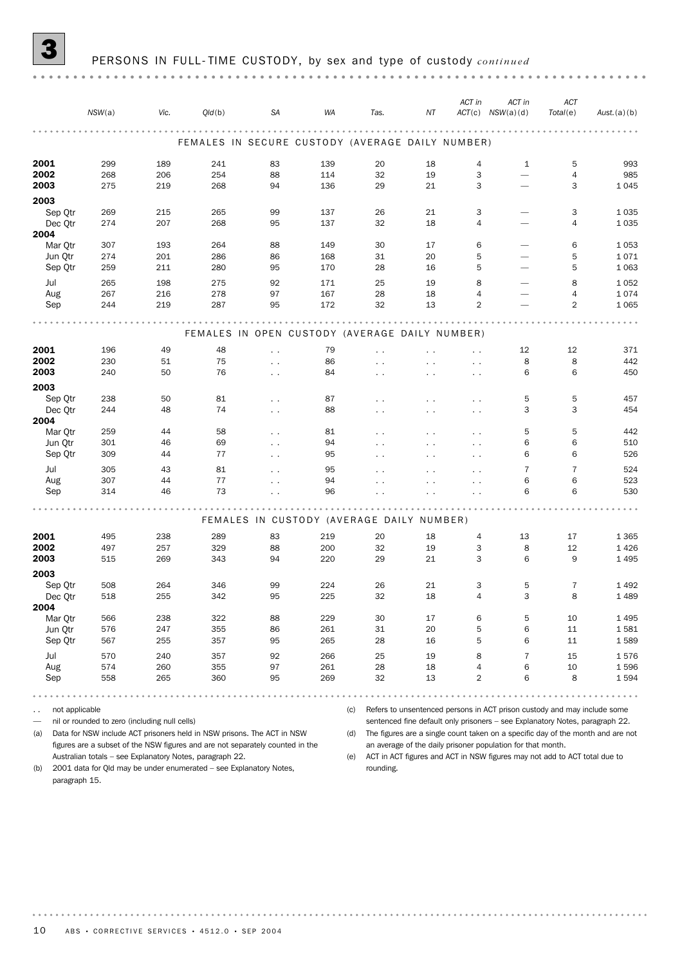#### 3 PERSONS IN FULL- TIME CUSTODY, by sex and type of custody *continued*

|         | NSW(a) | Vic.       | Q/d(b)                                           | SA                                        | WA         | Tas.                 | NT                   | ACT in               | ACT in<br>$ACT(c)$ $NSW(a)(d)$ | ACT<br>Total(e) | Aust. (a)(b)    |
|---------|--------|------------|--------------------------------------------------|-------------------------------------------|------------|----------------------|----------------------|----------------------|--------------------------------|-----------------|-----------------|
|         |        |            |                                                  |                                           |            |                      |                      |                      |                                |                 |                 |
|         |        |            | FEMALES IN SECURE CUSTODY (AVERAGE DAILY NUMBER) |                                           |            |                      |                      |                      |                                |                 |                 |
| 2001    | 299    | 189        | 241                                              | 83                                        | 139        | 20                   | 18                   | 4                    | 1                              | 5               | 993             |
| 2002    | 268    | 206        | 254                                              | 88                                        | 114        | 32                   | 19                   | 3                    | $\overbrace{\qquad \qquad }$   | $\overline{4}$  | 985             |
| 2003    | 275    | 219        | 268                                              | 94                                        | 136        | 29                   | 21                   | 3                    |                                | 3               | 1045            |
| 2003    |        |            |                                                  |                                           |            |                      |                      |                      |                                |                 |                 |
| Sep Qtr | 269    | 215        | 265                                              | 99                                        | 137        | 26                   | 21                   | 3                    |                                | 3               | 1035            |
| Dec Qtr | 274    | 207        | 268                                              | 95                                        | 137        | 32                   | 18                   | $\overline{4}$       |                                | 4               | 1035            |
| 2004    |        |            |                                                  |                                           |            |                      |                      |                      |                                |                 |                 |
| Mar Qtr | 307    | 193        | 264                                              | 88                                        | 149        | 30                   | 17                   | 6                    |                                | 6               | 1053            |
| Jun Qtr | 274    | 201<br>211 | 286<br>280                                       | 86<br>95                                  | 168<br>170 | 31<br>28             | 20<br>16             | 5<br>5               |                                | 5<br>5          | 1071<br>1 0 6 3 |
| Sep Qtr | 259    |            |                                                  |                                           |            |                      |                      |                      |                                |                 |                 |
| Jul     | 265    | 198        | 275                                              | 92                                        | 171        | 25                   | 19                   | 8                    | $\overline{\phantom{0}}$       | 8               | 1052            |
| Aug     | 267    | 216        | 278                                              | 97                                        | 167        | 28                   | 18                   | $\overline{4}$       |                                | 4               | 1074            |
| Sep     | 244    | 219        | 287                                              | 95                                        | 172        | 32                   | 13                   | $\overline{2}$       |                                | 2               | 1 0 6 5         |
|         |        |            |                                                  |                                           |            |                      |                      |                      |                                |                 |                 |
|         |        |            | FEMALES IN OPEN CUSTODY (AVERAGE DAILY NUMBER)   |                                           |            |                      |                      |                      |                                |                 |                 |
| 2001    | 196    | 49         | 48                                               | $\ddot{\phantom{0}}$                      | 79         | $\ddot{\phantom{0}}$ | $\sim$ $\sim$        | $\ddot{\phantom{0}}$ | 12                             | 12              | 371             |
| 2002    | 230    | 51         | 75                                               | $\sim$ $\sim$                             | 86         | $\sim$ $\sim$        | $\sim$ $\sim$        | $\sim$ $\sim$        | 8                              | 8               | 442             |
| 2003    | 240    | 50         | 76                                               | $\sim$ $\sim$                             | 84         | $\sim$ $\sim$        | $\sim$               | $\sim$               | 6                              | 6               | 450             |
| 2003    |        |            |                                                  |                                           |            |                      |                      |                      |                                |                 |                 |
| Sep Qtr | 238    | 50         | 81                                               | $\ddot{\phantom{0}}$                      | 87         | $\sim$ $\sim$        | $\sim$ $\sim$        | $\sim$ $\sim$        | 5                              | 5               | 457             |
| Dec Qtr | 244    | 48         | 74                                               | $\sim$ $\sim$                             | 88         | $\sim$ $\sim$        | $\sim$ $\sim$        | $\sim$ $\sim$        | 3                              | 3               | 454             |
| 2004    |        |            |                                                  |                                           |            |                      |                      |                      |                                |                 |                 |
| Mar Qtr | 259    | 44         | 58                                               | $\ddot{\phantom{0}}$                      | 81         | $\sim$ $\sim$        | $\ddot{\phantom{0}}$ | $\ddot{\phantom{0}}$ | 5                              | 5               | 442             |
| Jun Qtr | 301    | 46         | 69                                               | $\sim$ $\sim$                             | 94         | $\ddot{\phantom{0}}$ | $\sim$ $\sim$        | $\ddot{\phantom{0}}$ | 6                              | 6               | 510             |
| Sep Qtr | 309    | 44         | 77                                               | $\sim$                                    | 95         | $\sim$ $\sim$        | $\sim$ $\sim$        | $\ddot{\phantom{1}}$ | 6                              | 6               | 526             |
| Jul     | 305    | 43         | 81                                               | $\ddot{\phantom{0}}$                      | 95         | $\ddot{\phantom{0}}$ | $\ddot{\phantom{0}}$ | $\ddot{\phantom{0}}$ | 7                              | $\overline{7}$  | 524             |
| Aug     | 307    | 44         | 77                                               | $\ddot{\phantom{0}}$                      | 94         | $\cdot$ .            | $\sim$ $\sim$        | . .                  | 6                              | 6               | 523             |
| Sep     | 314    | 46         | 73                                               | $\ddot{\phantom{1}}$                      | 96         |                      | $\cdot$ $\cdot$      |                      | 6                              | 6               | 530             |
|         |        |            |                                                  |                                           |            |                      |                      |                      |                                |                 |                 |
|         |        |            |                                                  | FEMALES IN CUSTODY (AVERAGE DAILY NUMBER) |            |                      |                      |                      |                                |                 |                 |
| 2001    | 495    | 238        | 289                                              | 83                                        | 219        | 20                   | 18                   | 4                    | 13                             | 17              | 1 3 6 5         |
| 2002    | 497    | 257        | 329                                              | 88                                        | 200        | 32                   | 19                   | 3                    | 8                              | 12              | 1426            |
| 2003    | 515    | 269        | 343                                              | 94                                        | 220        | 29                   | 21                   | 3                    | 6                              | 9               | 1 4 9 5         |
| 2003    |        |            |                                                  |                                           |            |                      |                      |                      |                                |                 |                 |
| Sep Qtr | 508    | 264        | 346                                              | 99                                        | 224        | 26                   | 21                   | З                    | 5                              | 7               | 1492            |
| Dec Qtr | 518    | 255        | 342                                              | 95                                        | 225        | 32                   | 18                   | $\sqrt{4}$           | 3                              | 8               | 1489            |
| 2004    |        |            |                                                  |                                           |            |                      |                      |                      |                                |                 |                 |
| Mar Qtr | 566    | 238        | 322                                              | 88                                        | 229        | $30\,$               | 17                   | 6                    | 5                              | 10              | 1 4 9 5         |
| Jun Qtr | 576    | 247        | 355                                              | 86                                        | 261        | 31                   | 20                   | 5                    | 6                              | $11\,$          | 1581            |
| Sep Qtr | 567    | 255        | 357                                              | 95                                        | 265        | 28                   | 16                   | 5                    | 6                              | 11              | 1589            |
| Jul     | 570    | 240        | 357                                              | 92                                        | 266        | 25                   | 19                   | 8                    | $\overline{7}$                 | 15              | 1576            |
| Aug     | 574    | 260        | 355                                              | 97                                        | 261        | 28                   | 18                   | 4                    | 6                              | $10\,$          | 1596            |
| Sep     | 558    | 265        | 360                                              | 95                                        | 269        | 32                   | 13                   | $\overline{2}$       | 6                              | 8               | 1594            |
|         |        |            |                                                  |                                           |            |                      |                      |                      |                                |                 |                 |

.. not applicable

— nil or rounded to zero (including null cells)

(a) Data for NSW include ACT prisoners held in NSW prisons. The ACT in NSW figures are a subset of the NSW figures and are not separately counted in the Australian totals – see Explanatory Notes, paragraph 22.

(c) Refers to unsentenced persons in ACT prison custody and may include some sentenced fine default only prisoners – see Explanatory Notes, paragraph 22.

(d) The figures are a single count taken on a specific day of the month and are not an average of the daily prisoner population for that month.

(e) ACT in ACT figures and ACT in NSW figures may not add to ACT total due to rounding.

(b) 2001 data for Qld may be under enumerated – see Explanatory Notes, paragraph 15.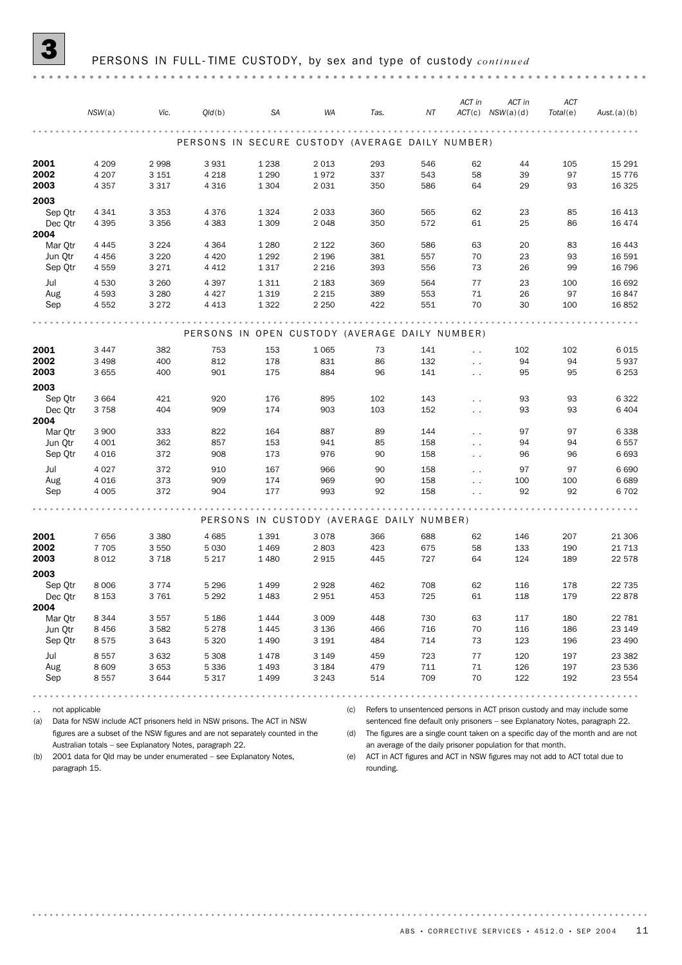|                    |                    |                    |                    |                    |                                                  |            |            | ACT in                                       | ACT in               | ACT       |                  |
|--------------------|--------------------|--------------------|--------------------|--------------------|--------------------------------------------------|------------|------------|----------------------------------------------|----------------------|-----------|------------------|
|                    | NSW(a)             | Vic.               | Q/d(b)             | <b>SA</b>          | WA                                               | Tas.       | NT         |                                              | $ACT(c)$ $NSW(a)(d)$ | Total(e)  | Aust.(a)(b)      |
|                    |                    |                    |                    |                    |                                                  |            |            |                                              |                      |           |                  |
|                    |                    |                    |                    |                    | PERSONS IN SECURE CUSTODY (AVERAGE DAILY NUMBER) |            |            |                                              |                      |           |                  |
| 2001               | 4 2 0 9            | 2998               | 3931               | 1 2 3 8            | 2 0 1 3                                          | 293        | 546        | 62                                           | 44                   | 105       | 15 2 9 1         |
| 2002               | 4 2 0 7            | 3 1 5 1            | 4 2 1 8            | 1 2 9 0            | 1972                                             | 337        | 543        | 58                                           | 39                   | 97        | 15 7 7 6         |
| 2003               | 4 3 5 7            | 3 3 1 7            | 4 3 1 6            | 1 3 0 4            | 2 0 3 1                                          | 350        | 586        | 64                                           | 29                   | 93        | 16 3 25          |
| 2003               |                    |                    |                    |                    |                                                  |            |            |                                              |                      |           |                  |
| Sep Qtr            | 4 3 4 1            | 3 3 5 3            | 4376               | 1 3 2 4            | 2 0 3 3                                          | 360        | 565        | 62                                           | 23                   | 85        | 16 4 13          |
| Dec Qtr            | 4 3 9 5            | 3 3 5 6            | 4 3 8 3            | 1 3 0 9            | 2 0 4 8                                          | 350        | 572        | 61                                           | 25                   | 86        | 16 4 74          |
| 2004               |                    |                    |                    |                    |                                                  |            |            |                                              |                      |           |                  |
| Mar Qtr            | 4 4 4 5            | 3 2 2 4            | 4 3 6 4            | 1 2 8 0            | 2 1 2 2                                          | 360        | 586        | 63<br>70                                     | 20                   | 83        | 16 4 43          |
| Jun Qtr<br>Sep Qtr | 4 4 5 6<br>4559    | 3 2 2 0<br>3 2 7 1 | 4 4 2 0<br>4 4 1 2 | 1 2 9 2<br>1317    | 2 1 9 6<br>2 2 1 6                               | 381<br>393 | 557<br>556 | 73                                           | 23<br>26             | 93<br>99  | 16 591<br>16 796 |
|                    |                    |                    |                    |                    |                                                  |            |            |                                              |                      |           |                  |
| Jul                | 4 5 3 0            | 3 2 6 0            | 4 3 9 7            | 1311               | 2 1 8 3                                          | 369        | 564        | 77                                           | 23                   | 100       | 16 692           |
| Aug<br>Sep         | 4 5 9 3<br>4 5 5 2 | 3 2 8 0<br>3 2 7 2 | 4 4 2 7<br>4 4 1 3 | 1 3 1 9<br>1 3 2 2 | 2 2 1 5<br>2 2 5 0                               | 389<br>422 | 553<br>551 | 71<br>70                                     | 26<br>30             | 97<br>100 | 16847<br>16852   |
|                    |                    |                    |                    |                    |                                                  |            |            |                                              |                      |           |                  |
|                    |                    |                    |                    |                    |                                                  |            |            |                                              |                      |           |                  |
|                    |                    |                    |                    |                    | PERSONS IN OPEN CUSTODY (AVERAGE DAILY NUMBER)   |            |            |                                              |                      |           |                  |
| 2001               | 3 4 4 7            | 382                | 753                | 153                | 1 0 6 5                                          | 73         | 141        | $\ddotsc$                                    | 102                  | 102       | 6015             |
| 2002               | 3 4 9 8            | 400                | 812                | 178                | 831                                              | 86         | 132        | $\sim$ $\sim$                                | 94                   | 94        | 5937             |
| 2003               | 3 6 5 5            | 400                | 901                | 175                | 884                                              | 96         | 141        | $\ddotsc$                                    | 95                   | 95        | 6 2 5 3          |
| 2003               |                    |                    |                    |                    |                                                  |            |            |                                              |                      |           |                  |
| Sep Qtr            | 3 6 6 4            | 421                | 920                | 176                | 895                                              | 102        | 143        | $\ddot{\phantom{0}}$                         | 93                   | 93        | 6322             |
| Dec Qtr            | 3758               | 404                | 909                | 174                | 903                                              | 103        | 152        | $\sim$ $\sim$                                | 93                   | 93        | 6 4 0 4          |
| 2004               |                    |                    |                    |                    |                                                  |            |            |                                              |                      |           |                  |
| Mar Otr<br>Jun Qtr | 3 9 0 0<br>4 0 0 1 | 333<br>362         | 822<br>857         | 164<br>153         | 887<br>941                                       | 89<br>85   | 144<br>158 | $\sim$ $\sim$                                | 97<br>94             | 97<br>94  | 6338<br>6557     |
| Sep Qtr            | 4 0 16             | 372                | 908                | 173                | 976                                              | 90         | 158        | $\ddotsc$<br>$\ddotsc$                       | 96                   | 96        | 6693             |
|                    |                    |                    |                    |                    |                                                  |            |            |                                              |                      |           |                  |
| Jul<br>Aug         | 4 0 2 7<br>4 0 16  | 372<br>373         | 910<br>909         | 167<br>174         | 966<br>969                                       | 90<br>90   | 158<br>158 | $\ddotsc$                                    | 97<br>100            | 97<br>100 | 6690<br>6689     |
| Sep                | 4 0 0 5            | 372                | 904                | 177                | 993                                              | 92         | 158        | $\ddot{\phantom{0}}$<br>$\ddot{\phantom{0}}$ | 92                   | 92        | 6702             |
|                    |                    |                    |                    |                    |                                                  |            |            |                                              |                      |           |                  |
|                    |                    |                    |                    |                    | PERSONS IN CUSTODY (AVERAGE DAILY NUMBER)        |            |            |                                              |                      |           |                  |
| 2001               | 7656               | 3 3 8 0            | 4685               | 1 3 9 1            | 3078                                             | 366        | 688        | 62                                           | 146                  | 207       | 21 30 6          |
| 2002               | 7 7 0 5            | 3 5 5 0            | 5 0 3 0            | 1 4 6 9            | 2 8 0 3                                          | 423        | 675        | 58                                           | 133                  | 190       | 21 7 1 3         |
| 2003               | 8 0 1 2            | 3 7 1 8            | 5 2 1 7            | 1 4 8 0            | 2915                                             | 445        | 727        | 64                                           | 124                  | 189       | 22 578           |
| 2003               |                    |                    |                    |                    |                                                  |            |            |                                              |                      |           |                  |
| Sep Qtr            | 8 0 0 6            | 3 7 7 4            | 5 2 9 6            | 1499               | 2928                                             | 462        | 708        | 62                                           | 116                  | 178       | 22 7 35          |
| Dec Qtr            | 8 1 5 3            | 3761               | 5 2 9 2            | 1483               | 2951                                             | 453        | 725        | 61                                           | 118                  | 179       | 22878            |
| 2004               |                    |                    |                    |                    |                                                  |            |            |                                              |                      |           |                  |
| Mar Otr            | 8 3 4 4            | 3557               | 5 1 8 6            | 1444               | 3 0 0 9                                          | 448        | 730        | 63                                           | 117                  | 180       | 22 781           |
| Jun Qtr            | 8 4 5 6            | 3582               | 5 2 7 8            | 1445               | 3 1 3 6                                          | 466        | 716        | 70                                           | 116                  | 186       | 23 149           |
| Sep Qtr            | 8575               | 3 6 4 3            | 5 3 2 0            | 1 4 9 0            | 3 1 9 1                                          | 484        | 714        | 73                                           | 123                  | 196       | 23 490           |
| Jul                | 8557               | 3 6 3 2            | 5 3 0 8            | 1478               | 3 1 4 9                                          | 459        | 723        | 77                                           | 120                  | 197       | 23 382           |
| Aug                | 8 6 0 9            | 3 6 5 3            | 5 3 3 6            | 1 4 9 3            | 3 1 8 4                                          | 479        | 711        | 71                                           | 126                  | 197       | 23 536           |
| Sep                | 8557               | 3644               | 5317               | 1499               | 3 2 4 3                                          | 514        | 709        | 70                                           | 122                  | 192       | 23 554           |
|                    |                    |                    |                    |                    |                                                  |            |            |                                              |                      |           |                  |

.. not applicable

(c) Refers to unsentenced persons in ACT prison custody and may include some sentenced fine default only prisoners – see Explanatory Notes, paragraph 22.

(a) Data for NSW include ACT prisoners held in NSW prisons. The ACT in NSW figures are a subset of the NSW figures and are not separately counted in the Australian totals – see Explanatory Notes, paragraph 22.

(b) 2001 data for Qld may be under enumerated – see Explanatory Notes, paragraph 15.

(d) The figures are a single count taken on a specific day of the month and are not an average of the daily prisoner population for that month. (e) ACT in ACT figures and ACT in NSW figures may not add to ACT total due to rounding.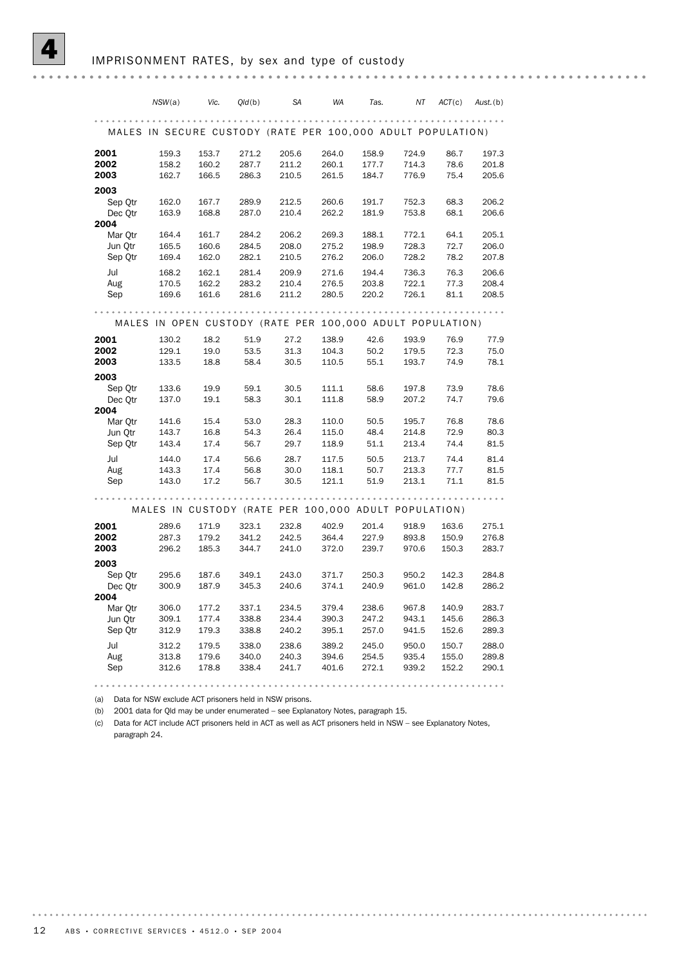*NSW*(a) *Vic. Qld*(b) *SA WA Tas. NT ACT*(c) *Aust.*(b) MALES IN SECURE CUSTODY (RATE PER 100,000 ADULT POPULATION) **2001** 159.3 153.7 271.2 205.6 264.0 158.9 724.9 86.7 197.3 2002 158.2 160.2 287.7 211.2 260.1 177.7 714.3 78.6 201.8 2003 162.7 166.5 286.3 210.5 261.5 184.7 776.9 75.4 205.6 2003 Sep Qtr 162.0 167.7 289.9 212.5 260.6 191.7 752.3 68.3 206.2 Dec Qtr 163.9 168.8 287.0 210.4 262.2 181.9 753.8 68.1 206.6 2004 Mar Qtr 164.4 161.7 284.2 206.2 269.3 188.1 772.1 64.1 205.1 Jun Qtr 165.5 160.6 284.5 208.0 275.2 198.9 728.3 72.7 206.0 Sep Qtr 169.4 162.0 282.1 210.5 276.2 206.0 728.2 78.2 207.8 Jul 168.2 162.1 281.4 209.9 271.6 194.4 736.3 76.3 206.6 Aug 170.5 162.2 283.2 210.4 276.5 203.8 722.1 77.3 208.4 Sep 169.6 161.6 281.6 211.2 280.5 220.2 726.1 81.1 208.5 MALES IN OPEN CUSTODY (RATE PER 100,000 ADULT POPULATION) 2001 130.2 18.2 51.9 27.2 138.9 42.6 193.9 76.9 77.9 2002 129.1 19.0 53.5 31.3 104.3 50.2 179.5 72.3 75.0 2003 133.5 18.8 58.4 30.5 110.5 55.1 193.7 74.9 78.1 2003 Sep Qtr 133.6 19.9 59.1 30.5 111.1 58.6 197.8 73.9 78.6 Dec Qtr 137.0 19.1 58.3 30.1 111.8 58.9 207.2 74.7 79.6 2004 Mar Qtr 141.6 15.4 53.0 28.3 110.0 50.5 195.7 76.8 78.6 Jun Qtr 143.7 16.8 54.3 26.4 115.0 48.4 214.8 72.9 80.3 Sep Qtr 143.4 17.4 56.7 29.7 118.9 51.1 213.4 74.4 81.5 Jul 144.0 17.4 56.6 28.7 117.5 50.5 213.7 74.4 81.4 Aug 143.3 17.4 56.8 30.0 118.1 50.7 213.3 77.7 81.5 Sep 143.0 17.2 56.7 30.5 121.1 51.9 213.1 71.1 81.5 MALES IN CUSTODY (RATE PER 100,000 ADULT POPULATION) **2001** 289.6 171.9 323.1 232.8 402.9 201.4 918.9 163.6 275.1 2002 287.3 179.2 341.2 242.5 364.4 227.9 893.8 150.9 276.8 2003 296.2 185.3 344.7 241.0 372.0 239.7 970.6 150.3 283.7 2003 Sep Qtr 295.6 187.6 349.1 243.0 371.7 250.3 950.2 142.3 284.8 Dec Qtr 300.9 187.9 345.3 240.6 374.1 240.9 961.0 142.8 286.2 2004 Mar Qtr 306.0 177.2 337.1 234.5 379.4 238.6 967.8 140.9 283.7 Jun Qtr 309.1 177.4 338.8 234.4 390.3 247.2 943.1 145.6 286.3 Sep Qtr 312.9 179.3 338.8 240.2 395.1 257.0 941.5 152.6 289.3 Jul 312.2 179.5 338.0 238.6 389.2 245.0 950.0 150.7 288.0 Aug 313.8 179.6 340.0 240.3 394.6 254.5 935.4 155.0 289.8 Sep 312.6 178.8 338.4 241.7 401.6 272.1 939.2 152.2 290.1 

(a) Data for NSW exclude ACT prisoners held in NSW prisons.

(b) 2001 data for Qld may be under enumerated – see Explanatory Notes, paragraph 15.

(c) Data for ACT include ACT prisoners held in ACT as well as ACT prisoners held in NSW – see Explanatory Notes, paragraph 24.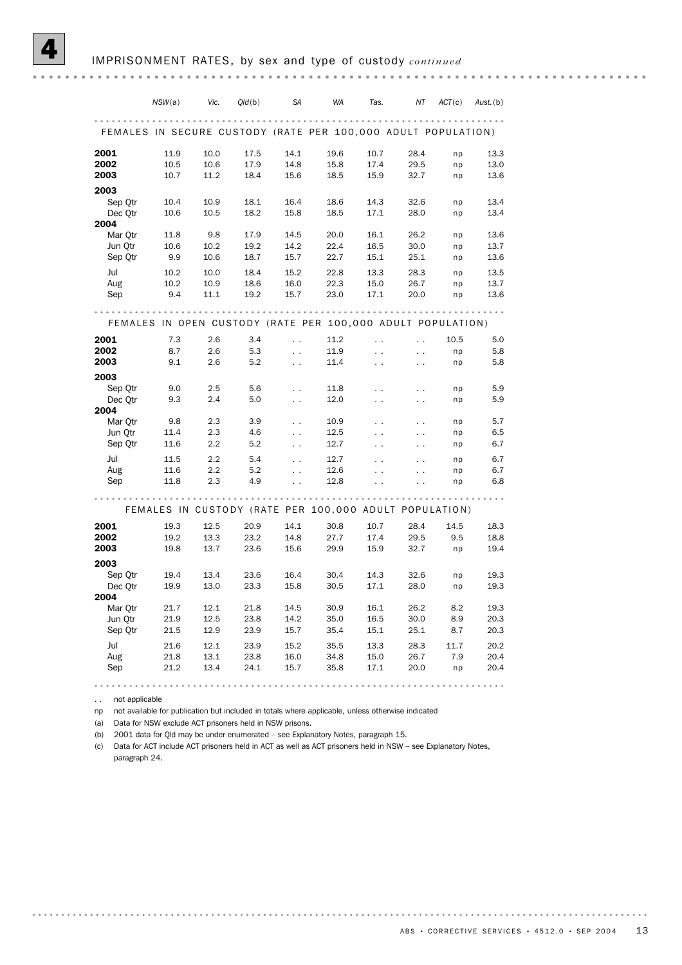*NSW*(a) *Vic. Qld*(b) *SA WA Tas. NT ACT*(c) *Aust.*(b) FEMALES IN SECURE CUSTODY (RATE PER 100,000 ADULT POPULATION) **2001** 11.9 10.0 17.5 14.1 19.6 10.7 28.4 np 13.3 2002 10.5 10.6 17.9 14.8 15.8 17.4 29.5 np 13.0 2003 10.7 11.2 18.4 15.6 18.5 15.9 32.7 np 13.6 2003 Sep Qtr 10.4 10.9 18.1 16.4 18.6 14.3 32.6 np 13.4 Dec Qtr 10.6 10.5 18.2 15.8 18.5 17.1 28.0 np 13.4 2004 Mar Qtr 11.8 9.8 17.9 14.5 20.0 16.1 26.2 np 13.6 Jun Qtr 10.6 10.2 19.2 14.2 22.4 16.5 30.0 np 13.7 Sep Qtr 9.9 10.6 18.7 15.7 22.7 15.1 25.1 np 13.6 Jul 10.2 10.0 18.4 15.2 22.8 13.3 28.3 np 13.5 Aug 10.2 10.9 18.6 16.0 22.3 15.0 26.7 np 13.7 Sep 9.4 11.1 19.2 15.7 23.0 17.1 20.0 np 13.6 FEMALES IN OPEN CUSTODY (RATE PER 100,000 ADULT POPULATION) **2001** 7.3 2.6 3.4 . 11.2 . . . 10.5 5.0 **2002** 8.7 2.6 5.3 . 11.9 . . . np 5.8 **2003** 9.1 2.6 5.2 . 11.4 . . . np 5.8 2003 Sep Qtr  $9.0$   $2.5$   $5.6$   $\ldots$   $11.8$   $\ldots$   $\ldots$  np  $5.9$ <br>Dec Otr  $9.3$   $2.4$   $5.0$   $\ldots$   $12.0$   $\ldots$   $\ldots$  np  $5.9$ Dec Qtr 9.3 2.4 5.0 . . 12.0 . . . . np 5.9 2004 Mar Otr 9.8 2.3 3.9 . . 10.9 . . . . . np 5.7 Jun Qtr 11.4 2.3 4.6 . 12.5 . . . . np 6.5 Sep Qtr 11.6 2.2 5.2 . . 12.7 . . . . . np 6.7 Jul 11.5 2.2 5.4 . 12.7 . . . . np 6.7<br>Aug 11.6 2.2 5.2 . 12.6 . . . . np 6.7 Aug 11.6 2.2 5.2 . 12.6 . . . . np 6.7 Sep 11.8 2.3 4.9 . 12.8 . . . . np 6.8 FEMALES IN CUSTODY (RATE PER 100,000 ADULT POPULATION) **2001** 19.3 12.5 20.9 14.1 30.8 10.7 28.4 14.5 18.3 **2002** 19.2 13.3 23.2 14.8 27.7 17.4 29.5 9.5 18.8 2003 19.8 13.7 23.6 15.6 29.9 15.9 32.7 np 19.4 2003 Sep Qtr 19.4 13.4 23.6 16.4 30.4 14.3 32.6 np 19.3<br>Dec Otr 19.9 13.0 23.3 15.8 30.5 17.1 28.0 np 19.3 Dec Qtr 19.9 13.0 23.3 15.8 30.5 17.1 28.0 np 19.3 2004 Mar Qtr 21.7 12.1 21.8 14.5 30.9 16.1 26.2 8.2 19.3 Jun Qtr 21.9 12.5 23.8 14.2 35.0 16.5 30.0 8.9 20.3 Sep Qtr 21.5 12.9 23.9 15.7 35.4 15.1 25.1 8.7 20.3 Jul 21.6 12.1 23.9 15.2 35.5 13.3 28.3 11.7 20.2 Aug 21.8 13.1 23.8 16.0 34.8 15.0 26.7 7.9 20.4 Sep 21.2 13.4 24.1 15.7 35.8 17.1 20.0 np 20.4

. . not applicable

. . . . . . . . . .

np not available for publication but included in totals where applicable, unless otherwise indicated

(a) Data for NSW exclude ACT prisoners held in NSW prisons.

(b) 2001 data for Qld may be under enumerated – see Explanatory Notes, paragraph 15.

(c) Data for ACT include ACT prisoners held in ACT as well as ACT prisoners held in NSW – see Explanatory Notes, paragraph 24.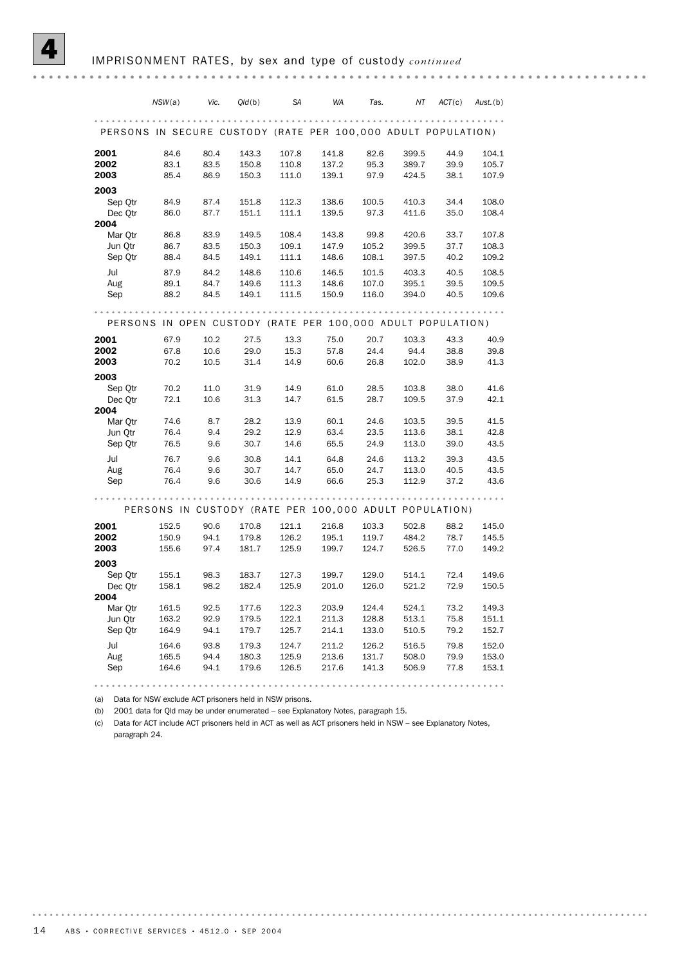|                                                               | NSW(a)         | Vic.         | Q/d(b)         | SA             | WA                                                          | Tas.           | ΝT             | ACT(c)       | Aust.(b)       |
|---------------------------------------------------------------|----------------|--------------|----------------|----------------|-------------------------------------------------------------|----------------|----------------|--------------|----------------|
| PERSONS IN SECURE CUSTODY (RATE PER 100,000 ADULT POPULATION) |                |              |                |                |                                                             |                |                |              |                |
| 2001                                                          | 84.6           | 80.4         | 143.3          | 107.8          | 141.8                                                       | 82.6           | 399.5          | 44.9         | 104.1          |
| 2002                                                          | 83.1           | 83.5         | 150.8          | 110.8          | 137.2                                                       | 95.3           | 389.7          | 39.9         | 105.7          |
| 2003                                                          | 85.4           | 86.9         | 150.3          | 111.0          | 139.1                                                       | 97.9           | 424.5          | 38.1         | 107.9          |
| 2003<br>Sep Otr<br>Dec Otr<br>2004                            | 84.9<br>86.0   | 87.4<br>87.7 | 151.8<br>151.1 | 112.3<br>111.1 | 138.6<br>139.5                                              | 100.5<br>97.3  | 410.3<br>411.6 | 34.4<br>35.0 | 108.0<br>108.4 |
| Mar Otr                                                       | 86.8           | 83.9         | 149.5          | 108.4          | 143.8                                                       | 99.8           | 420.6          | 33.7         | 107.8          |
| Jun Qtr                                                       | 86.7           | 83.5         | 150.3          | 109.1          | 147.9                                                       | 105.2          | 399.5          | 37.7         | 108.3          |
| Sep Qtr                                                       | 88.4           | 84.5         | 149.1          | 111.1          | 148.6                                                       | 108.1          | 397.5          | 40.2         | 109.2          |
| Jul                                                           | 87.9           | 84.2         | 148.6          | 110.6          | 146.5                                                       | 101.5          | 403.3          | 40.5         | 108.5          |
| Aug                                                           | 89.1           | 84.7         | 149.6          | 111.3          | 148.6                                                       | 107.0          | 395.1          | 39.5         | 109.5          |
| Sep                                                           | 88.2           | 84.5         | 149.1          | 111.5          | 150.9                                                       | 116.0          | 394.0          | 40.5         | 109.6          |
|                                                               |                |              |                | $-0.00000$     | PERSONS IN OPEN CUSTODY (RATE PER 100,000 ADULT POPULATION) |                |                |              |                |
| 2001                                                          | 67.9           | 10.2         | 27.5           | 13.3           | 75.0                                                        | 20.7           | 103.3          | 43.3         | 40.9           |
| 2002                                                          | 67.8           | 10.6         | 29.0           | 15.3           | 57.8                                                        | 24.4           | 94.4           | 38.8         | 39.8           |
| 2003                                                          | 70.2           | 10.5         | 31.4           | 14.9           | 60.6                                                        | 26.8           | 102.0          | 38.9         | 41.3           |
| 2003<br>Sep Otr<br>Dec Qtr<br>2004                            | 70.2<br>72.1   | 11.0<br>10.6 | 31.9<br>31.3   | 14.9<br>14.7   | 61.0<br>61.5                                                | 28.5<br>28.7   | 103.8<br>109.5 | 38.0<br>37.9 | 41.6<br>42.1   |
| Mar Otr                                                       | 74.6           | 8.7          | 28.2           | 13.9           | 60.1                                                        | 24.6           | 103.5          | 39.5         | 41.5           |
| Jun Otr                                                       | 76.4           | 9.4          | 29.2           | 12.9           | 63.4                                                        | 23.5           | 113.6          | 38.1         | 42.8           |
| Sep Otr                                                       | 76.5           | 9.6          | 30.7           | 14.6           | 65.5                                                        | 24.9           | 113.0          | 39.0         | 43.5           |
| Jul                                                           | 76.7           | 9.6          | 30.8           | 14.1           | 64.8                                                        | 24.6           | 113.2          | 39.3         | 43.5           |
| Aug                                                           | 76.4           | 9.6          | 30.7           | 14.7           | 65.0                                                        | 24.7           | 113.0          | 40.5         | 43.5           |
| Sep                                                           | 76.4           | 9.6          | 30.6           | 14.9           | 66.6                                                        | 25.3           | 112.9          | 37.2         | 43.6           |
|                                                               |                |              |                |                | PERSONS IN CUSTODY (RATE PER 100,000 ADULT POPULATION)      |                |                |              |                |
| 2001                                                          | 152.5          | 90.6         | 170.8          | 121.1          | 216.8                                                       | 103.3          | 502.8          | 88.2         | 145.0          |
| 2002                                                          | 150.9          | 94.1         | 179.8          | 126.2          | 195.1                                                       | 119.7          | 484.2          | 78.7         | 145.5          |
| 2003                                                          | 155.6          | 97.4         | 181.7          | 125.9          | 199.7                                                       | 124.7          | 526.5          | 77.0         | 149.2          |
| 2003<br>Sep Qtr<br>Dec Otr<br>2004                            | 155.1<br>158.1 | 98.3<br>98.2 | 183.7<br>182.4 | 127.3<br>125.9 | 199.7<br>201.0                                              | 129.0<br>126.0 | 514.1<br>521.2 | 72.4<br>72.9 | 149.6<br>150.5 |
| Mar Qtr                                                       | 161.5          | 92.5         | 177.6          | 122.3          | 203.9                                                       | 124.4          | 524.1          | 73.2         | 149.3          |
| Jun Otr                                                       | 163.2          | 92.9         | 179.5          | 122.1          | 211.3                                                       | 128.8          | 513.1          | 75.8         | 151.1          |
| Sep Qtr                                                       | 164.9          | 94.1         | 179.7          | 125.7          | 214.1                                                       | 133.0          | 510.5          | 79.2         | 152.7          |
| Jul                                                           | 164.6          | 93.8         | 179.3          | 124.7          | 211.2                                                       | 126.2          | 516.5          | 79.8         | 152.0          |
| Aug                                                           | 165.5          | 94.4         | 180.3          | 125.9          | 213.6                                                       | 131.7          | 508.0          | 79.9         | 153.0          |
| Sep                                                           | 164.6          | 94.1         | 179.6          | 126.5          | 217.6                                                       | 141.3          | 506.9          | 77.8         | 153.1          |

(a) Data for NSW exclude ACT prisoners held in NSW prisons.

(b) 2001 data for Qld may be under enumerated – see Explanatory Notes, paragraph 15.

(c) Data for ACT include ACT prisoners held in ACT as well as ACT prisoners held in NSW – see Explanatory Notes, paragraph 24.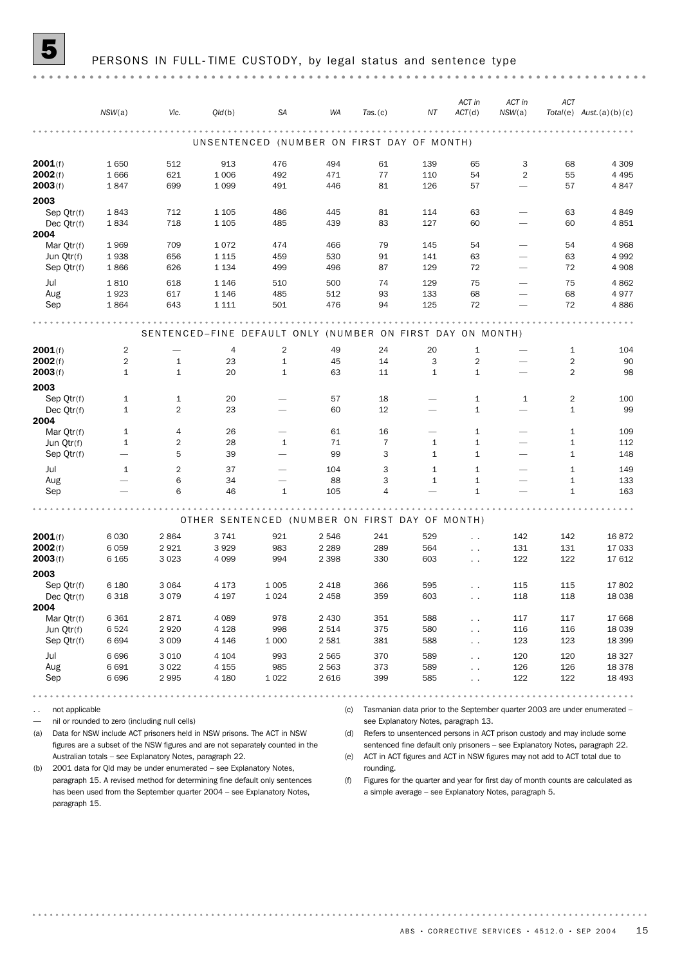|                          | NSW(a)                       | Vic.                                                       | Q/d(b)                                         | <b>SA</b>                       | WA        | $Tas.$ (c)           | ΝT                           | ACT in<br>ACT(d)             | ACT in<br>NSW(a)         | ACT                          | $Total(e)$ Aust. $(a)(b)(c)$ |
|--------------------------|------------------------------|------------------------------------------------------------|------------------------------------------------|---------------------------------|-----------|----------------------|------------------------------|------------------------------|--------------------------|------------------------------|------------------------------|
|                          |                              |                                                            |                                                |                                 |           |                      |                              |                              |                          |                              |                              |
|                          |                              |                                                            | UNSENTENCED (NUMBER ON FIRST DAY OF MONTH)     |                                 |           |                      |                              |                              |                          |                              |                              |
| 2001(f)                  | 1650                         | 512                                                        | 913                                            | 476                             | 494       | 61                   | 139                          | 65                           | 3                        | 68                           | 4 3 0 9                      |
| 2002(f)                  | 1666                         | 621                                                        | 1 0 0 6                                        | 492                             | 471       | 77                   | 110                          | 54                           | $\overline{2}$           | 55                           | 4 4 9 5                      |
| 2003(f)                  | 1847                         | 699                                                        | 1 0 9 9                                        | 491                             | 446       | 81                   | 126                          | 57                           |                          | 57                           | 4847                         |
| 2003                     |                              |                                                            |                                                |                                 |           |                      |                              |                              |                          |                              |                              |
| Sep Qtr(f)               | 1843                         | 712                                                        | 1 1 0 5                                        | 486                             | 445       | 81                   | 114                          | 63                           |                          | 63                           | 4849                         |
| Dec $Qtr(f)$<br>2004     | 1834                         | 718                                                        | 1 1 0 5                                        | 485                             | 439       | 83                   | 127                          | 60                           |                          | 60                           | 4851                         |
| Mar Otr(f)               | 1969                         | 709                                                        | 1072                                           | 474                             | 466       | 79                   | 145                          | 54                           |                          | 54                           | 4968                         |
| Jun Qtr(f)               | 1938                         | 656                                                        | 1 1 1 5                                        | 459                             | 530       | 91                   | 141                          | 63                           | $\overline{\phantom{0}}$ | 63                           | 4992                         |
| Sep Qtr(f)               | 1866                         | 626                                                        | 1 1 3 4                                        | 499                             | 496       | 87                   | 129                          | 72                           | $\overline{\phantom{0}}$ | 72                           | 4 9 0 8                      |
| Jul                      | 1810                         | 618                                                        | 1 1 4 6                                        | 510                             | 500       | 74                   | 129                          | 75                           |                          | 75                           | 4862                         |
| Aug                      | 1923                         | 617                                                        | 1 1 4 6                                        | 485                             | 512       | 93                   | 133                          | 68                           |                          | 68                           | 4977                         |
| Sep                      | 1864                         | 643                                                        | 1 1 1 1                                        | 501                             | 476       | 94                   | 125                          | 72                           |                          | 72                           | 4886                         |
|                          |                              |                                                            |                                                |                                 |           |                      |                              |                              |                          |                              |                              |
|                          |                              | SENTENCED-FINE DEFAULT ONLY (NUMBER ON FIRST DAY ON MONTH) |                                                |                                 |           |                      |                              |                              |                          |                              |                              |
| 2001(f)                  | $\overline{2}$               |                                                            | 4                                              | 2                               | 49        | 24                   | 20                           | $\mathbf{1}$                 |                          | $\mathbf{1}$                 | 104                          |
| 2002(f)                  | $\overline{2}$               | $\mathbf{1}$                                               | 23                                             | $1\,$                           | 45        | 14                   | 3                            | $\overline{2}$               |                          | $\overline{2}$               | 90                           |
| 2003(f)                  | $\mathbf{1}$                 | $\mathbf{1}$                                               | 20                                             | $\mathbf{1}$                    | 63        | 11                   | $\mathbf{1}$                 | $\mathbf{1}$                 |                          | $\overline{2}$               | 98                           |
| 2003                     |                              |                                                            |                                                |                                 |           |                      |                              |                              |                          |                              |                              |
| Sep Qtr(f)               | $\mathbf{1}$                 | $\mathbf{1}$                                               | 20                                             |                                 | 57        | 18                   |                              | $\mathbf{1}$                 | 1                        | $\overline{2}$               | 100                          |
| Dec Qtr(f)               | $\mathbf{1}$                 | $\overline{2}$                                             | 23                                             |                                 | 60        | 12                   |                              | $\mathbf{1}$                 |                          | $\mathbf{1}$                 | 99                           |
| 2004                     |                              |                                                            |                                                |                                 |           |                      |                              |                              |                          |                              |                              |
| Mar Qtr(f)<br>Jun Qtr(f) | $\mathbf{1}$<br>$\mathbf{1}$ | 4<br>$\overline{2}$                                        | 26<br>28                                       | $\qquad \qquad$<br>1            | 61<br>71  | 16<br>$\overline{7}$ | $\mathbf{1}$                 | 1<br>$\mathbf{1}$            |                          | $\mathbf{1}$<br>$\mathbf{1}$ | 109<br>112                   |
| Sep Qtr(f)               |                              | 5                                                          | 39                                             | $\overbrace{\qquad \qquad }^{}$ | 99        | 3                    | $\mathbf{1}$                 | $\mathbf{1}$                 |                          | $\mathbf{1}$                 | 148                          |
|                          |                              |                                                            |                                                |                                 |           |                      |                              |                              |                          |                              |                              |
| Jul                      | 1                            | 2<br>6                                                     | 37<br>34                                       | $\overbrace{\qquad \qquad }$    | 104<br>88 | 3<br>3               | $\mathbf{1}$<br>$\mathbf{1}$ | $\mathbf{1}$<br>$\mathbf{1}$ |                          | $\mathbf{1}$<br>$\mathbf{1}$ | 149<br>133                   |
| Aug<br>Sep               |                              | 6                                                          | 46                                             | $\mathbf{1}$                    | 105       | 4                    |                              | $\mathbf{1}$                 |                          | $\mathbf{1}$                 | 163                          |
|                          |                              |                                                            |                                                |                                 |           |                      |                              |                              |                          |                              |                              |
|                          |                              |                                                            | OTHER SENTENCED (NUMBER ON FIRST DAY OF MONTH) |                                 |           |                      |                              |                              |                          |                              |                              |
| 2001(f)                  | 6 0 3 0                      | 2864                                                       | 3741                                           | 921                             | 2 546     | 241                  | 529                          | $\ddot{\phantom{0}}$         | 142                      | 142                          | 16872                        |
| 2002(f)                  | 6 0 5 9                      | 2921                                                       | 3929                                           | 983                             | 2 2 8 9   | 289                  | 564                          | $\ddotsc$                    | 131                      | 131                          | 17 033                       |
| 2003(f)                  | 6 1 6 5                      | 3 0 2 3                                                    | 4 0 9 9                                        | 994                             | 2 3 9 8   | 330                  | 603                          | $\ddotsc$                    | 122                      | 122                          | 17612                        |
| 2003                     |                              |                                                            |                                                |                                 |           |                      |                              |                              |                          |                              |                              |
| Sep Qtr(f)               | 6 1 8 0                      | 3 0 6 4                                                    | 4 1 7 3                                        | 1 0 0 5                         | 2 4 1 8   | 366                  | 595                          | $\ddot{\phantom{0}}$         | 115                      | 115                          | 17802                        |
| Dec Qtr(f)               | 6 3 1 8                      | 3079                                                       | 4 1 9 7                                        | 1 0 2 4                         | 2 4 5 8   | 359                  | 603                          | $\sim$ $\sim$                | 118                      | 118                          | 18 0 38                      |
| 2004                     |                              |                                                            |                                                |                                 |           |                      |                              |                              |                          |                              |                              |
| Mar Qtr(f)               | 6 3 6 1                      | 2871                                                       | 4 0 8 9                                        | 978                             | 2 4 3 0   | 351                  | 588                          | $\ddot{\phantom{0}}$         | 117                      | 117                          | 17 668                       |
| Jun Qtr(f)               | 6524                         | 2920                                                       | 4 1 2 8                                        | 998                             | 2 5 1 4   | 375                  | 580                          | $\ddot{\phantom{0}}$         | 116                      | 116                          | 18 0 39                      |
| Sep Qtr(f)               | 6694                         | 3 0 0 9                                                    | 4 1 4 6                                        | 1 0 0 0                         | 2 5 8 1   | 381                  | 588                          | $\sim$                       | 123                      | 123                          | 18 399                       |
| Jul                      | 6696                         | 3 0 1 0                                                    | 4 1 0 4                                        | 993                             | 2 5 6 5   | 370                  | 589                          | $\ddotsc$                    | 120                      | 120                          | 18 3 27                      |
| Aug                      | 6 6 9 1                      | 3 0 2 2                                                    | 4 1 5 5                                        | 985                             | 2 5 6 3   | 373                  | 589                          | $\ddotsc$                    | 126                      | 126                          | 18 378                       |
| Sep                      | 6696                         | 2995                                                       | 4 1 8 0                                        | 1 0 2 2                         | 2 6 1 6   | 399                  | 585                          | $\ddot{\phantom{0}}$         | 122                      | 122                          | 18 4 93                      |
|                          |                              |                                                            |                                                |                                 |           |                      |                              |                              |                          |                              |                              |

.. not applicable

— nil or rounded to zero (including null cells)

(a) Data for NSW include ACT prisoners held in NSW prisons. The ACT in NSW figures are a subset of the NSW figures and are not separately counted in the Australian totals – see Explanatory Notes, paragraph 22.

(b) 2001 data for Qld may be under enumerated – see Explanatory Notes, paragraph 15. A revised method for determining fine default only sentences has been used from the September quarter 2004 – see Explanatory Notes, paragraph 15.

(c) Tasmanian data prior to the September quarter 2003 are under enumerated – see Explanatory Notes, paragraph 13.

(d) Refers to unsentenced persons in ACT prison custody and may include some sentenced fine default only prisoners – see Explanatory Notes, paragraph 22.

(e) ACT in ACT figures and ACT in NSW figures may not add to ACT total due to rounding.

(f) Figures for the quarter and year for first day of month counts are calculated as a simple average – see Explanatory Notes, paragraph 5.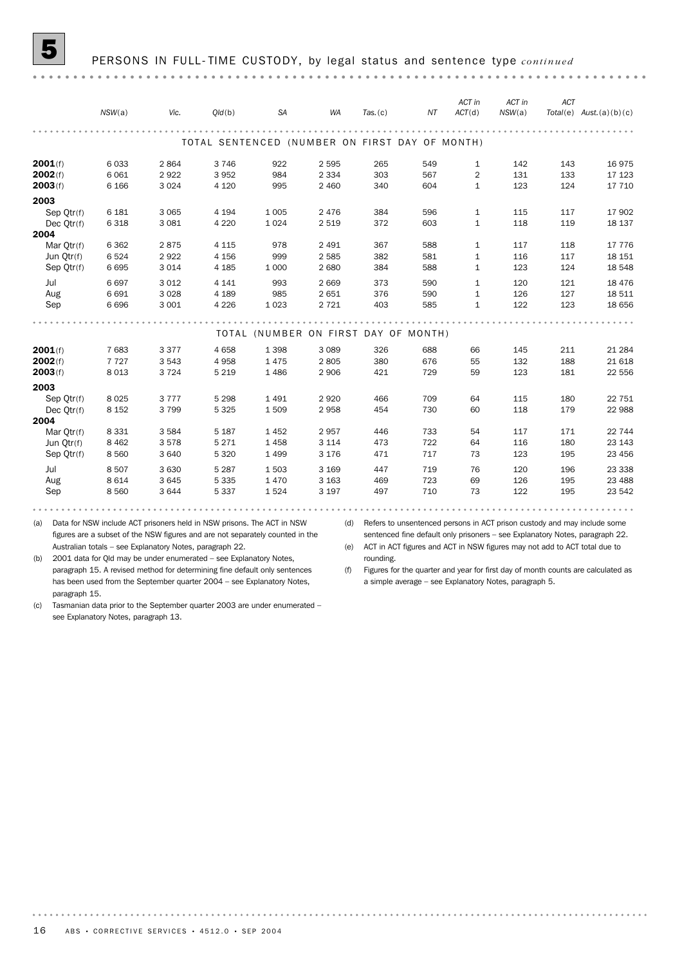*ACT in ACT in ACT*

|            | NSW(a)  | Vic.    | Q/d(b)                                         | <b>SA</b>                            | <b>WA</b> | Tas. (c) | NT  | ACT(d)         | NSW(a) |     | $Total(e)$ Aust. (a) (b) (c) |
|------------|---------|---------|------------------------------------------------|--------------------------------------|-----------|----------|-----|----------------|--------|-----|------------------------------|
|            |         |         |                                                |                                      |           |          |     |                |        |     |                              |
|            |         |         | TOTAL SENTENCED (NUMBER ON FIRST DAY OF MONTH) |                                      |           |          |     |                |        |     |                              |
| 2001(f)    | 6033    | 2864    | 3746                                           | 922                                  | 2 5 9 5   | 265      | 549 | $\mathbf{1}$   | 142    | 143 | 16975                        |
| 2002(f)    | 6 0 6 1 | 2922    | 3952                                           | 984                                  | 2 3 3 4   | 303      | 567 | $\overline{2}$ | 131    | 133 | 17 123                       |
| 2003(f)    | 6 1 6 6 | 3 0 2 4 | 4 1 2 0                                        | 995                                  | 2 4 6 0   | 340      | 604 | $\mathbf{1}$   | 123    | 124 | 17 710                       |
| 2003       |         |         |                                                |                                      |           |          |     |                |        |     |                              |
| Sep Otr(f) | 6 1 8 1 | 3 0 6 5 | 4 1 9 4                                        | 1 0 0 5                              | 2 4 7 6   | 384      | 596 | $\mathbf{1}$   | 115    | 117 | 17 902                       |
| Dec Qtr(f) | 6318    | 3 0 8 1 | 4 2 2 0                                        | 1 0 2 4                              | 2 5 1 9   | 372      | 603 | $\mathbf{1}$   | 118    | 119 | 18 137                       |
| 2004       |         |         |                                                |                                      |           |          |     |                |        |     |                              |
| Mar Otr(f) | 6 3 6 2 | 2875    | 4 1 1 5                                        | 978                                  | 2 4 9 1   | 367      | 588 | $\mathbf{1}$   | 117    | 118 | 17 776                       |
| Jun Qtr(f) | 6524    | 2922    | 4 1 5 6                                        | 999                                  | 2 5 8 5   | 382      | 581 | $\mathbf{1}$   | 116    | 117 | 18 15 1                      |
| Sep Qtr(f) | 6695    | 3014    | 4 1 8 5                                        | 1 0 0 0                              | 2 6 8 0   | 384      | 588 | $\mathbf{1}$   | 123    | 124 | 18 548                       |
| Jul        | 6697    | 3 0 1 2 | 4 1 4 1                                        | 993                                  | 2 6 6 9   | 373      | 590 | $\mathbf{1}$   | 120    | 121 | 18 4 7 6                     |
| Aug        | 6 6 9 1 | 3 0 2 8 | 4 1 8 9                                        | 985                                  | 2 6 5 1   | 376      | 590 | $\mathbf{1}$   | 126    | 127 | 18 511                       |
| Sep        | 6696    | 3 0 0 1 | 4 2 2 6                                        | 1 0 2 3                              | 2 7 2 1   | 403      | 585 | $\mathbf{1}$   | 122    | 123 | 18 656                       |
|            |         |         |                                                |                                      |           |          |     |                |        |     |                              |
|            |         |         |                                                | TOTAL (NUMBER ON FIRST DAY OF MONTH) |           |          |     |                |        |     |                              |
| 2001(f)    | 7683    | 3377    | 4 6 5 8                                        | 1 3 9 8                              | 3 0 8 9   | 326      | 688 | 66             | 145    | 211 | 21 284                       |
| 2002(f)    | 7727    | 3543    | 4958                                           | 1475                                 | 2805      | 380      | 676 | 55             | 132    | 188 | 21 618                       |
| 2003(f)    | 8 0 1 3 | 3724    | 5 2 1 9                                        | 1486                                 | 2 9 0 6   | 421      | 729 | 59             | 123    | 181 | 22 556                       |
| 2003       |         |         |                                                |                                      |           |          |     |                |        |     |                              |
| Sep Qtr(f) | 8 0 2 5 | 3777    | 5 2 9 8                                        | 1491                                 | 2 9 2 0   | 466      | 709 | 64             | 115    | 180 | 22 751                       |
| Dec Otr(f) | 8 1 5 2 | 3799    | 5 3 2 5                                        | 1509                                 | 2958      | 454      | 730 | 60             | 118    | 179 | 22 988                       |
| 2004       |         |         |                                                |                                      |           |          |     |                |        |     |                              |
| Mar Otr(f) | 8 3 3 1 | 3584    | 5 1 8 7                                        | 1452                                 | 2957      | 446      | 733 | 54             | 117    | 171 | 22 744                       |
| Jun Qtr(f) | 8 4 6 2 | 3578    | 5 2 7 1                                        | 1458                                 | 3 1 1 4   | 473      | 722 | 64             | 116    | 180 | 23 143                       |
| Sep Otr(f) | 8 5 6 0 | 3 6 4 0 | 5 3 2 0                                        | 1 4 9 9                              | 3 1 7 6   | 471      | 717 | 73             | 123    | 195 | 23 45 6                      |
| Jul        | 8507    | 3 6 3 0 | 5 2 8 7                                        | 1503                                 | 3 1 6 9   | 447      | 719 | 76             | 120    | 196 | 23 338                       |
| Aug        | 8 6 1 4 | 3645    | 5 3 3 5                                        | 1470                                 | 3 1 6 3   | 469      | 723 | 69             | 126    | 195 | 23 4 88                      |
| Sep        | 8560    | 3644    | 5 3 3 7                                        | 1524                                 | 3 1 9 7   | 497      | 710 | 73             | 122    | 195 | 23 542                       |
|            |         |         |                                                |                                      |           |          |     |                |        |     |                              |

(a) Data for NSW include ACT prisoners held in NSW prisons. The ACT in NSW (d) Refers to unsentenced persons in ACT prison custody and may include some figures are a subset of the NSW figures and are not separately counted in the Australian totals – see Explanatory Notes, paragraph 22.

sentenced fine default only prisoners – see Explanatory Notes, paragraph 22. (e) ACT in ACT figures and ACT in NSW figures may not add to ACT total due to

(b) 2001 data for Qld may be under enumerated – see Explanatory Notes, paragraph 15. A revised method for determining fine default only sentences has been used from the September quarter 2004 – see Explanatory Notes, paragraph 15.

rounding. (f) Figures for the quarter and year for first day of month counts are calculated as a simple average – see Explanatory Notes, paragraph 5.

. . . . . . . . .

(c) Tasmanian data prior to the September quarter 2003 are under enumerated – see Explanatory Notes, paragraph 13.

. . . . . . . .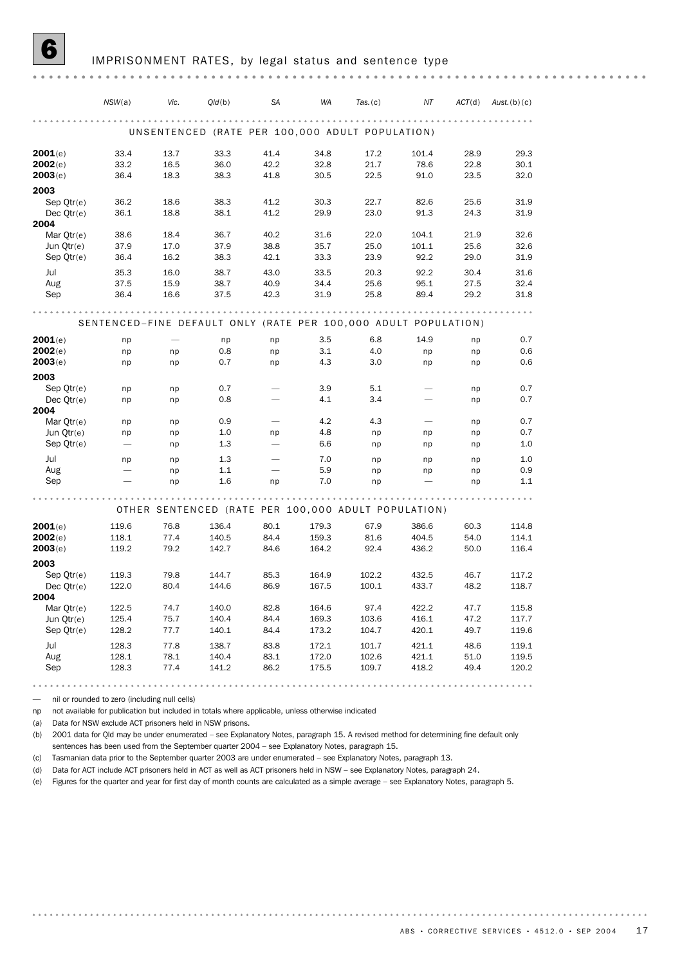|                          | NSW(a)       | Vic.         | Old(b)                                                          | <b>SA</b>    | <b>WA</b>    | Tas. (c)     | ΝT                       | ACT(d)       | Aust. $(b)(c)$ |
|--------------------------|--------------|--------------|-----------------------------------------------------------------|--------------|--------------|--------------|--------------------------|--------------|----------------|
|                          |              |              |                                                                 |              |              |              |                          |              |                |
|                          |              |              | UNSENTENCED (RATE PER 100,000 ADULT POPULATION)                 |              |              |              |                          |              |                |
| 2001(e)                  | 33.4         | 13.7         | 33.3                                                            | 41.4         | 34.8         | 17.2         | 101.4                    | 28.9         | 29.3           |
| 2002(e)                  | 33.2         | 16.5         | 36.0                                                            | 42.2         | 32.8         | 21.7         | 78.6                     | 22.8         | 30.1           |
| 2003(e)                  | 36.4         | 18.3         | 38.3                                                            | 41.8         | 30.5         | 22.5         | 91.0                     | 23.5         | 32.0           |
| 2003                     |              |              |                                                                 |              |              |              |                          |              |                |
| Sep Otr(e)<br>Dec Qtr(e) | 36.2<br>36.1 | 18.6<br>18.8 | 38.3<br>38.1                                                    | 41.2<br>41.2 | 30.3<br>29.9 | 22.7<br>23.0 | 82.6<br>91.3             | 25.6<br>24.3 | 31.9<br>31.9   |
| 2004                     |              |              |                                                                 |              |              |              |                          |              |                |
| Mar Otr(e)               | 38.6         | 18.4         | 36.7                                                            | 40.2         | 31.6         | 22.0         | 104.1                    | 21.9         | 32.6           |
| Jun Qtr(e)               | 37.9         | 17.0         | 37.9                                                            | 38.8         | 35.7         | 25.0         | 101.1                    | 25.6         | 32.6           |
| Sep Otr(e)               | 36.4         | 16.2         | 38.3                                                            | 42.1         | 33.3         | 23.9         | 92.2                     | 29.0         | 31.9           |
| Jul                      | 35.3         | 16.0         | 38.7                                                            | 43.0         | 33.5         | 20.3         | 92.2                     | 30.4         | 31.6           |
| Aug                      | 37.5         | 15.9         | 38.7                                                            | 40.9         | 34.4         | 25.6         | 95.1                     | 27.5         | 32.4           |
| Sep                      | 36.4         | 16.6         | 37.5                                                            | 42.3         | 31.9         | 25.8         | 89.4                     | 29.2         | 31.8           |
|                          |              |              |                                                                 | .            |              |              |                          |              |                |
|                          |              |              | SENTENCED-FINE DEFAULT ONLY (RATE PER 100,000 ADULT POPULATION) |              |              |              |                          |              |                |
| 2001(e)                  | np           |              | np                                                              | np           | 3.5          | 6.8          | 14.9                     | np           | 0.7            |
| 2002(e)                  | np           | np           | 0.8                                                             | np           | 3.1          | 4.0          | np                       | np           | 0.6            |
| 2003(e)                  | np           | np           | 0.7                                                             | np           | 4.3          | 3.0          | np                       | np           | 0.6            |
| 2003                     |              |              |                                                                 |              |              |              |                          |              |                |
| Sep Qtr(e)               | np           | np           | 0.7                                                             |              | 3.9          | 5.1          |                          | np           | 0.7            |
| Dec Otr(e)<br>2004       | np           | np           | 0.8                                                             |              | 4.1          | 3.4          |                          | np           | 0.7            |
| Mar Qtr(e)               | np           | np           | 0.9                                                             |              | 4.2          | 4.3          | $\overline{\phantom{0}}$ | np           | 0.7            |
| Jun Qtr(e)               | np           | np           | 1.0                                                             | np           | 4.8          | np           | np                       | np           | 0.7            |
| Sep Qtr(e)               |              | np           | 1.3                                                             |              | 6.6          | np           | np                       | np           | 1.0            |
| Jul                      | np           | np           | 1.3                                                             |              | 7.0          | np           | np                       | np           | 1.0            |
| Aug                      |              | np           | 1.1                                                             |              | 5.9          | np           | np                       | np           | 0.9            |
| Sep                      |              | np           | 1.6                                                             | np           | 7.0          | np           |                          | np           | 1.1            |
|                          |              |              |                                                                 |              |              |              |                          |              |                |
|                          |              |              | OTHER SENTENCED (RATE PER 100,000 ADULT POPULATION)             |              |              |              |                          |              |                |
| 2001(e)                  | 119.6        | 76.8         | 136.4                                                           | 80.1         | 179.3        | 67.9         | 386.6                    | 60.3         | 114.8          |
| 2002(e)                  | 118.1        | 77.4         | 140.5                                                           | 84.4         | 159.3        | 81.6         | 404.5                    | 54.0         | 114.1          |
| 2003(e)                  | 119.2        | 79.2         | 142.7                                                           | 84.6         | 164.2        | 92.4         | 436.2                    | 50.0         | 116.4          |
| 2003                     |              |              |                                                                 |              |              |              |                          |              |                |
| Sep Qtr(e)               | 119.3        | 79.8         | 144.7                                                           | 85.3         | 164.9        | 102.2        | 432.5                    | 46.7<br>48.2 | 117.2          |
| Dec Otr(e)<br>2004       | 122.0        | 80.4         | 144.6                                                           | 86.9         | 167.5        | 100.1        | 433.7                    |              | 118.7          |
| Mar Qtr(e)               | 122.5        | 74.7         | 140.0                                                           | 82.8         | 164.6        | 97.4         | 422.2                    | 47.7         | 115.8          |
| Jun Qtr(e)               | 125.4        | 75.7         | 140.4                                                           | 84.4         | 169.3        | 103.6        | 416.1                    | 47.2         | 117.7          |
| Sep Qtr(e)               | 128.2        | 77.7         | 140.1                                                           | 84.4         | 173.2        | 104.7        | 420.1                    | 49.7         | 119.6          |
| Jul                      | 128.3        | 77.8         | 138.7                                                           | 83.8         | 172.1        | 101.7        | 421.1                    | 48.6         | 119.1          |
| Aug                      | 128.1        | 78.1         | 140.4                                                           | 83.1         | 172.0        | 102.6        | 421.1                    | 51.0         | 119.5          |
| Sep                      | 128.3        | 77.4         | 141.2                                                           | 86.2         | 175.5        | 109.7        | 418.2                    | 49.4         | 120.2          |
|                          |              |              |                                                                 |              |              |              |                          |              |                |

— nil or rounded to zero (including null cells)

np not available for publication but included in totals where applicable, unless otherwise indicated

(a) Data for NSW exclude ACT prisoners held in NSW prisons.

(b) 2001 data for Qld may be under enumerated – see Explanatory Notes, paragraph 15. A revised method for determining fine default only sentences has been used from the September quarter 2004 – see Explanatory Notes, paragraph 15.

(c) Tasmanian data prior to the September quarter 2003 are under enumerated – see Explanatory Notes, paragraph 13.

(d) Data for ACT include ACT prisoners held in ACT as well as ACT prisoners held in NSW – see Explanatory Notes, paragraph 24.

(e) Figures for the quarter and year for first day of month counts are calculated as a simple average – see Explanatory Notes, paragraph 5.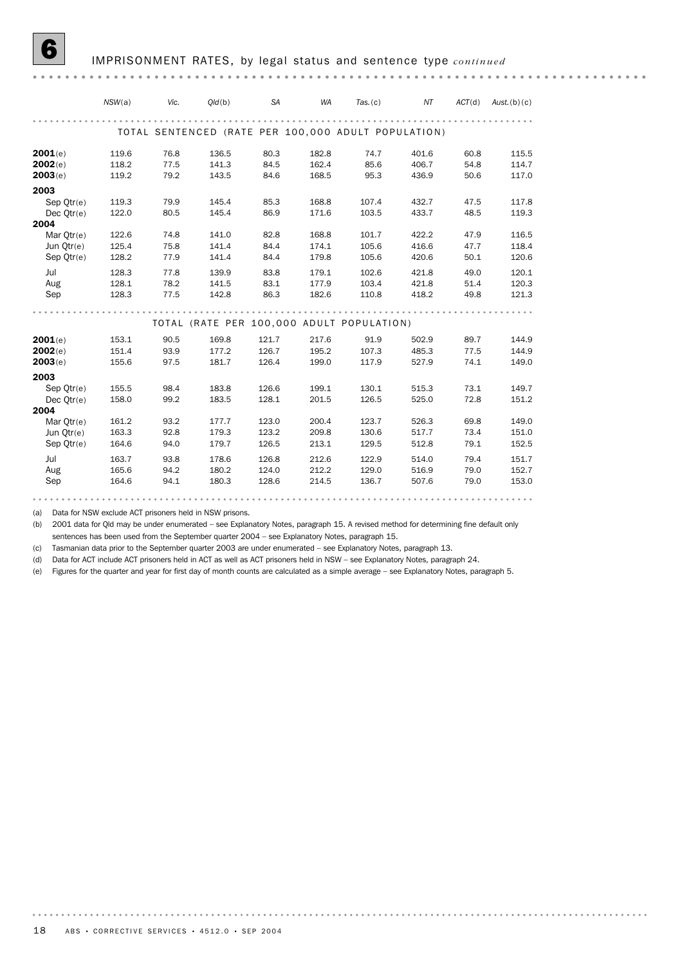|              | NSW(a) | Vic. | Old(b)                                              | <b>SA</b> | <b>WA</b> | Tas. (c) | NT    | ACT(d) | Aust.(b)(c) |
|--------------|--------|------|-----------------------------------------------------|-----------|-----------|----------|-------|--------|-------------|
|              |        |      | TOTAL SENTENCED (RATE PER 100,000 ADULT POPULATION) |           |           |          |       |        |             |
| 2001(e)      | 119.6  | 76.8 | 136.5                                               | 80.3      | 182.8     | 74.7     | 401.6 | 60.8   | 115.5       |
| 2002(e)      | 118.2  | 77.5 | 141.3                                               | 84.5      | 162.4     | 85.6     | 406.7 | 54.8   | 114.7       |
| 2003(e)      | 119.2  | 79.2 | 143.5                                               | 84.6      | 168.5     | 95.3     | 436.9 | 50.6   | 117.0       |
| 2003         |        |      |                                                     |           |           |          |       |        |             |
| Sep $Qtr(e)$ | 119.3  | 79.9 | 145.4                                               | 85.3      | 168.8     | 107.4    | 432.7 | 47.5   | 117.8       |
| Dec $Qtr(e)$ | 122.0  | 80.5 | 145.4                                               | 86.9      | 171.6     | 103.5    | 433.7 | 48.5   | 119.3       |
| 2004         |        |      |                                                     |           |           |          |       |        |             |
| Mar Otr(e)   | 122.6  | 74.8 | 141.0                                               | 82.8      | 168.8     | 101.7    | 422.2 | 47.9   | 116.5       |
| Jun Otr(e)   | 125.4  | 75.8 | 141.4                                               | 84.4      | 174.1     | 105.6    | 416.6 | 47.7   | 118.4       |
| Sep Qtr(e)   | 128.2  | 77.9 | 141.4                                               | 84.4      | 179.8     | 105.6    | 420.6 | 50.1   | 120.6       |
| Jul          | 128.3  | 77.8 | 139.9                                               | 83.8      | 179.1     | 102.6    | 421.8 | 49.0   | 120.1       |
| Aug          | 128.1  | 78.2 | 141.5                                               | 83.1      | 177.9     | 103.4    | 421.8 | 51.4   | 120.3       |
| Sep          | 128.3  | 77.5 | 142.8                                               | 86.3      | 182.6     | 110.8    | 418.2 | 49.8   | 121.3       |
|              |        |      |                                                     |           |           |          |       |        |             |
|              |        |      | TOTAL (RATE PER 100,000 ADULT POPULATION)           |           |           |          |       |        |             |
| 2001(e)      | 153.1  | 90.5 | 169.8                                               | 121.7     | 217.6     | 91.9     | 502.9 | 89.7   | 144.9       |
| 2002(e)      | 151.4  | 93.9 | 177.2                                               | 126.7     | 195.2     | 107.3    | 485.3 | 77.5   | 144.9       |
| 2003(e)      | 155.6  | 97.5 | 181.7                                               | 126.4     | 199.0     | 117.9    | 527.9 | 74.1   | 149.0       |
| 2003         |        |      |                                                     |           |           |          |       |        |             |
| Sep Otr(e)   | 155.5  | 98.4 | 183.8                                               | 126.6     | 199.1     | 130.1    | 515.3 | 73.1   | 149.7       |
| Dec $Qtr(e)$ | 158.0  | 99.2 | 183.5                                               | 128.1     | 201.5     | 126.5    | 525.0 | 72.8   | 151.2       |
| 2004         |        |      |                                                     |           |           |          |       |        |             |
| Mar $Qtr(e)$ | 161.2  | 93.2 | 177.7                                               | 123.0     | 200.4     | 123.7    | 526.3 | 69.8   | 149.0       |
| Jun Otr(e)   | 163.3  | 92.8 | 179.3                                               | 123.2     | 209.8     | 130.6    | 517.7 | 73.4   | 151.0       |
| Sep Qtr(e)   | 164.6  | 94.0 | 179.7                                               | 126.5     | 213.1     | 129.5    | 512.8 | 79.1   | 152.5       |
| Jul          | 163.7  | 93.8 | 178.6                                               | 126.8     | 212.6     | 122.9    | 514.0 | 79.4   | 151.7       |
| Aug          | 165.6  | 94.2 | 180.2                                               | 124.0     | 212.2     | 129.0    | 516.9 | 79.0   | 152.7       |
| Sep          | 164.6  | 94.1 | 180.3                                               | 128.6     | 214.5     | 136.7    | 507.6 | 79.0   | 153.0       |
|              |        |      |                                                     |           |           |          |       |        |             |

(a) Data for NSW exclude ACT prisoners held in NSW prisons.

(b) 2001 data for Qld may be under enumerated – see Explanatory Notes, paragraph 15. A revised method for determining fine default only sentences has been used from the September quarter 2004 – see Explanatory Notes, paragraph 15.

(c) Tasmanian data prior to the September quarter 2003 are under enumerated – see Explanatory Notes, paragraph 13.

(d) Data for ACT include ACT prisoners held in ACT as well as ACT prisoners held in NSW – see Explanatory Notes, paragraph 24.

(e) Figures for the quarter and year for first day of month counts are calculated as a simple average – see Explanatory Notes, paragraph 5.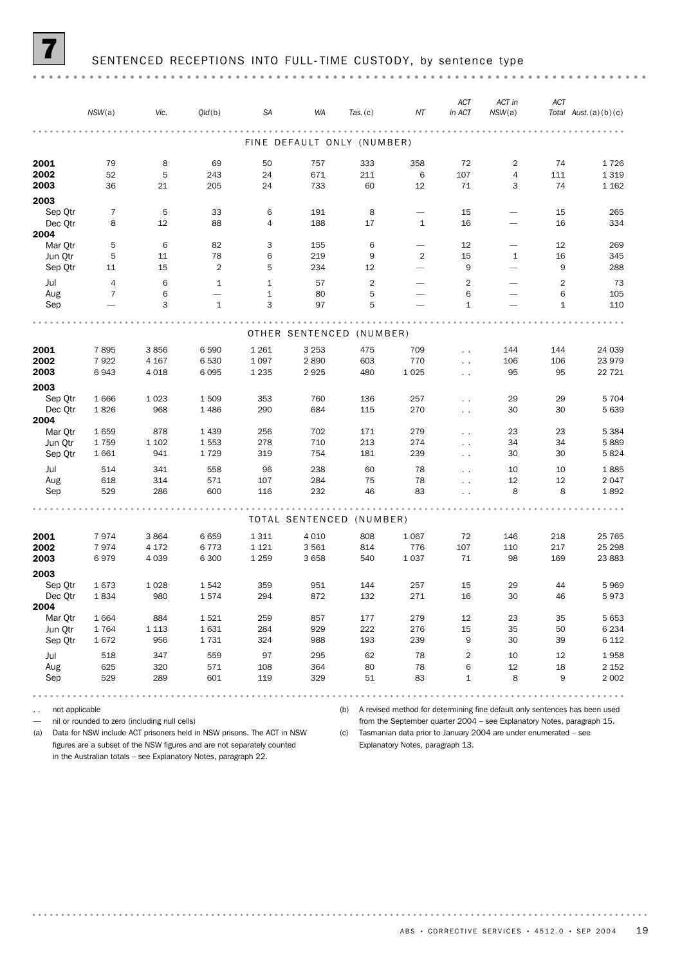## SENTENCED RECEPTIONS INTO FULL-TIME CUSTODY, by sentence type

|--|--|

|                    | NSW(a)              | Vic.            | Q/d(b)         | SA                  | WA                         | Tas. (c)        | ΝT                                       | <b>ACT</b><br>in ACT | ACT in<br>NSW(a)                                     | <b>ACT</b>     | Total $Aust. (a)(b)(c)$ |
|--------------------|---------------------|-----------------|----------------|---------------------|----------------------------|-----------------|------------------------------------------|----------------------|------------------------------------------------------|----------------|-------------------------|
|                    |                     |                 |                |                     |                            |                 |                                          |                      |                                                      |                |                         |
|                    |                     |                 |                |                     | FINE DEFAULT ONLY (NUMBER) |                 |                                          |                      |                                                      |                |                         |
| 2001               | 79                  | 8               | 69             | 50                  | 757                        | 333             | 358                                      | 72                   | $\overline{2}$                                       | 74             | 1726                    |
| 2002               | 52                  | 5               | 243            | 24                  | 671                        | 211             | 6                                        | 107                  | 4                                                    | 111            | 1 3 1 9                 |
| 2003               | 36                  | 21              | 205            | 24                  | 733                        | 60              | 12                                       | 71                   | 3                                                    | 74             | 1 1 6 2                 |
| 2003               |                     |                 |                |                     |                            |                 |                                          |                      |                                                      |                |                         |
| Sep Qtr<br>Dec Qtr | $\overline{7}$<br>8 | 5<br>12         | 33<br>88       | 6<br>$\overline{4}$ | 191<br>188                 | 8<br>17         | $\overline{\phantom{0}}$<br>$\mathbf{1}$ | 15<br>16             | $\overline{\phantom{0}}$<br>$\overline{\phantom{0}}$ | 15<br>16       | 265<br>334              |
| 2004               |                     |                 |                |                     |                            |                 |                                          |                      |                                                      |                |                         |
| Mar Qtr            | 5                   | 6               | 82             | 3                   | 155                        | $6\phantom{1}6$ | $\overline{\phantom{0}}$                 | 12                   | $\overline{\phantom{0}}$                             | 12             | 269                     |
| Jun Qtr            | 5                   | 11              | 78             | 6                   | 219                        | 9               | $\overline{2}$                           | 15                   | $\mathbf{1}$                                         | 16             | 345                     |
| Sep Qtr            | 11                  | 15              | $\overline{2}$ | 5                   | 234                        | 12              | $\overline{\phantom{0}}$                 | 9                    | $\overline{\phantom{0}}$                             | 9              | 288                     |
| Jul                | $\overline{4}$      | 6               | $\mathbf{1}$   | $\mathbf{1}$        | 57                         | $\overline{2}$  |                                          | $\overline{2}$       | ÷.                                                   | $\overline{2}$ | 73                      |
| Aug                | $\overline{7}$      | 6               |                | $\mathbf{1}$        | 80                         | 5               |                                          | 6                    |                                                      | 6              | 105                     |
| Sep                |                     | 3               | $\mathbf{1}$   | 3                   | 97                         | 5               |                                          | $\mathbf{1}$         |                                                      | $\mathbf{1}$   | 110                     |
|                    |                     |                 |                |                     |                            |                 |                                          |                      |                                                      |                |                         |
|                    |                     |                 |                |                     | OTHER SENTENCED (NUMBER)   |                 |                                          |                      |                                                      |                |                         |
| 2001               | 7895                | 3856            | 6590           | 1 2 6 1             | 3 2 5 3                    | 475             | 709                                      | $\ddot{\phantom{0}}$ | 144                                                  | 144            | 24 039                  |
| 2002               | 7922                | 4 1 6 7         | 6530           | 1 0 9 7             | 2890                       | 603             | 770                                      | $\ddot{\phantom{1}}$ | 106                                                  | 106            | 23 979                  |
| 2003               | 6943                | 4 0 18          | 6095           | 1 2 3 5             | 2925                       | 480             | 1025                                     | $\ddotsc$            | 95                                                   | 95             | 22 7 21                 |
| 2003               |                     |                 |                |                     |                            |                 |                                          |                      |                                                      |                |                         |
| Sep Qtr            | 1666                | 1 0 2 3         | 1509           | 353                 | 760<br>684                 | 136             | 257                                      | $\ddot{\phantom{0}}$ | 29                                                   | 29<br>30       | 5 704                   |
| Dec Otr<br>2004    | 1826                | 968             | 1 4 8 6        | 290                 |                            | 115             | 270                                      | $\ddotsc$            | 30                                                   |                | 5 639                   |
| Mar Otr            | 1659                | 878             | 1 4 3 9        | 256                 | 702                        | 171             | 279                                      | $\ddot{\phantom{0}}$ | 23                                                   | 23             | 5 3 8 4                 |
| Jun Otr            | 1759                | 1 1 0 2         | 1553           | 278                 | 710                        | 213             | 274                                      | $\ddot{\phantom{1}}$ | 34                                                   | 34             | 5889                    |
| Sep Qtr            | 1 6 6 1             | 941             | 1729           | 319                 | 754                        | 181             | 239                                      | $\sim$ $\sim$        | 30                                                   | 30             | 5824                    |
| Jul                | 514                 | 341             | 558            | 96                  | 238                        | 60              | 78                                       | $\ddot{\phantom{0}}$ | 10                                                   | 10             | 1885                    |
| Aug                | 618                 | 314             | 571            | 107                 | 284                        | 75              | 78                                       | $\overline{a}$       | 12                                                   | 12             | 2 0 4 7                 |
| Sep                | 529                 | 286             | 600            | 116                 | 232                        | 46              | 83                                       | $\ddot{\phantom{1}}$ | 8                                                    | 8              | 1892                    |
|                    |                     |                 |                |                     |                            |                 |                                          |                      |                                                      |                |                         |
|                    |                     |                 |                |                     | TOTAL SENTENCED            | (NUMBER)        |                                          |                      |                                                      |                |                         |
| 2001<br>2002       | 7974<br>7974        | 3864<br>4 1 7 2 | 6659<br>6773   | 1311<br>1 1 2 1     | 4 0 1 0<br>3561            | 808<br>814      | 1 0 6 7<br>776                           | 72<br>107            | 146<br>110                                           | 218<br>217     | 25 7 65<br>25 298       |
| 2003               | 6979                | 4 0 3 9         | 6 300          | 1 2 5 9             | 3 6 5 8                    | 540             | 1037                                     | 71                   | 98                                                   | 169            | 23 883                  |
| 2003               |                     |                 |                |                     |                            |                 |                                          |                      |                                                      |                |                         |
| Sep Qtr            | 1673                | 1028            | 1542           | 359                 | 951                        | 144             | 257                                      | 15                   | 29                                                   | 44             | 5969                    |
| Dec Qtr            | 1834                | 980             | 1574           | 294                 | 872                        | 132             | 271                                      | 16                   | 30                                                   | 46             | 5973                    |
| 2004               |                     |                 |                |                     |                            |                 |                                          |                      |                                                      |                |                         |
| Mar Otr            | 1 6 6 4             | 884             | 1521           | 259                 | 857                        | 177             | 279                                      | 12                   | 23                                                   | 35             | 5 6 5 3                 |
| Jun Qtr            | 1764                | 1 1 1 3         | 1631           | 284                 | 929                        | 222             | 276                                      | 15                   | 35                                                   | 50             | 6 2 3 4                 |
| Sep Qtr            | 1672                | 956             | 1731           | 324                 | 988                        | 193             | 239                                      | $\mathsf g$          | 30                                                   | 39             | 6 1 1 2                 |
| Jul                | 518                 | 347             | 559            | 97                  | 295                        | 62              | 78                                       | $\sqrt{2}$           | 10                                                   | 12             | 1958                    |
| Aug                | 625                 | 320             | 571            | 108                 | 364                        | 80              | 78                                       | 6                    | 12                                                   | 18             | 2 1 5 2                 |
| Sep                | 529                 | 289             | 601            | 119                 | 329                        | 51              | 83                                       | $\mathbf{1}$         | 8                                                    | 9              | 2 0 0 2                 |

.. not applicable

— nil or rounded to zero (including null cells)

(b) A revised method for determining fine default only sentences has been used from the September quarter 2004 – see Explanatory Notes, paragraph 15.

(a) Data for NSW include ACT prisoners held in NSW prisons. The ACT in NSW figures are a subset of the NSW figures and are not separately counted in the Australian totals – see Explanatory Notes, paragraph 22.

(c) Tasmanian data prior to January 2004 are under enumerated – see Explanatory Notes, paragraph 13.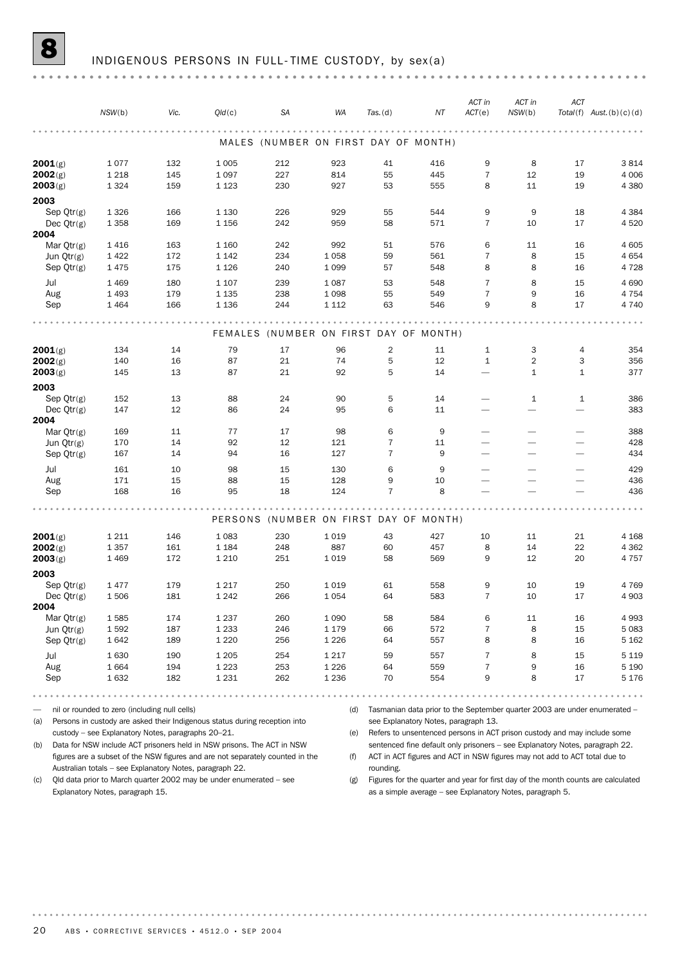|                      | NSW(b)                                                                     | Vic. | Q/d(c)  | SA  | WA      | $Tas.$ (d)     | ΝT                                                                           | ACT in<br>ACT(e)         | ACT in<br>NSW(b)         | ACT                      | $Total(f)$ Aust. $(b)(c)(d)$ |
|----------------------|----------------------------------------------------------------------------|------|---------|-----|---------|----------------|------------------------------------------------------------------------------|--------------------------|--------------------------|--------------------------|------------------------------|
|                      |                                                                            |      |         |     |         |                | MALES (NUMBER ON FIRST DAY OF MONTH)                                         |                          |                          |                          |                              |
| 2001(g)              | 1077                                                                       | 132  | 1 0 0 5 | 212 | 923     | 41             | 416                                                                          | 9                        | 8                        | 17                       | 3814                         |
| 2002(g)              | 1 2 1 8                                                                    | 145  | 1 0 9 7 | 227 | 814     | 55             | 445                                                                          | $\overline{7}$           | 12                       | 19                       | 4 0 0 6                      |
| 2003(g)              | 1 3 2 4                                                                    | 159  | 1 1 2 3 | 230 | 927     | 53             | 555                                                                          | 8                        | 11                       | 19                       | 4 3 8 0                      |
| 2003                 |                                                                            |      |         |     |         |                |                                                                              |                          |                          |                          |                              |
| Sep $Qtr(g)$         | 1 3 2 6                                                                    | 166  | 1 1 3 0 | 226 | 929     | 55             | 544                                                                          | 9                        | 9                        | 18                       | 4 3 8 4                      |
| Dec $Qtr(g)$         | 1 3 5 8                                                                    | 169  | 1 1 5 6 | 242 | 959     | 58             | 571                                                                          | $\overline{7}$           | 10                       | 17                       | 4520                         |
| 2004                 |                                                                            |      |         |     |         |                |                                                                              |                          |                          |                          |                              |
| Mar $Qtr(g)$         | 1416                                                                       | 163  | 1 1 6 0 | 242 | 992     | 51             | 576                                                                          | 6                        | 11                       | 16                       | 4 605                        |
| Jun Qtr(g)           | 1422                                                                       | 172  | 1 1 4 2 | 234 | 1058    | 59             | 561                                                                          | $\overline{7}$           | 8                        | 15                       | 4654                         |
| Sep Qtr(g)           | 1475                                                                       | 175  | 1 1 2 6 | 240 | 1 0 9 9 | 57             | 548                                                                          | 8                        | 8                        | 16                       | 4 7 2 8                      |
| Jul                  | 1 4 6 9                                                                    | 180  | 1 1 0 7 | 239 | 1087    | 53             | 548                                                                          | $\overline{7}$           | 8                        | 15                       | 4690                         |
| Aug                  | 1 4 9 3                                                                    | 179  | 1 1 3 5 | 238 | 1098    | 55             | 549                                                                          | $\overline{7}$           | 9                        | 16                       | 4 7 5 4                      |
| Sep                  | 1464                                                                       | 166  | 1 1 3 6 | 244 | 1 1 1 2 | 63             | 546                                                                          | 9                        | 8                        | 17                       | 4 7 4 0                      |
|                      |                                                                            |      |         |     |         |                |                                                                              |                          |                          |                          |                              |
|                      |                                                                            |      |         |     |         |                | FEMALES (NUMBER ON FIRST DAY OF MONTH)                                       |                          |                          |                          |                              |
| 2001(g)              | 134                                                                        | 14   | 79      | 17  | 96      | 2              | 11                                                                           | $\mathbf{1}$             | 3                        | 4                        | 354                          |
| 2002(g)              | 140                                                                        | 16   | 87      | 21  | 74      | 5              | 12                                                                           | $\mathbf{1}$             | $\overline{2}$           | 3                        | 356                          |
| 2003(g)              | 145                                                                        | 13   | 87      | 21  | 92      | 5              | 14                                                                           | $\overline{\phantom{0}}$ | $\mathbf{1}$             | $\mathbf{1}$             | 377                          |
| 2003                 |                                                                            |      |         |     |         |                |                                                                              |                          |                          |                          |                              |
| Sep $Qtr(g)$         | 152                                                                        | 13   | 88      | 24  | 90      | 5              | 14                                                                           |                          | $\mathbf{1}$             | $\mathbf{1}$             | 386                          |
| Dec $Qtr(g)$         | 147                                                                        | 12   | 86      | 24  | 95      | 6              | 11                                                                           |                          | $\qquad \qquad$          |                          | 383                          |
| 2004                 |                                                                            |      |         |     |         |                |                                                                              |                          |                          |                          |                              |
| Mar $Qtr(g)$         | 169                                                                        | 11   | 77      | 17  | 98      | 6              | 9                                                                            | $\overline{\phantom{0}}$ | $\overline{\phantom{0}}$ |                          | 388                          |
| Jun $Qtr(g)$         | 170                                                                        | 14   | 92      | 12  | 121     | $\overline{7}$ | 11                                                                           | $\overline{\phantom{0}}$ |                          | $\overline{\phantom{0}}$ | 428                          |
| Sep $Qtr(g)$         | 167                                                                        | 14   | 94      | 16  | 127     | $\overline{7}$ | 9                                                                            | $\overline{\phantom{0}}$ | $\overline{\phantom{0}}$ | $\overline{\phantom{0}}$ | 434                          |
| Jul                  | 161                                                                        | 10   | 98      | 15  | 130     | 6              | 9                                                                            | $\overline{\phantom{0}}$ | $\overline{\phantom{0}}$ | $\overline{\phantom{0}}$ | 429                          |
| Aug                  | 171                                                                        | 15   | 88      | 15  | 128     | 9              | 10                                                                           |                          |                          |                          | 436                          |
| Sep                  | 168                                                                        | 16   | 95      | 18  | 124     | $\overline{7}$ | 8                                                                            |                          |                          |                          | 436                          |
|                      |                                                                            |      |         |     |         |                |                                                                              |                          |                          |                          |                              |
|                      |                                                                            |      |         |     |         |                | PERSONS (NUMBER ON FIRST DAY OF MONTH)                                       |                          |                          |                          |                              |
| 2001(g)              | 1 2 1 1                                                                    | 146  | 1 0 8 3 | 230 | 1019    | 43             | 427                                                                          | 10                       | 11                       | 21                       | 4 1 6 8                      |
| 2002(g)              | 1 3 5 7                                                                    | 161  | 1 1 8 4 | 248 | 887     | 60             | 457                                                                          | 8                        | 14                       | 22                       | 4 3 6 2                      |
| 2003(g)              | 1469                                                                       | 172  | 1 2 1 0 | 251 | 1019    | 58             | 569                                                                          | 9                        | 12                       | 20                       | 4757                         |
|                      |                                                                            |      |         |     |         |                |                                                                              |                          |                          |                          |                              |
| 2003                 |                                                                            |      |         |     |         |                |                                                                              |                          |                          |                          |                              |
| Sep $Qtr(g)$         | 1477<br>1506                                                               | 179  | 1 2 1 7 | 250 | 1019    | 61             | 558                                                                          | 9                        | 10                       | 19                       | 4769                         |
| Dec $Qtr(g)$         |                                                                            | 181  | 1 2 4 2 | 266 | 1054    | 64             | 583                                                                          | 7                        | 10                       | 17                       | 4 9 0 3                      |
| 2004<br>Mar $Qtr(g)$ | 1585                                                                       | 174  | 1 2 3 7 | 260 | 1 0 9 0 | 58             | 584                                                                          | 6                        | 11                       | 16                       | 4993                         |
| Jun Qtr(g)           | 1592                                                                       | 187  | 1 2 3 3 | 246 | 1 1 7 9 | 66             | 572                                                                          | $\overline{7}$           | 8                        | 15                       | 5083                         |
| Sep $Qtr(g)$         | 1642                                                                       | 189  | 1 2 2 0 | 256 | 1 2 2 6 | 64             | 557                                                                          | 8                        | 8                        | 16                       | 5 1 6 2                      |
|                      |                                                                            |      |         |     |         |                |                                                                              |                          |                          |                          |                              |
| Jul                  | 1630                                                                       | 190  | 1 2 0 5 | 254 | 1 2 1 7 | 59             | 557                                                                          | $\overline{7}$           | 8                        | 15                       | 5 1 1 9                      |
| Aug                  | 1664                                                                       | 194  | 1 2 2 3 | 253 | 1 2 2 6 | 64             | 559                                                                          | $\overline{7}$           | 9                        | 16                       | 5 1 9 0                      |
| Sep                  | 1632                                                                       | 182  | 1 2 3 1 | 262 | 1 2 3 6 | 70             | 554                                                                          | 9                        | 8                        | 17                       | 5 1 7 6                      |
|                      | .                                                                          |      |         |     |         |                |                                                                              |                          |                          |                          |                              |
|                      | nil or rounded to zero (including null cells)                              |      |         |     | (d)     |                | Tasmanian data prior to the September quarter 2003 are under enumerated -    |                          |                          |                          |                              |
| (a)                  | Persons in custody are asked their Indigenous status during reception into |      |         |     |         |                | see Explanatory Notes, paragraph 13.                                         |                          |                          |                          |                              |
|                      | custody - see Explanatory Notes, paragraphs 20-21.                         |      |         |     |         |                | (e) Refers to unsentenced persons in ACT prison custody and may include some |                          |                          |                          |                              |

(b) Data for NSW include ACT prisoners held in NSW prisons. The ACT in NSW figures are a subset of the NSW figures and are not separately counted in the Australian totals – see Explanatory Notes, paragraph 22.

(c) Qld data prior to March quarter 2002 may be under enumerated – see Explanatory Notes, paragraph 15.

(e) Refers to unsentenced persons in ACT prison custody and may include some sentenced fine default only prisoners – see Explanatory Notes, paragraph 22.

(f) ACT in ACT figures and ACT in NSW figures may not add to ACT total due to rounding.

(g) Figures for the quarter and year for first day of the month counts are calculated as a simple average – see Explanatory Notes, paragraph 5.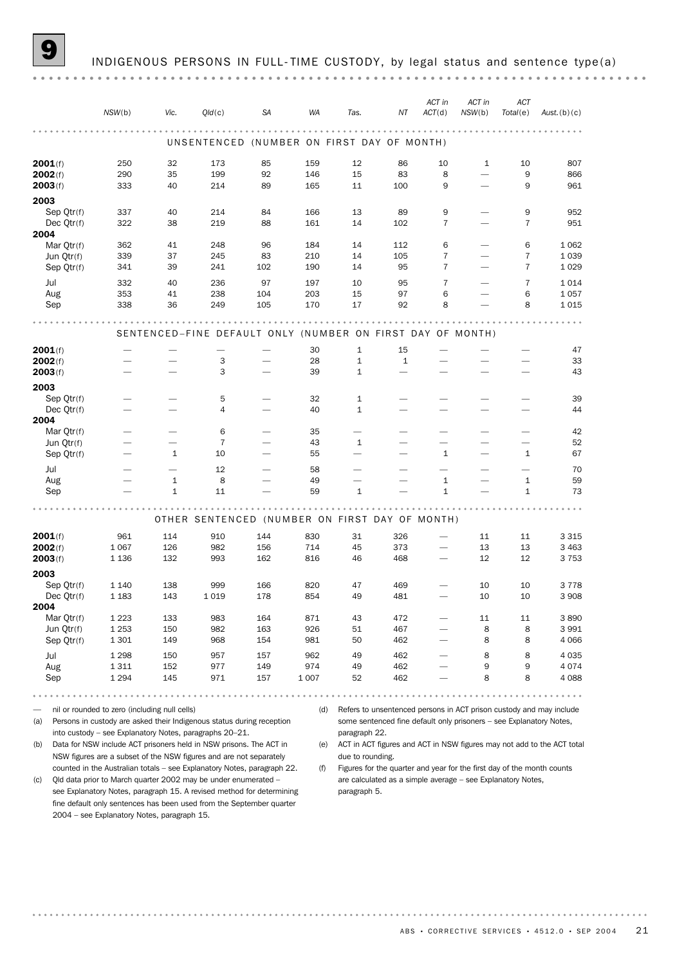|                          | NSW(b)                   | Vic.         | Q/d(c)                                                     | <b>SA</b>                    | WA         | Tas.                         | ΝT          | ACT in<br>ACT(d)         | ACT in<br>NSW(b)                                     | ACT<br>Total(e) | Aust. $(b)(c)$                                                        |
|--------------------------|--------------------------|--------------|------------------------------------------------------------|------------------------------|------------|------------------------------|-------------|--------------------------|------------------------------------------------------|-----------------|-----------------------------------------------------------------------|
|                          |                          |              | UNSENTENCED (NUMBER ON FIRST DAY OF MONTH)                 |                              |            |                              |             |                          |                                                      |                 |                                                                       |
| 2001(f)                  | 250                      | 32           | 173                                                        | 85                           | 159        | 12                           | 86          | 10                       | 1                                                    | 10              | 807                                                                   |
| 2002(f)<br>2003(f)       | 290<br>333               | 35<br>40     | 199<br>214                                                 | 92<br>89                     | 146<br>165 | 15<br>11                     | 83<br>100   | 8<br>9                   | $\overline{\phantom{0}}$<br>$\overline{\phantom{0}}$ | 9<br>9          | 866<br>961                                                            |
| 2003                     |                          |              |                                                            |                              |            |                              |             |                          |                                                      |                 |                                                                       |
| Sep Qtr(f)               | 337                      | 40           | 214                                                        | 84                           | 166        | 13                           | 89          | 9                        |                                                      | 9               | 952                                                                   |
| Dec Qtr(f)<br>2004       | 322                      | 38           | 219                                                        | 88                           | 161        | 14                           | 102         | 7                        |                                                      | $\overline{7}$  | 951                                                                   |
| Mar Qtr(f)               | 362                      | 41           | 248                                                        | 96                           | 184        | 14                           | 112         | 6                        |                                                      | 6               | 1 0 6 2                                                               |
| Jun Qtr(f)               | 339                      | 37           | 245                                                        | 83                           | 210        | 14                           | 105         | $\overline{7}$           |                                                      | $\overline{7}$  | 1 0 3 9                                                               |
| Sep Qtr(f)               | 341                      | 39           | 241                                                        | 102                          | 190        | 14                           | 95          | $\overline{7}$           | $\overline{\phantom{0}}$                             | 7               | 1 0 2 9                                                               |
| Jul                      | 332                      | 40           | 236                                                        | 97                           | 197        | 10                           | 95          | $\overline{7}$           |                                                      | $\overline{7}$  | 1014                                                                  |
| Aug                      | 353                      | 41           | 238                                                        | 104                          | 203        | 15                           | 97          | 6                        |                                                      | 6               | 1 0 5 7                                                               |
| Sep                      | 338                      | 36           | 249                                                        | 105                          | 170        | 17                           | 92          | 8                        |                                                      | 8               | 1015                                                                  |
|                          |                          |              | SENTENCED-FINE DEFAULT ONLY (NUMBER ON FIRST DAY OF MONTH) |                              |            |                              |             |                          |                                                      |                 |                                                                       |
|                          |                          |              |                                                            |                              |            |                              |             |                          |                                                      |                 |                                                                       |
| 2001(f)                  |                          |              | $\overline{\phantom{0}}$                                   |                              | 30         | $\mathbf{1}$                 | 15          |                          |                                                      |                 | 47                                                                    |
| 2002(f)<br>2003(f)       |                          |              | 3<br>3                                                     |                              | 28<br>39   | $\mathbf 1$<br>$\mathbf{1}$  | $\mathbf 1$ |                          | $\overline{\phantom{0}}$                             |                 | 33<br>43                                                              |
|                          |                          |              |                                                            |                              |            |                              |             |                          |                                                      |                 |                                                                       |
| 2003                     |                          |              |                                                            |                              |            |                              |             |                          |                                                      |                 |                                                                       |
| Sep Qtr(f)<br>Dec Qtr(f) |                          |              | 5<br>$\overline{4}$                                        | $\overline{\phantom{0}}$     | 32<br>40   | $\mathbf{1}$<br>$\mathbf{1}$ |             |                          |                                                      |                 | 39<br>44                                                              |
| 2004                     |                          |              |                                                            |                              |            |                              |             |                          |                                                      |                 |                                                                       |
| Mar Qtr(f)               |                          |              | 6                                                          |                              | 35         | $\overline{\phantom{0}}$     |             |                          | -                                                    |                 | 42                                                                    |
| Jun Qtr(f)               | -                        |              | $\overline{7}$                                             | $\overline{\phantom{0}}$     | 43         | $\mathbf{1}$                 |             | $\overline{\phantom{0}}$ | -                                                    |                 | 52                                                                    |
| Sep Qtr(f)               | $\overline{\phantom{0}}$ | 1            | 10                                                         | $\overbrace{\qquad \qquad }$ | 55         |                              |             | 1                        |                                                      | 1               | 67                                                                    |
| Jul                      |                          |              | 12                                                         |                              | 58         |                              |             |                          |                                                      |                 | 70                                                                    |
| Aug                      |                          | 1            | 8                                                          |                              | 49         |                              |             | 1                        |                                                      | 1               | 59                                                                    |
| Sep                      |                          | $\mathbf{1}$ | 11                                                         |                              | 59         | $\mathbf{1}$                 |             | $\mathbf{1}$             |                                                      | 1               | 73                                                                    |
|                          |                          |              |                                                            |                              |            |                              |             |                          |                                                      |                 |                                                                       |
|                          |                          |              | OTHER SENTENCED (NUMBER ON FIRST DAY OF MONTH)             |                              |            |                              |             |                          |                                                      |                 |                                                                       |
| 2001(f)                  | 961                      | 114          | 910                                                        | 144                          | 830        | 31                           | 326         |                          | 11                                                   | 11              | 3 3 1 5                                                               |
| 2002(f)                  | 1 0 6 7                  | 126          | 982                                                        | 156                          | 714        | 45                           | 373         |                          | 13                                                   | 13              | 3 4 6 3                                                               |
| 2003(f)                  | 1 1 3 6                  | 132          | 993                                                        | 162                          | 816        | 46                           | 468         |                          | 12                                                   | 12              | 3753                                                                  |
| 2003                     |                          |              |                                                            |                              |            |                              |             |                          |                                                      |                 |                                                                       |
| Sep Qtr(f)               | 1 1 4 0                  | 138          | 999                                                        | 166                          | 820        | 47                           | 469         |                          | 10                                                   | 10              | 3778                                                                  |
| Dec $Qtr(f)$<br>2004     | 1 1 8 3                  | 143          | 1019                                                       | 178                          | 854        | 49                           | 481         |                          | 10                                                   | 10              | 3 9 0 8                                                               |
| Mar Otr(f)               | 1 2 2 3                  | 133          | 983                                                        | 164                          | 871        | 43                           | 472         |                          | 11                                                   | 11              | 3890                                                                  |
| Jun Qtr(f)               | 1 2 5 3                  | 150          | 982                                                        | 163                          | 926        | 51                           | 467         |                          | 8                                                    | 8               | 3 9 9 1                                                               |
| Sep Qtr(f)               | 1 3 0 1                  | 149          | 968                                                        | 154                          | 981        | 50                           | 462         |                          | 8                                                    | 8               | 4 0 6 6                                                               |
| Jul                      | 1 2 9 8                  | 150          | 957                                                        | 157                          | 962        | 49                           | 462         |                          | 8                                                    | 8               | 4 0 35                                                                |
| Aug                      | 1311                     | 152          | 977                                                        | 149                          | 974        | 49                           | 462         |                          | 9                                                    | 9               | 4 0 7 4                                                               |
| Sep                      | 1 2 9 4                  | 145          | 971                                                        | 157                          | 1 0 0 7    | 52                           | 462         |                          | 8                                                    | 8               | 4 0 8 8                                                               |
|                          |                          |              |                                                            |                              |            |                              | 0.0.0.0.    |                          |                                                      |                 | $\begin{array}{cccccccccccccc} 0 & 0 & 0 & 0 & 0 & 0 & 0 \end{array}$ |

— nil or rounded to zero (including null cells)

(a) Persons in custody are asked their Indigenous status during reception into custody – see Explanatory Notes, paragraphs 20–21.

(b) Data for NSW include ACT prisoners held in NSW prisons. The ACT in NSW figures are a subset of the NSW figures and are not separately

counted in the Australian totals – see Explanatory Notes, paragraph 22. (c) Qld data prior to March quarter 2002 may be under enumerated –

see Explanatory Notes, paragraph 15. A revised method for determining fine default only sentences has been used from the September quarter 2004 – see Explanatory Notes, paragraph 15.

(d) Refers to unsentenced persons in ACT prison custody and may include some sentenced fine default only prisoners - see Explanatory Notes, paragraph 22.

(e) ACT in ACT figures and ACT in NSW figures may not add to the ACT total due to rounding.

(f) Figures for the quarter and year for the first day of the month counts are calculated as a simple average – see Explanatory Notes, paragraph 5.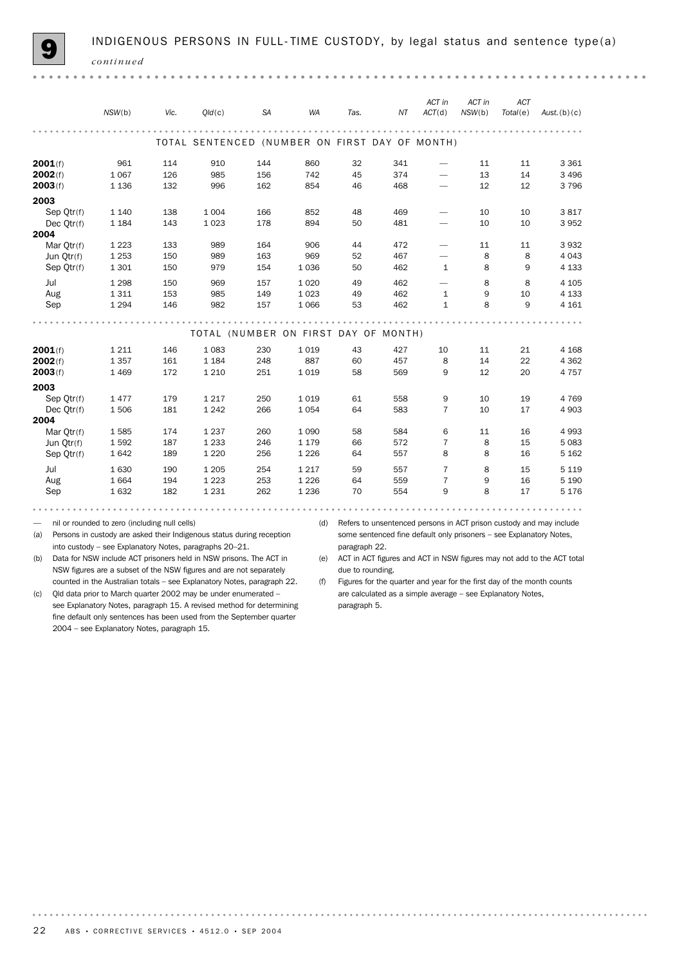| INDIGENOUS PERSONS IN FULL-TIME CUSTODY, by legal status and sentence type(a) |  |
|-------------------------------------------------------------------------------|--|
|-------------------------------------------------------------------------------|--|

**9** INDIGENOUS PERSONS IN FULL-TIME CUSTODY, by legal status and sentence type(a) *continued* . . . . . . . . . . . . . . . . . .  $0.10 - 0.1$ . . . . . . . . . . . *ACT in ACT in ACT NSW*(b) *Vic. Qld*(c) *SA WA Tas. NT ACT*(d) *NSW*(b) *Total*(e) *Aust.*(b)(c) . . . . . . TOTAL SENTENCED (NUMBER ON FIRST DAY OF MONTH) **2001**(f) 961 114 910 144 860 32 341 — 11 11 3361 **2002**(f) 1 067 126 985 156 742 45 374 — 13 14 3 496 **2003**(f) 1 136 132 996 162 854 46 468 — 12 12 3 796 2003 Sep Qtr(f) 1 140 138 1 004 166 852 48 469 — 10 10 3 817 Dec Qtr(f) 1 184 143 1 023 178 894 50 481 — 10 10 3 952 2004 Mar Qtr(f) 1 223 133 989 164 906 44 472 — 11 11 3 932 Jun Qtr(f) 1 253 150 989 163 969 52 467 — 8 8 4 043 Sep Qtr(f) 1 301 150 979 154 1 036 50 462 1 8 9 4 133 Jul 1 298 150 969 157 1 020 49 462 — 8 8 4 105 Aug 1 311 153 985 149 1 023 49 462 1 9 10 4 133 Sep 1 294 146 982 157 1 066 53 462 1 8 9 4 161 . . . . . . . . . . . . . . .  $\frac{1}{2}$  $\frac{1}{2} \left( \frac{1}{2} \right) \left( \frac{1}{2} \right)$ TOTAL (NUMBER ON FIRST DAY OF MONTH) **2001**(f) 1 211 146 1 083 230 1 019 43 427 10 11 21 4 168 **2002**(f) 1 357 161 1 184 248 887 60 457 8 14 22 4 362 **2003**(f) 1 469 172 1 210 251 1 019 58 569 9 12 20 4 757  $2003$ <br>Sep Qtr(f) Sep Qtr(f) 1 477 179 1 217 250 1 019 61 558 9 10 19 4 769 Dec Qtr(f) 1 506 181 1 242 266 1 054 64 583 7 10 17 4 903  $2004$ <br>Mar Otr(f) Mar Qtr(f) 1 585 174 1 237 260 1 090 58 584 6 11 16 4 993 Jun Qtr(f) 1 592 187 1 233 246 1 179 66 572 7 8 15 5 083 Sep Qtr(f) 1 642 189 1 220 256 1 226 64 557 8 8 16 5 162 Jul 1 630 190 1 205 254 1 217 59 557 7 8 15 5 119 Aug 1 664 194 1 223 253 1 226 64 559 7 9 16 5 190 Sep 1 632 182 1 231 262 1 236 70 554 9 8 17 5 176 . . . . . . . . . . . . . . . . . . . . . . . . . . . .  $\cdots$  $\begin{array}{cccccccccccccc} a & a & a & a & a & a & a \end{array}$ . . . . . . . . . .  $\rightarrow + +$ — nil or rounded to zero (including null cells) (d) Refers to unsentenced persons in ACT prison custody and may include (a) Persons in custody are asked their Indigenous status during reception some sentenced fine default only prisoners – see Explanatory Notes, into custody – see Explanatory Notes, paragraphs 20–21. paragraph 22. (b) Data for NSW include ACT prisoners held in NSW prisons. The ACT in

NSW figures are a subset of the NSW figures and are not separately counted in the Australian totals – see Explanatory Notes, paragraph 22. (e) ACT in ACT figures and ACT in NSW figures may not add to the ACT total due to rounding.

(f) Figures for the quarter and year for the first day of the month counts are calculated as a simple average – see Explanatory Notes, paragraph 5.

(c) Qld data prior to March quarter 2002 may be under enumerated – see Explanatory Notes, paragraph 15. A revised method for determining fine default only sentences has been used from the September quarter 2004 – see Explanatory Notes, paragraph 15.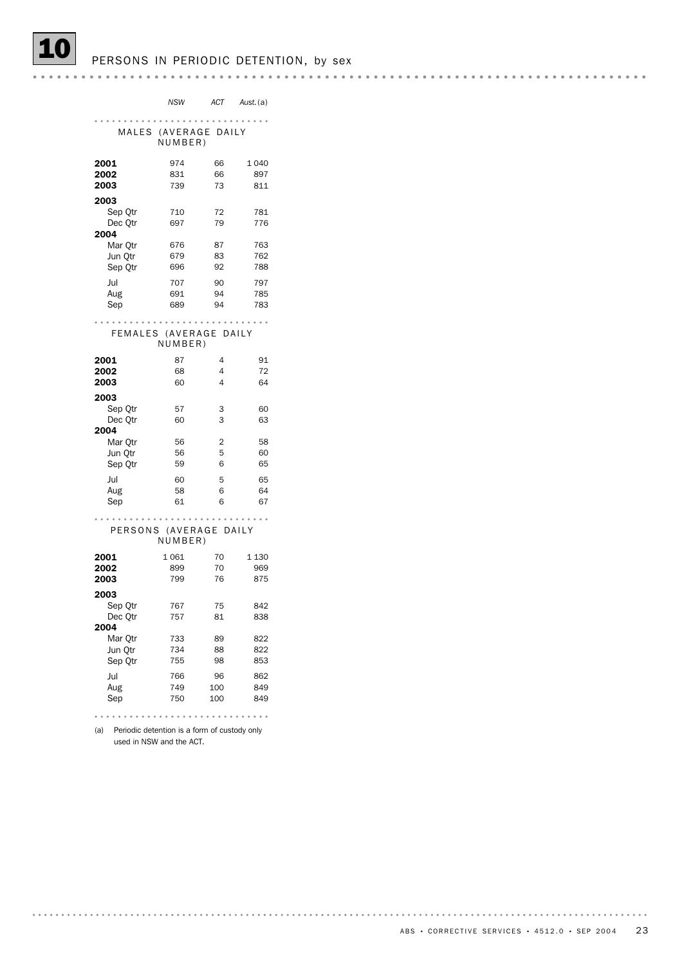(a) Periodic detention is a form of custody only used in NSW and the ACT.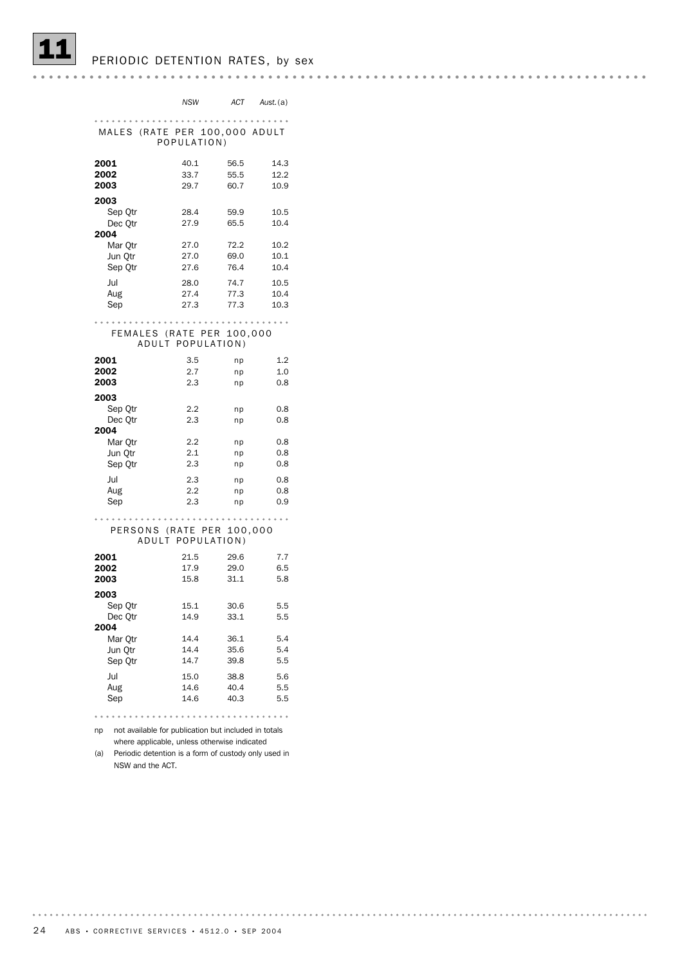PERIODIC DETENTION RATES, by sex

*NSW ACT Aust.*(a) MALES (RATE PER 100,000 ADULT POPULATION) 2001 40.1 56.5 14.3 2002 33.7 55.5 12.2 2003 29.7 60.7 10.9 **2003**<br>Sep Otr Sep Qtr 28.4 59.9 10.5 Dec Qtr 27.9 65.5 10.4  $2004$  Mar Qtr Mar Qtr 27.0 72.2 10.2 Jun Qtr 27.0 69.0 10.1 Sep Qtr 27.6 76.4 10.4 Jul 28.0 74.7 10.5 Aug 27.4 77.3 10.4 Sep 27.3 77.3 10.3 FEMALES (RATE PER 100,000 ADULT POPULATION) 2001 3.5 np 1.2 2002 2.7 np 1.0 2003 2.3 np 0.8 2003 Sep Qtr 2.2 np 0.8 Dec Qtr 2.3 np 0.8 2004 Mar Qtr 2.2 np 0.8 Jun Qtr 2.1 np 0.8 Sep Qtr 2.3 np 0.8 Jul 2.3 np 0.8 Aug 2.2 np 0.8 Sep 2.3 np 0.9 PERSONS (RATE PER 100,000 ADULT POPULATION) 2001 21.5 29.6 7.7 2002 17.9 29.0 6.5 2003 15.8 31.1 5.8 2003 Sep Qtr 15.1 30.6 5.5 Dec Qtr 14.9 33.1 5.5 2004 Mar Qtr 14.4 36.1 5.4 Jun Qtr 14.4 35.6 5.4 Sep Qtr 14.7 39.8 5.5 Jul 15.0 38.8 5.6 Aug 14.6 40.4 5.5 Sep 14.6 40.3 5.5 

np not available for publication but included in totals where applicable, unless otherwise indicated

(a) Periodic detention is a form of custody only used in NSW and the ACT.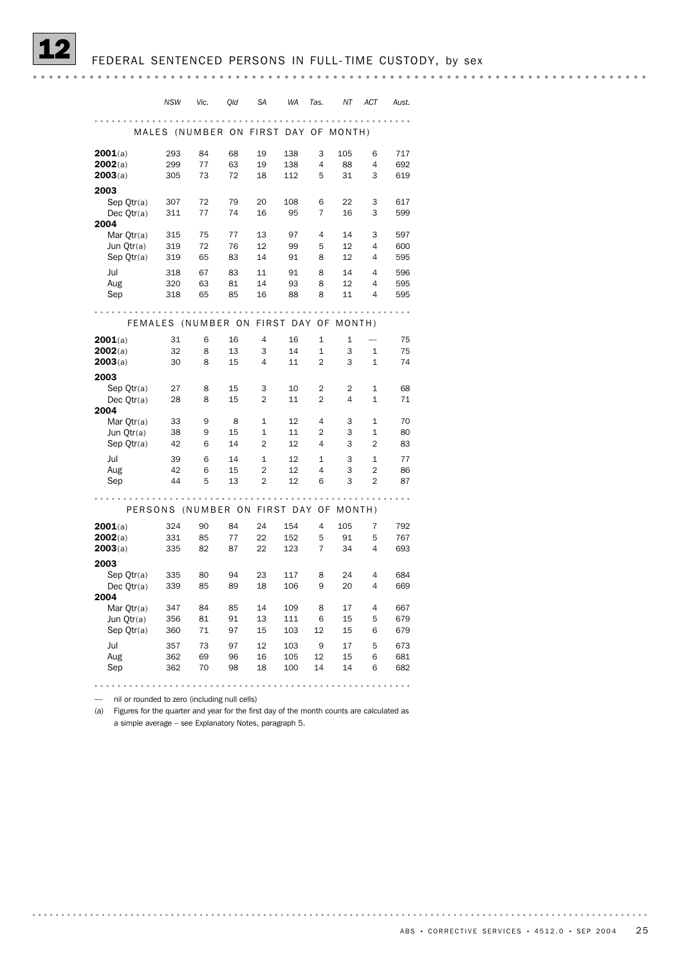|                    | <b>NSW</b>                           | Vic.     | Qld      | <b>SA</b>      | <b>WA</b>        | Tas.           | ΝT             | <b>ACT</b>     | Aust.      |
|--------------------|--------------------------------------|----------|----------|----------------|------------------|----------------|----------------|----------------|------------|
|                    |                                      |          |          |                |                  |                |                |                |            |
|                    | MALES (NUMBER ON FIRST DAY OF MONTH) |          |          |                |                  |                |                |                |            |
| 2001(a)            | 293                                  | 84       | 68       | 19             | 138              | 3              | 105            | 6              | 717        |
| 2002(a)            | 299                                  | 77       | 63       | 19             | 138              | 4              | 88             | 4              | 692        |
| 2003(a)            | 305                                  | 73       | 72       | 18             | 112              | 5              | 31             | 3              | 619        |
| 2003               |                                      |          |          |                |                  |                |                |                |            |
| Sep Qtr(a)         | 307                                  | 72       | 79       | 20             | 108              | 6              | 22             | 3              | 617        |
| Dec Otr(a)<br>2004 | 311                                  | 77       | 74       | 16             | 95               | 7              | 16             | 3              | 599        |
| Mar Qtr(a)         | 315                                  | 75       | 77       | 13             | 97               | $\overline{4}$ | 14             | 3              | 597        |
| Jun Qtr(a)         | 319                                  | 72       | 76       | 12             | 99               | 5              | 12             | 4              | 600        |
| Sep Qtr(a)         | 319                                  | 65       | 83       | 14             | 91               | 8              | 12             | 4              | 595        |
| Jul                | 318                                  | 67       | 83       | 11             | 91               | 8              | 14             | 4              | 596        |
| Aug                | 320                                  | 63       | 81       | 14             | 93               | 8              | 12             | 4              | 595        |
| Sep                | 318                                  | 65       | 85       | 16             | 88               | 8              | 11             | 4              | 595        |
|                    |                                      |          |          |                |                  |                |                |                |            |
|                    | FEMALES (NUMBER ON                   |          |          |                | <b>FIRST DAY</b> | 0F             | MONTH)         |                |            |
| 2001(a)            | 31                                   | 6        | 16       | 4              | 16               | 1              | 1              |                | 75         |
| 2002(a)            | 32                                   | 8        | 13       | 3              | 14               | $\mathbf{1}$   | 3              | $\mathbf{1}$   | 75         |
| 2003(a)            | 30                                   | 8        | 15       | 4              | 11               | $\overline{2}$ | 3              | $\mathbf{1}$   | 74         |
| 2003               |                                      |          |          |                |                  |                |                |                |            |
| Sep Qtr(a)         | 27                                   | 8        | 15       | 3              | 10               | $\overline{2}$ | $\overline{2}$ | $\mathbf 1$    | 68         |
| Dec Qtr(a)<br>2004 | 28                                   | 8        | 15       | $\overline{2}$ | 11               | $\overline{2}$ | 4              | $\mathbf{1}$   | 71         |
| Mar Otr(a)         | 33                                   | 9        | 8        | $\mathbf{1}$   | 12               | 4              | 3              | $\mathbf{1}$   | 70         |
| Jun Qtr(a)         | 38                                   | 9        | 15       | $\mathbf{1}$   | 11               | $\overline{2}$ | 3              | $\mathbf 1$    | 80         |
| Sep Qtr(a)         | 42                                   | 6        | 14       | $\overline{2}$ | 12               | 4              | 3              | $\overline{2}$ | 83         |
| Jul                | 39                                   | 6        | 14       | $\mathbf{1}$   | 12               | $\mathbf{1}$   | 3              | $\mathbf{1}$   | 77         |
| Aug                | 42                                   | 6        | 15       | $\overline{2}$ | 12               | 4              | 3              | $\overline{2}$ | 86         |
| Sep                | 44                                   | 5        | 13       | $\overline{2}$ | 12               | 6              | 3              | $\overline{2}$ | 87         |
|                    |                                      |          |          |                |                  |                |                |                |            |
|                    | PERSONS (NUMBER ON                   |          |          | <b>FIRST</b>   | DAY              | 0F             | $MONTH$ )      |                |            |
| 2001(a)            | 324                                  | 90       | 84       | 24             | 154              | 4              | 105            | $\overline{7}$ | 792        |
| 2002(a)<br>2003(a) | 331<br>335                           | 85<br>82 | 77<br>87 | 22<br>22       | 152<br>123       | 5<br>7         | 91<br>34       | 5<br>4         | 767<br>693 |
| 2003               |                                      |          |          |                |                  |                |                |                |            |
| Sep Qtr(a)         | 335                                  | 80       | 94       | 23             | 117              | 8              | 24             | 4              | 684        |
| Dec $Qtr(a)$       | 339                                  | 85       | 89       | 18             | 106              | 9              | 20             | 4              | 669        |
| 2004               |                                      |          |          |                |                  |                |                |                |            |
| Mar Qtr(a)         | 347                                  | 84       | 85       | 14             | 109              | 8              | 17             | 4              | 667        |
| Jun Qtr(a)         | 356<br>360                           | 81<br>71 | 91<br>97 | 13<br>15       | 111<br>103       | 6<br>12        | 15<br>15       | 5<br>6         | 679<br>679 |
| Sep Qtr(a)         |                                      |          |          |                |                  |                |                |                |            |
| Jul                | 357                                  | 73       | 97       | 12             | 103              | 9              | 17             | 5              | 673        |
| Aug<br>Sep         | 362<br>362                           | 69<br>70 | 96<br>98 | 16<br>18       | 105<br>100       | 12<br>14       | 15<br>14       | 6<br>6         | 681<br>682 |
|                    |                                      |          |          |                |                  |                |                |                |            |
|                    |                                      |          |          |                |                  |                |                |                |            |

— nil or rounded to zero (including null cells)

(a) Figures for the quarter and year for the first day of the month counts are calculated as a simple average – see Explanatory Notes, paragraph 5.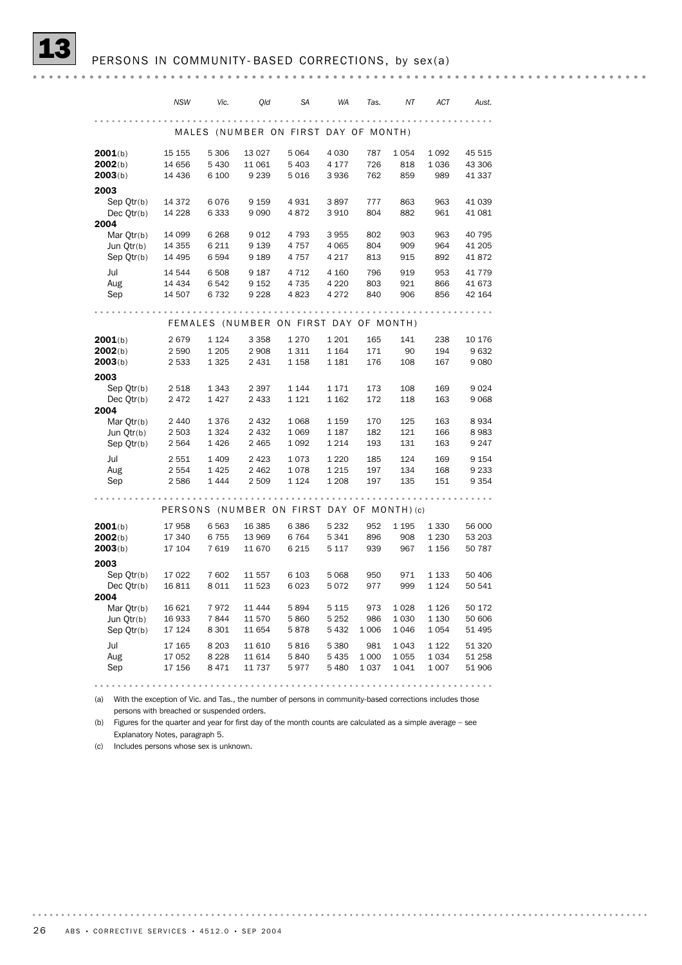|                            | <b>NSW</b>         | Vic.            | Qld                                        | <b>SA</b>          | WA                 | Tas.       | ΝT         | ACT        | Aust.        |
|----------------------------|--------------------|-----------------|--------------------------------------------|--------------------|--------------------|------------|------------|------------|--------------|
|                            |                    |                 |                                            |                    |                    |            |            |            |              |
|                            | MALES              |                 | (NUMBER ON FIRST DAY OF MONTH)             |                    |                    |            |            |            |              |
| 2001(b)                    | 15 155             | 5 3 0 6         | 13 0 27                                    | 5 0 6 4            | 4 0 3 0            | 787        | 1 0 5 4    | 1 0 9 2    | 45 515       |
| 2002(b)                    | 14 656             | 5 4 3 0         | 11 061                                     | 5 4 0 3            | 4 177              | 726        | 818        | 1036       | 43 306       |
| 2003(b)                    | 14 4 36            | 6 100           | 9 2 3 9                                    | 5016               | 3936               | 762        | 859        | 989        | 41 337       |
| 2003                       |                    |                 |                                            |                    |                    |            |            |            |              |
| Sep Qtr(b)                 | 14 3 7 2           | 6076            | 9 1 5 9                                    | 4931               | 3897               | 777        | 863        | 963        | 41 039       |
| Dec Qtr(b)                 | 14 2 28            | 6 3 3 3         | 9090                                       | 4872               | 3 9 1 0            | 804        | 882        | 961        | 41 081       |
| 2004                       |                    |                 |                                            |                    |                    |            |            |            |              |
| Mar $Qtr(b)$               | 14 099             | 6 2 6 8         | 9012                                       | 4 7 9 3            | 3955               | 802        | 903        | 963        | 40 795       |
| Jun Qtr(b)                 | 14 3 5 5           | 6 2 1 1         | 9 1 3 9                                    | 4 757              | 4 0 6 5            | 804        | 909        | 964        | 41 205       |
| Sep Qtr(b)                 | 14 4 95            | 6 5 9 4         | 9 1 8 9                                    | 4 757              | 4 2 1 7            | 813        | 915        | 892        | 41872        |
| Jul                        | 14 544             | 6 508           | 9 1 8 7                                    | 4 7 1 2            | 4 160              | 796        | 919        | 953        | 41 779       |
| Aug                        | 14 4 34            | 6 5 4 2         | 9 1 5 2                                    | 4 7 3 5            | 4 2 2 0            | 803        | 921        | 866        | 41 673       |
| Sep                        | 14 507             | 6732            | 9 2 2 8                                    | 4823               | 4 2 7 2            | 840        | 906        | 856        | 42 164       |
|                            |                    |                 |                                            |                    |                    |            |            |            |              |
|                            |                    |                 | FEMALES (NUMBER ON FIRST DAY OF MONTH)     |                    |                    |            |            |            |              |
| 2001(b)                    | 2679               | 1 1 2 4         | 3 3 5 8                                    | 1 2 7 0            | 1 2 0 1            | 165        | 141        | 238        | 10 176       |
| 2002(b)                    | 2 5 9 0            | 1 2 0 5         | 2 9 0 8                                    | 1 3 1 1            | 1 1 6 4            | 171        | 90         | 194        | 9632         |
| 2003(b)                    | 2 533              | 1 3 2 5         | 2 4 3 1                                    | 1 1 5 8            | 1 1 8 1            | 176        | 108        | 167        | 9080         |
| 2003                       |                    |                 |                                            |                    |                    |            |            |            |              |
| Sep Qtr(b)                 | 2 5 1 8            | 1 3 4 3         | 2 3 9 7                                    | 1 1 4 4            | 1 1 7 1            | 173        | 108        | 169        | 9024         |
| Dec Qtr(b)                 | 2472               | 1 4 2 7         | 2 4 3 3                                    | 1 1 2 1            | 1 1 6 2            | 172        | 118        | 163        | 9068         |
| 2004                       |                    |                 |                                            |                    |                    |            |            |            |              |
| Mar Qtr(b)                 | 2 4 4 0            | 1376            | 2 4 3 2<br>2 4 3 2                         | 1 0 6 8            | 1 1 5 9            | 170<br>182 | 125<br>121 | 163        | 8934<br>8983 |
| Jun $Qtr(b)$<br>Sep Qtr(b) | 2 5 0 3<br>2 5 6 4 | 1 3 2 4<br>1426 | 2 4 6 5                                    | 1 0 6 9<br>1 0 9 2 | 1 1 8 7<br>1 2 1 4 | 193        | 131        | 166<br>163 | 9 2 4 7      |
|                            |                    |                 |                                            |                    |                    |            |            |            |              |
| Jul                        | 2 5 5 1            | 1 4 0 9         | 2 4 2 3                                    | 1073               | 1 2 2 0            | 185        | 124        | 169        | 9 1 5 4      |
| Aug                        | 2 554              | 1 4 2 5         | 2 4 6 2                                    | 1078               | 1 2 1 5            | 197        | 134        | 168        | 9 2 3 3      |
| Sep                        | 2586               | 1444            | 2 5 0 9                                    | 1 1 2 4            | 1 2 0 8            | 197        | 135        | 151        | 9 3 5 4      |
|                            |                    |                 | PERSONS (NUMBER ON FIRST DAY OF MONTH) (c) |                    |                    |            |            |            |              |
|                            |                    |                 |                                            |                    |                    |            |            |            |              |
| 2001(b)                    | 17958              | 6 5 63          | 16 3 85                                    | 6386               | 5 2 3 2            | 952        | 1 1 9 5    | 1 3 3 0    | 56 000       |
| 2002(b)                    | 17 340             | 6755            | 13 969                                     | 6764               | 5 3 4 1            | 896<br>939 | 908<br>967 | 1 2 3 0    | 53 203       |
| 2003(b)                    | 17 104             | 7619            | 11 670                                     | 6 2 1 5            | 5 1 1 7            |            |            | 1 1 5 6    | 50 787       |
| 2003<br>Sep Qtr(b)         | 17 022             | 7 602           | 11 557                                     | 6 1 0 3            | 5 0 68             | 950        | 971        | 1 1 3 3    | 50 406       |
| Dec $Qtr(b)$               | 16811              | 8 0 1 1         | 11 523                                     | 6023               | 5072               | 977        | 999        | 1 1 2 4    | 50 541       |
| 2004                       |                    |                 |                                            |                    |                    |            |            |            |              |
| Mar $Qtr(b)$               | 16 621             | 7972            | 11 4 4 4                                   | 5894               | 5 115              | 973        | 1028       | 1 1 2 6    | 50 172       |
| Jun Qtr(b)                 | 16 933             | 7844            | 11 570                                     | 5860               | 5 2 5 2            | 986        | 1 0 3 0    | 1 1 3 0    | 50 606       |
| Sep Qtr(b)                 | 17 124             | 8 3 0 1         | 11 654                                     | 5878               | 5432               | 1 0 0 6    | 1046       | 1 0 5 4    | 51 495       |
| Jul                        | 17 165             | 8 2 0 3         | 11 610                                     | 5816               | 5 3 8 0            | 981        | 1043       | 1 1 2 2    | 51 320       |
| Aug                        | 17 052             | 8 2 2 8         | 11 614                                     | 5840               | 5435               | 1 0 0 0    | 1055       | 1 0 3 4    | 51 258       |
| Sep                        | 17 156             | 8471            | 11 737                                     | 5977               | 5 4 8 0            | 1 0 3 7    | 1041       | 1 0 0 7    | 51 906       |
|                            |                    |                 |                                            |                    |                    |            |            |            |              |
|                            |                    |                 |                                            |                    |                    |            |            |            |              |

(a) With the exception of Vic. and Tas., the number of persons in community-based corrections includes those persons with breached or suspended orders.

(b) Figures for the quarter and year for first day of the month counts are calculated as a simple average – see Explanatory Notes, paragraph 5.

(c) Includes persons whose sex is unknown.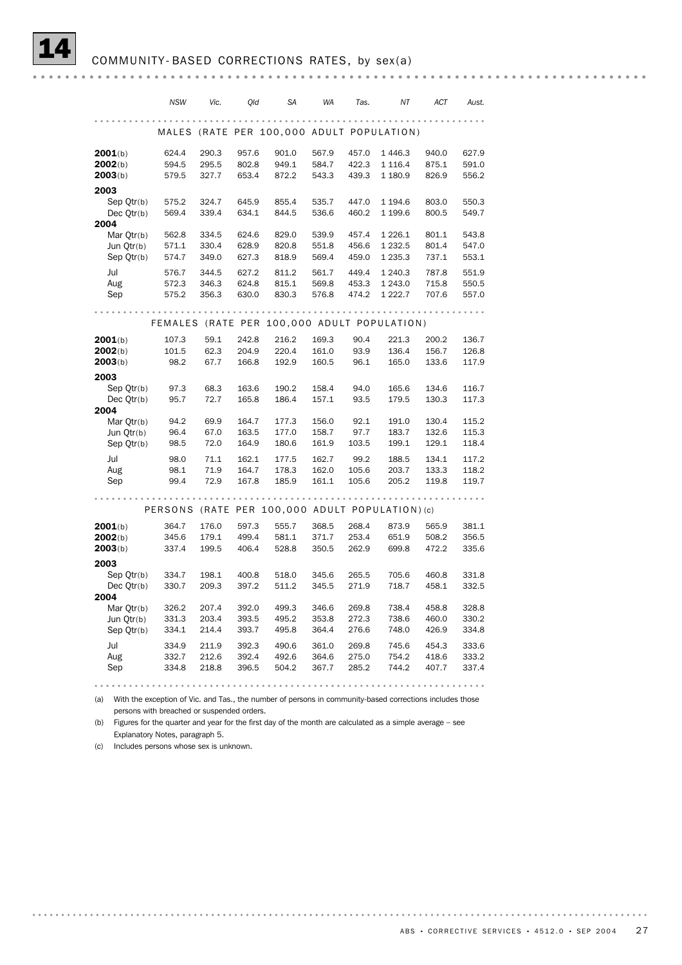|                          | <b>NSW</b>     | Vic.           | Qld            | <b>SA</b>      | WA             | Tas.           | ΝT                                      | ACT            | Aust.          |
|--------------------------|----------------|----------------|----------------|----------------|----------------|----------------|-----------------------------------------|----------------|----------------|
|                          |                |                |                |                |                |                |                                         |                |                |
|                          | MALES          |                |                |                |                |                | (RATE PER 100,000 ADULT POPULATION)     |                |                |
| 2001(b)                  | 624.4          | 290.3          | 957.6          | 901.0          | 567.9          | 457.0          | 1 4 4 6.3                               | 940.0          | 627.9          |
| 2002(b)                  | 594.5          | 295.5          | 802.8          | 949.1          | 584.7          | 422.3          | 1 1 1 6.4                               | 875.1          | 591.0          |
| 2003(b)                  | 579.5          | 327.7          | 653.4          | 872.2          | 543.3          | 439.3          | 1 180.9                                 | 826.9          | 556.2          |
| 2003                     |                |                |                |                |                |                |                                         |                |                |
| Sep Qtr(b)               | 575.2          | 324.7          | 645.9          | 855.4          | 535.7          | 447.0          | 1 194.6                                 | 803.0          | 550.3          |
| Dec $Qtr(b)$             | 569.4          | 339.4          | 634.1          | 844.5          | 536.6          | 460.2          | 1 199.6                                 | 800.5          | 549.7          |
| 2004<br>Mar Otr(b)       | 562.8          | 334.5          | 624.6          | 829.0          | 539.9          | 457.4          | 1 2 2 6 . 1                             | 801.1          | 543.8          |
| Jun Qtr(b)               | 571.1          | 330.4          | 628.9          | 820.8          | 551.8          | 456.6          | 1 2 3 2.5                               | 801.4          | 547.0          |
| Sep Qtr(b)               | 574.7          | 349.0          | 627.3          | 818.9          | 569.4          | 459.0          | 1 2 3 5 . 3                             | 737.1          | 553.1          |
| Jul                      | 576.7          | 344.5          | 627.2          | 811.2          | 561.7          | 449.4          | 1 240.3                                 | 787.8          | 551.9          |
| Aug                      | 572.3          | 346.3          | 624.8          | 815.1          | 569.8          | 453.3          | 1 243.0                                 | 715.8          | 550.5          |
| Sep                      | 575.2          | 356.3          | 630.0          | 830.3          | 576.8          | 474.2          | 1 2 2 2.7                               | 707.6          | 557.0          |
|                          |                |                |                |                |                |                |                                         |                |                |
|                          | <b>FEMALES</b> |                |                |                |                |                | (RATE PER 100,000 ADULT POPULATION)     |                |                |
| 2001(b)                  | 107.3          | 59.1           | 242.8          | 216.2          | 169.3          | 90.4           | 221.3                                   | 200.2          | 136.7          |
| 2002(b)                  | 101.5          | 62.3           | 204.9          | 220.4          | 161.0          | 93.9           | 136.4                                   | 156.7          | 126.8          |
| 2003(b)                  | 98.2           | 67.7           | 166.8          | 192.9          | 160.5          | 96.1           | 165.0                                   | 133.6          | 117.9          |
| 2003                     |                |                |                |                |                |                |                                         |                |                |
| Sep Otr(b)               | 97.3           | 68.3           | 163.6          | 190.2          | 158.4          | 94.0           | 165.6                                   | 134.6          | 116.7          |
| Dec Qtr(b)               | 95.7           | 72.7           | 165.8          | 186.4          | 157.1          | 93.5           | 179.5                                   | 130.3          | 117.3          |
| 2004<br>Mar Qtr(b)       | 94.2           | 69.9           | 164.7          | 177.3          | 156.0          | 92.1           | 191.0                                   | 130.4          | 115.2          |
| Jun Otr(b)               | 96.4           | 67.0           | 163.5          | 177.0          | 158.7          | 97.7           | 183.7                                   | 132.6          | 115.3          |
| Sep Qtr(b)               | 98.5           | 72.0           | 164.9          | 180.6          | 161.9          | 103.5          | 199.1                                   | 129.1          | 118.4          |
| Jul                      | 98.0           | 71.1           | 162.1          | 177.5          | 162.7          | 99.2           | 188.5                                   | 134.1          | 117.2          |
| Aug                      | 98.1           | 71.9           | 164.7          | 178.3          | 162.0          | 105.6          | 203.7                                   | 133.3          | 118.2          |
| Sep                      | 99.4           | 72.9           | 167.8          | 185.9          | 161.1          | 105.6          | 205.2                                   | 119.8          | 119.7          |
|                          |                |                |                |                |                |                |                                         |                |                |
|                          | PERSONS        |                |                |                |                |                | (RATE PER 100,000 ADULT POPULATION) (c) |                |                |
| 2001(b)                  | 364.7          | 176.0          | 597.3          | 555.7          | 368.5          | 268.4          | 873.9                                   | 565.9          | 381.1          |
| 2002(b)                  | 345.6          | 179.1          | 499.4          | 581.1          | 371.7          | 253.4          | 651.9                                   | 508.2          | 356.5          |
| 2003(b)                  | 337.4          | 199.5          | 406.4          | 528.8          | 350.5          | 262.9          | 699.8                                   | 472.2          | 335.6          |
| 2003                     |                |                |                |                |                |                |                                         |                |                |
| Sep Qtr(b)<br>Dec Otr(b) | 334.7<br>330.7 | 198.1<br>209.3 | 400.8<br>397.2 | 518.0<br>511.2 | 345.6<br>345.5 | 265.5<br>271.9 | 705.6<br>718.7                          | 460.8<br>458.1 | 331.8<br>332.5 |
| 2004                     |                |                |                |                |                |                |                                         |                |                |
| Mar Otr(b)               | 326.2          | 207.4          | 392.0          | 499.3          | 346.6          | 269.8          | 738.4                                   | 458.8          | 328.8          |
| Jun Qtr(b)               | 331.3          | 203.4          | 393.5          | 495.2          | 353.8          | 272.3          | 738.6                                   | 460.0          | 330.2          |
| Sep Qtr(b)               | 334.1          | 214.4          | 393.7          | 495.8          | 364.4          | 276.6          | 748.0                                   | 426.9          | 334.8          |
| Jul                      | 334.9          | 211.9          | 392.3          | 490.6          | 361.0          | 269.8          | 745.6                                   | 454.3          | 333.6          |
| Aug                      | 332.7          | 212.6          | 392.4          | 492.6          | 364.6          | 275.0          | 754.2                                   | 418.6          | 333.2          |
| Sep                      | 334.8          | 218.8          | 396.5          | 504.2          | 367.7          | 285.2          | 744.2                                   | 407.7          | 337.4          |
|                          |                |                |                |                |                |                |                                         |                |                |

(a) With the exception of Vic. and Tas., the number of persons in community-based corrections includes those persons with breached or suspended orders.

(b) Figures for the quarter and year for the first day of the month are calculated as a simple average – see Explanatory Notes, paragraph 5.

(c) Includes persons whose sex is unknown.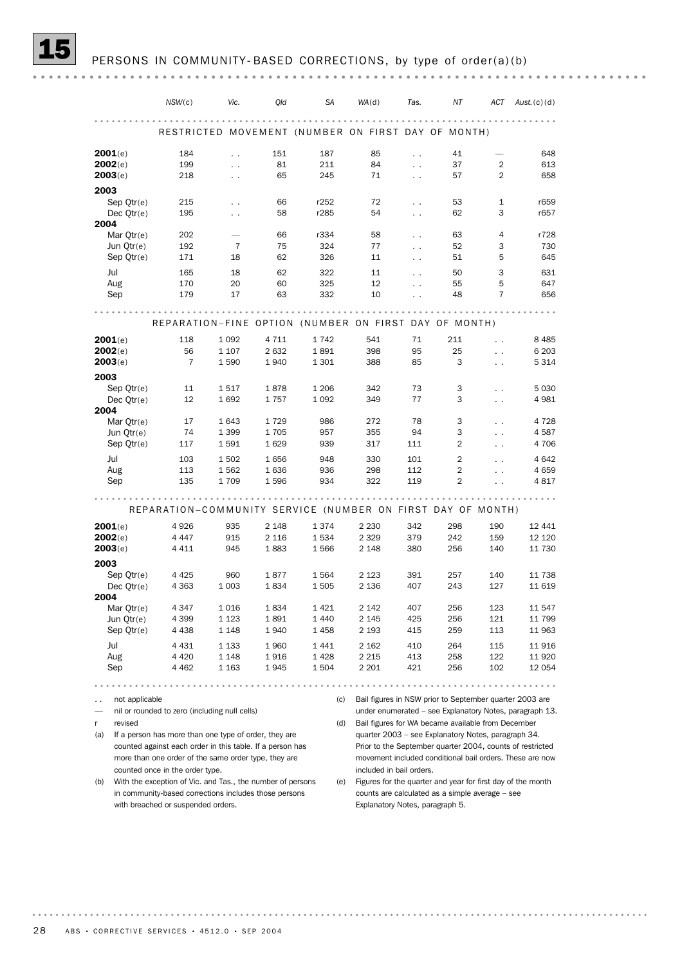|                      | NSW(c)                                                      | Vic.                 | Qld                | SA           | WA(d)                                              | Tas.                 | NT                                                      | ACT                               | Aust.(c)(d)                                                 |
|----------------------|-------------------------------------------------------------|----------------------|--------------------|--------------|----------------------------------------------------|----------------------|---------------------------------------------------------|-----------------------------------|-------------------------------------------------------------|
|                      |                                                             |                      |                    |              |                                                    |                      |                                                         |                                   |                                                             |
|                      |                                                             |                      |                    |              | RESTRICTED MOVEMENT (NUMBER ON FIRST DAY OF MONTH) |                      |                                                         |                                   |                                                             |
| 2001(e)              | 184                                                         | $\ddotsc$            | 151                | 187          | 85                                                 | $\ddot{\phantom{0}}$ | 41                                                      |                                   | 648                                                         |
| 2002(e)              | 199                                                         | $\ddot{\phantom{a}}$ | 81                 | 211          | 84                                                 | $\ddot{\phantom{0}}$ | 37                                                      | 2                                 | 613                                                         |
| 2003(e)              | 218                                                         | $\ddotsc$            | 65                 | 245          | 71                                                 | $\ddot{\phantom{0}}$ | 57                                                      | $\overline{2}$                    | 658                                                         |
| 2003                 |                                                             |                      |                    |              |                                                    |                      |                                                         |                                   |                                                             |
| Sep $Qtr(e)$         | 215                                                         | $\ddotsc$            | 66                 | r252         | 72                                                 | $\ddotsc$            | 53                                                      | $\mathbf{1}$                      | r659                                                        |
| Dec $Qtr(e)$         | 195                                                         | $\ddot{\phantom{0}}$ | 58                 | r285         | 54                                                 | $\ddot{\phantom{0}}$ | 62                                                      | 3                                 | r657                                                        |
| 2004                 |                                                             |                      |                    |              |                                                    |                      |                                                         |                                   |                                                             |
| Mar $Qtr(e)$         | 202                                                         |                      | 66                 | r334         | 58                                                 | $\ddotsc$            | 63                                                      | $\overline{4}$                    | r728                                                        |
| Jun Otr(e)           | 192                                                         | 7                    | 75                 | 324          | 77                                                 | $\ddot{\phantom{0}}$ | 52                                                      | 3                                 | 730                                                         |
| Sep $Qtr(e)$         | 171                                                         | 18                   | 62                 | 326          | 11                                                 | $\sim$ $\sim$        | 51                                                      | 5                                 | 645                                                         |
| Jul                  | 165                                                         | 18                   | 62                 | 322          | 11                                                 | $\ddotsc$            | 50                                                      | 3                                 | 631                                                         |
| Aug                  | 170                                                         | 20                   | 60                 | 325          | 12                                                 | $\ddot{\phantom{a}}$ | 55                                                      | 5                                 | 647                                                         |
| Sep                  | 179                                                         | 17                   | 63                 | 332          | 10                                                 | $\ddot{\phantom{0}}$ | 48                                                      | 7                                 | 656                                                         |
|                      |                                                             |                      |                    |              |                                                    |                      |                                                         |                                   |                                                             |
|                      | REPARATION-FINE OPTION (NUMBER ON FIRST DAY OF MONTH)       |                      |                    |              |                                                    |                      |                                                         |                                   |                                                             |
| 2001(e)<br>2002(e)   | 118<br>56                                                   | 1 0 9 2<br>1 1 0 7   | 4 7 1 1<br>2 6 3 2 | 1742<br>1891 | 541<br>398                                         | 71<br>95             | 211<br>25                                               | $\ddot{\phantom{0}}$              | 8 4 8 5<br>6 2 0 3                                          |
| 2003(e)              | $\overline{7}$                                              | 1 5 9 0              | 1940               | 1 3 0 1      | 388                                                | 85                   | 3                                                       | $\ddot{\phantom{0}}$<br>$\ddotsc$ | 5 3 1 4                                                     |
|                      |                                                             |                      |                    |              |                                                    |                      |                                                         |                                   |                                                             |
| 2003                 |                                                             |                      |                    |              |                                                    |                      |                                                         |                                   |                                                             |
| Sep Qtr(e)           | 11                                                          | 1517                 | 1878               | 1 2 0 6      | 342                                                | 73                   | 3                                                       | $\ddot{\phantom{0}}$              | 5 0 3 0                                                     |
| Dec $Qtr(e)$<br>2004 | 12                                                          | 1692                 | 1757               | 1 0 9 2      | 349                                                | 77                   | 3                                                       | $\sim$ $\sim$                     | 4 9 8 1                                                     |
| Mar $Qtr(e)$         | 17                                                          | 1 6 4 3              | 1729               | 986          | 272                                                | 78                   | 3                                                       | $\ddot{\phantom{0}}$              | 4 7 2 8                                                     |
| Jun Qtr(e)           | 74                                                          | 1 3 9 9              | 1705               | 957          | 355                                                | 94                   | 3                                                       | $\ddot{\phantom{0}}$              | 4587                                                        |
| Sep $Qtr(e)$         | 117                                                         | 1591                 | 1629               | 939          | 317                                                | 111                  | $\overline{2}$                                          | $\ddot{\phantom{0}}$              | 4 706                                                       |
|                      |                                                             |                      |                    |              |                                                    |                      |                                                         |                                   |                                                             |
| Jul                  | 103                                                         | 1 5 0 2              | 1656               | 948          | 330                                                | 101                  | $\overline{2}$<br>2                                     | $\ddot{\phantom{0}}$              | 4 6 4 2                                                     |
| Aug<br>Sep           | 113<br>135                                                  | 1562<br>1709         | 1636<br>1596       | 936<br>934   | 298<br>322                                         | 112<br>119           | 2                                                       | $\ddot{\phantom{0}}$              | 4659<br>4817                                                |
|                      |                                                             |                      |                    |              |                                                    |                      |                                                         |                                   |                                                             |
|                      | REPARATION-COMMUNITY SERVICE (NUMBER ON FIRST DAY OF MONTH) |                      |                    |              |                                                    |                      |                                                         |                                   |                                                             |
| 2001(e)              | 4926                                                        | 935                  | 2 1 4 8            | 1374         | 2 2 3 0                                            | 342                  | 298                                                     | 190                               | 12 441                                                      |
| 2002(e)              | 4 4 4 7                                                     | 915                  | 2 1 1 6            | 1534         | 2 3 2 9                                            | 379                  | 242                                                     | 159                               | 12 120                                                      |
| 2003(e)              | 4 4 1 1                                                     | 945                  | 1883               | 1566         | 2 1 4 8                                            | 380                  | 256                                                     | 140                               | 11 730                                                      |
| 2003                 |                                                             |                      |                    |              |                                                    |                      |                                                         |                                   |                                                             |
| Sep $Qtr(e)$         | 4 4 2 5                                                     | 960                  | 1877               | 1564         | 2 1 2 3                                            | 391                  | 257                                                     | 140                               | 11 738                                                      |
| Dec $Qtr(e)$         | 4 3 6 3                                                     | 1 0 0 3              | 1834               | 1 5 0 5      | 2 1 3 6                                            | 407                  | 243                                                     | 127                               | 11 619                                                      |
| 2004                 |                                                             |                      |                    |              |                                                    |                      |                                                         |                                   |                                                             |
| Mar Qtr(e)           | 4 3 4 7                                                     | 1 0 1 6              | 1834               | 1421         | 2 1 4 2                                            | 407                  | 256                                                     | 123                               | 11 547                                                      |
| Jun Qtr(e)           | 4 3 9 9                                                     | 1 1 2 3              | 1891               | 1440         | 2 145                                              | 425                  | 256                                                     | 121                               | 11 799                                                      |
| Sep Qtr(e)           | 4 4 3 8                                                     | 1 148                | 1 940              | 1458         | 2 193                                              | 415                  | 259                                                     | 113                               | 11 963                                                      |
| Jul                  | 4 4 3 1                                                     | 1 1 3 3              | 1960               | 1441         | 2 162                                              | 410                  | 264                                                     | 115                               | 11 916                                                      |
| Aug                  | 4 4 2 0                                                     | 1 1 4 8              | 1916               | 1428         | 2 2 1 5                                            | 413                  | 258                                                     | 122                               | 11 9 20                                                     |
| Sep                  | 4 4 6 2                                                     | 1 163                | 1 945              | 1504         | 2 2 0 1                                            | 421                  | 256                                                     | 102                               | 12 054                                                      |
|                      |                                                             |                      |                    |              |                                                    |                      |                                                         |                                   |                                                             |
|                      |                                                             |                      |                    |              |                                                    |                      | .                                                       |                                   |                                                             |
| not applicable       |                                                             |                      |                    | (c)          |                                                    |                      | Bail figures in NSW prior to September quarter 2003 are |                                   |                                                             |
|                      | nil or rounded to zero (including null cells)               |                      |                    |              |                                                    |                      |                                                         |                                   | under enumerated – see Explanatory Notes, paragraph 13.     |
| revised<br>r         |                                                             |                      |                    | (d)          |                                                    |                      | Bail figures for WA became available from December      |                                   |                                                             |
| (a)                  | If a person has more than one type of order, they are       |                      |                    |              |                                                    |                      | quarter 2003 – see Explanatory Notes, paragraph 34.     |                                   |                                                             |
|                      | counted against each order in this table. If a person has   |                      |                    |              |                                                    |                      |                                                         |                                   | Prior to the September quarter 2004, counts of restricted   |
|                      | more than one order of the same order type, they are        |                      |                    |              |                                                    |                      |                                                         |                                   | movement included conditional bail orders. These are now    |
|                      | counted once in the order type.                             |                      |                    |              | included in bail orders.                           |                      |                                                         |                                   |                                                             |
| (b)                  | With the exception of Vic. and Tas., the number of persons  |                      |                    | (e)          |                                                    |                      |                                                         |                                   | Figures for the quarter and year for first day of the month |
|                      | in community-based corrections includes those persons       |                      |                    |              |                                                    |                      | counts are calculated as a simple average - see         |                                   |                                                             |
|                      | with breached or suspended orders.                          |                      |                    |              | Explanatory Notes, paragraph 5.                    |                      |                                                         |                                   |                                                             |
|                      |                                                             |                      |                    |              |                                                    |                      |                                                         |                                   |                                                             |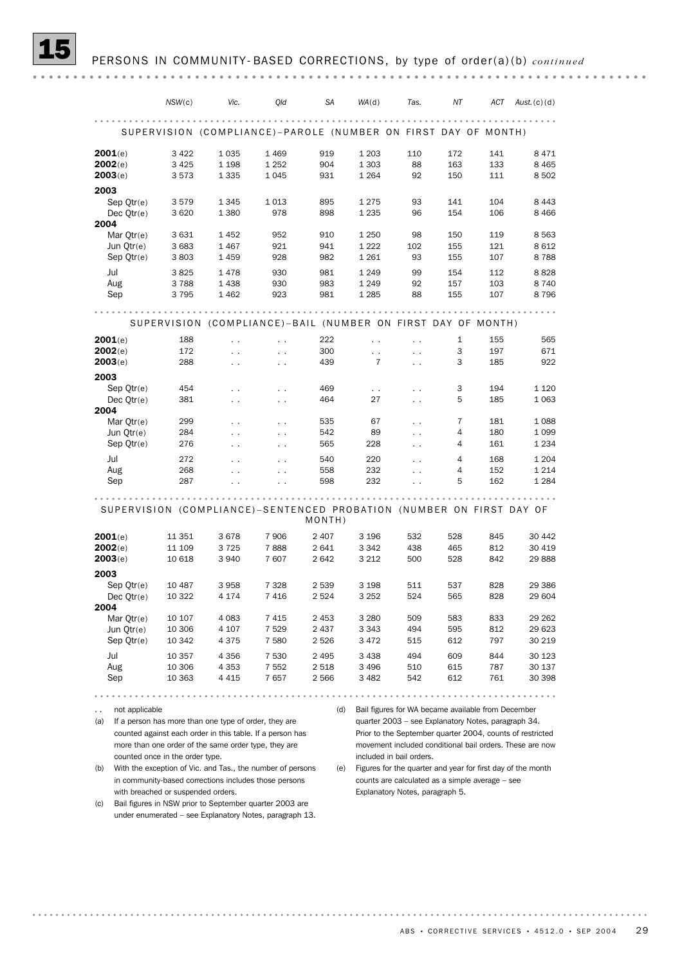|                | NSW(c)                                                               | Vic.                 | Qld                  | SA      | WA(d)                | Tas.                                                | ΝT  | ACT | Aust.(c)(d)                                                 |
|----------------|----------------------------------------------------------------------|----------------------|----------------------|---------|----------------------|-----------------------------------------------------|-----|-----|-------------------------------------------------------------|
|                |                                                                      |                      |                      |         |                      |                                                     |     |     |                                                             |
|                | SUPERVISION (COMPLIANCE)-PAROLE (NUMBER ON FIRST DAY OF MONTH)       |                      |                      |         |                      |                                                     |     |     |                                                             |
| 2001(e)        | 3 4 2 2                                                              | 1 0 3 5              | 1 4 6 9              | 919     | 1 2 0 3              | 110                                                 | 172 | 141 | 8471                                                        |
| 2002(e)        | 3 4 2 5                                                              | 1 1 9 8              | 1 2 5 2              | 904     | 1 3 0 3              | 88                                                  | 163 | 133 | 8 4 6 5                                                     |
| 2003(e)        | 3573                                                                 | 1 3 3 5              | 1 0 4 5              | 931     | 1 2 6 4              | 92                                                  | 150 | 111 | 8 5 0 2                                                     |
|                |                                                                      |                      |                      |         |                      |                                                     |     |     |                                                             |
| 2003           |                                                                      |                      |                      |         |                      |                                                     |     |     |                                                             |
| Sep Otr(e)     | 3579                                                                 | 1 3 4 5              | 1 0 1 3              | 895     | 1275                 | 93                                                  | 141 | 104 | 8 4 4 3                                                     |
| Dec $Qtr(e)$   | 3620                                                                 | 1 3 8 0              | 978                  | 898     | 1 2 3 5              | 96                                                  | 154 | 106 | 8 4 6 6                                                     |
| 2004           |                                                                      |                      |                      |         |                      |                                                     |     |     |                                                             |
| Mar Qtr(e)     | 3631                                                                 | 1452                 | 952                  | 910     | 1 2 5 0              | 98                                                  | 150 | 119 | 8 5 6 3                                                     |
| Jun Otr(e)     | 3 6 8 3                                                              | 1467                 | 921                  | 941     | 1 2 2 2              | 102                                                 | 155 | 121 | 8 6 1 2                                                     |
| Sep $Qtr(e)$   | 3803                                                                 | 1459                 | 928                  | 982     | 1 2 6 1              | 93                                                  | 155 | 107 | 8788                                                        |
| Jul            | 3825                                                                 | 1478                 | 930                  | 981     | 1 2 4 9              | 99                                                  | 154 | 112 | 8828                                                        |
| Aug            | 3788                                                                 | 1 4 3 8              | 930                  | 983     | 1 2 4 9              | 92                                                  | 157 | 103 | 8 7 4 0                                                     |
|                |                                                                      |                      |                      |         |                      |                                                     |     |     |                                                             |
| Sep            | 3795                                                                 | 1 4 6 2              | 923                  | 981     | 1 2 8 5              | 88                                                  | 155 | 107 | 8796                                                        |
|                |                                                                      |                      |                      |         |                      |                                                     |     |     |                                                             |
|                | SUPERVISION (COMPLIANCE)-BAIL (NUMBER ON FIRST DAY OF MONTH)         |                      |                      |         |                      |                                                     |     |     |                                                             |
| 2001(e)        | 188                                                                  | $\ddot{\phantom{0}}$ | $\ddot{\phantom{0}}$ | 222     | $\ddotsc$            | $\ddot{\phantom{0}}$                                | 1   | 155 | 565                                                         |
| 2002(e)        | 172                                                                  | $\ddot{\phantom{0}}$ | $\ddot{\phantom{0}}$ | 300     | $\ddotsc$            | $\ddotsc$                                           | 3   | 197 | 671                                                         |
| 2003(e)        | 288                                                                  | $\ddot{\phantom{0}}$ | $\ddot{\phantom{0}}$ | 439     | 7                    | $\ddot{\phantom{0}}$                                | 3   | 185 | 922                                                         |
| 2003           |                                                                      |                      |                      |         |                      |                                                     |     |     |                                                             |
| Sep $Qtr(e)$   | 454                                                                  | $\ddotsc$            | $\ddot{\phantom{0}}$ | 469     | $\ddot{\phantom{0}}$ | $\ddot{\phantom{0}}$                                | 3   | 194 | 1 1 2 0                                                     |
| Dec $Qtr(e)$   | 381                                                                  |                      |                      | 464     | 27                   |                                                     | 5   | 185 | 1 0 6 3                                                     |
| 2004           |                                                                      | $\ddotsc$            | $\ddot{\phantom{0}}$ |         |                      | $\sim$ $\sim$                                       |     |     |                                                             |
|                |                                                                      |                      |                      |         |                      |                                                     |     |     |                                                             |
| Mar $Qtr(e)$   | 299                                                                  | $\ddotsc$            | $\ddot{\phantom{0}}$ | 535     | 67                   | $\sim$ $\sim$                                       | 7   | 181 | 1088                                                        |
| Jun Qtr(e)     | 284                                                                  | $\ddot{\phantom{0}}$ | $\ddot{\phantom{0}}$ | 542     | 89                   | $\ddot{\phantom{0}}$                                | 4   | 180 | 1 0 9 9                                                     |
| Sep $Qtr(e)$   | 276                                                                  | $\ddot{\phantom{0}}$ | $\sim$ $\sim$        | 565     | 228                  | $\sim$ $\sim$                                       | 4   | 161 | 1 2 3 4                                                     |
| Jul            | 272                                                                  | $\ddot{\phantom{0}}$ | $\ddot{\phantom{0}}$ | 540     | 220                  | $\ddot{\phantom{a}}$                                | 4   | 168 | 1 2 0 4                                                     |
| Aug            | 268                                                                  | $\ddot{\phantom{0}}$ |                      | 558     | 232                  | $\ddot{\phantom{0}}$                                | 4   | 152 | 1 2 1 4                                                     |
| Sep            | 287                                                                  |                      |                      | 598     | 232                  |                                                     | 5   | 162 | 1 2 8 4                                                     |
|                |                                                                      |                      |                      |         |                      |                                                     |     |     |                                                             |
|                | SUPERVISION (COMPLIANCE)-SENTENCED PROBATION (NUMBER ON FIRST DAY OF |                      |                      |         |                      |                                                     |     |     |                                                             |
|                |                                                                      |                      |                      | MONTH)  |                      |                                                     |     |     |                                                             |
| 2001(e)        | 11 351                                                               | 3678                 | 7 9 0 6              | 2 4 0 7 | 3 1 9 6              | 532                                                 | 528 | 845 | 30 442                                                      |
| 2002(e)        | 11 109                                                               | 3725                 | 7888                 | 2641    | 3 3 4 2              | 438                                                 | 465 | 812 | 30 419                                                      |
| 2003(e)        | 10 618                                                               | 3 9 4 0              | 7607                 | 2642    | 3 2 1 2              | 500                                                 | 528 | 842 | 29 888                                                      |
|                |                                                                      |                      |                      |         |                      |                                                     |     |     |                                                             |
| 2003           |                                                                      |                      |                      |         |                      |                                                     |     |     |                                                             |
| Sep Otr(e)     | 10 487                                                               | 3958                 | 7 3 2 8              | 2 5 3 9 | 3 1 9 8              | 511                                                 | 537 | 828 | 29 386                                                      |
| Dec $Qtr(e)$   | 10 322                                                               | 4 1 7 4              | 7416                 | 2 5 2 4 | 3 2 5 2              | 524                                                 | 565 | 828 | 29 604                                                      |
| 2004           |                                                                      |                      |                      |         |                      |                                                     |     |     |                                                             |
| Mar $Qtr(e)$   | 10 107                                                               | 4 0 8 3              | 7 4 1 5              | 2 4 5 3 | 3 2 8 0              | 509                                                 | 583 | 833 | 29 262                                                      |
| Jun Qtr(e)     | 10 306                                                               | 4 107                | 7 5 2 9              | 2437    | 3 3 4 3              | 494                                                 | 595 | 812 | 29 623                                                      |
| Sep Qtr(e)     | 10 342                                                               | 4 375                | 7 580                | 2 5 2 6 | 3 4 7 2              | 515                                                 | 612 | 797 | 30 219                                                      |
|                |                                                                      |                      |                      |         |                      |                                                     |     |     |                                                             |
| Jul            | 10 357                                                               | 4 3 5 6              | 7 5 3 0              | 2 4 9 5 | 3438                 | 494                                                 | 609 | 844 | 30 123                                                      |
| Aug            | 10 306                                                               | 4 3 5 3              | 7 5 5 2              | 2 5 1 8 | 3 4 9 6              | 510                                                 | 615 | 787 | 30 137                                                      |
| Sep            | 10 363                                                               | 4 415                | 7657                 | 2566    | 3482                 | 542                                                 | 612 | 761 | 30 398                                                      |
|                |                                                                      |                      |                      |         |                      | 0.0.0                                               |     |     |                                                             |
| not applicable |                                                                      |                      |                      | (d)     |                      | Bail figures for WA became available from December  |     |     |                                                             |
| (a)            | If a person has more than one type of order, they are                |                      |                      |         |                      | quarter 2003 - see Explanatory Notes, paragraph 34. |     |     |                                                             |
|                | counted against each order in this table. If a person has            |                      |                      |         |                      |                                                     |     |     | Prior to the September quarter 2004, counts of restricted   |
|                | more than one order of the same order type, they are                 |                      |                      |         |                      |                                                     |     |     |                                                             |
|                |                                                                      |                      |                      |         |                      |                                                     |     |     | movement included conditional bail orders. These are now    |
|                | counted once in the order type.                                      |                      |                      |         |                      | included in bail orders.                            |     |     |                                                             |
| (b)            | With the exception of Vic. and Tas., the number of persons           |                      |                      | (e)     |                      |                                                     |     |     | Figures for the quarter and year for first day of the month |
|                | in community-based corrections includes those persons                |                      |                      |         |                      | counts are calculated as a simple average - see     |     |     |                                                             |
|                | with breached or suspended orders.                                   |                      |                      |         |                      | Explanatory Notes, paragraph 5.                     |     |     |                                                             |

(c) Bail figures in NSW prior to September quarter 2003 are under enumerated – see Explanatory Notes, paragraph 13.

ABS • CORRECTIVE SERVICES • 4512.0 • SEP 2004 29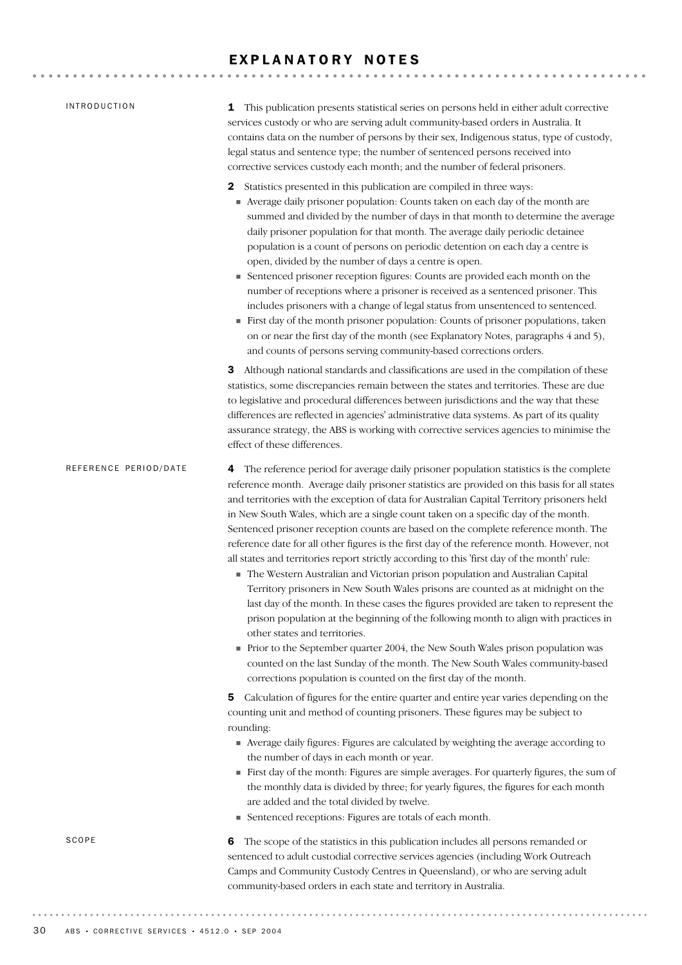## EXPLANATORY NOTES

| <b>INTRODUCTION</b>   | This publication presents statistical series on persons held in either adult corrective<br>1<br>services custody or who are serving adult community-based orders in Australia. It<br>contains data on the number of persons by their sex, Indigenous status, type of custody,<br>legal status and sentence type; the number of sentenced persons received into<br>corrective services custody each month; and the number of federal prisoners.                                                                                                                                                                                                                                                                                                                                                                                                                                                                                                                                                                                                                                                                                                                                                                                                                                                 |
|-----------------------|------------------------------------------------------------------------------------------------------------------------------------------------------------------------------------------------------------------------------------------------------------------------------------------------------------------------------------------------------------------------------------------------------------------------------------------------------------------------------------------------------------------------------------------------------------------------------------------------------------------------------------------------------------------------------------------------------------------------------------------------------------------------------------------------------------------------------------------------------------------------------------------------------------------------------------------------------------------------------------------------------------------------------------------------------------------------------------------------------------------------------------------------------------------------------------------------------------------------------------------------------------------------------------------------|
|                       | Statistics presented in this publication are compiled in three ways:<br>2<br>• Average daily prisoner population: Counts taken on each day of the month are<br>summed and divided by the number of days in that month to determine the average<br>daily prisoner population for that month. The average daily periodic detainee<br>population is a count of persons on periodic detention on each day a centre is<br>open, divided by the number of days a centre is open.<br>• Sentenced prisoner reception figures: Counts are provided each month on the<br>number of receptions where a prisoner is received as a sentenced prisoner. This<br>includes prisoners with a change of legal status from unsentenced to sentenced.<br>First day of the month prisoner population: Counts of prisoner populations, taken<br>on or near the first day of the month (see Explanatory Notes, paragraphs 4 and 5),<br>and counts of persons serving community-based corrections orders.                                                                                                                                                                                                                                                                                                              |
|                       | Although national standards and classifications are used in the compilation of these<br>З<br>statistics, some discrepancies remain between the states and territories. These are due<br>to legislative and procedural differences between jurisdictions and the way that these<br>differences are reflected in agencies' administrative data systems. As part of its quality<br>assurance strategy, the ABS is working with corrective services agencies to minimise the<br>effect of these differences.                                                                                                                                                                                                                                                                                                                                                                                                                                                                                                                                                                                                                                                                                                                                                                                       |
| REFERENCE PERIOD/DATE | The reference period for average daily prisoner population statistics is the complete<br>4<br>reference month. Average daily prisoner statistics are provided on this basis for all states<br>and territories with the exception of data for Australian Capital Territory prisoners held<br>in New South Wales, which are a single count taken on a specific day of the month.<br>Sentenced prisoner reception counts are based on the complete reference month. The<br>reference date for all other figures is the first day of the reference month. However, not<br>all states and territories report strictly according to this 'first day of the month' rule:<br>The Western Australian and Victorian prison population and Australian Capital<br>Territory prisoners in New South Wales prisons are counted as at midnight on the<br>last day of the month. In these cases the figures provided are taken to represent the<br>prison population at the beginning of the following month to align with practices in<br>other states and territories.<br>Prior to the September quarter 2004, the New South Wales prison population was<br>counted on the last Sunday of the month. The New South Wales community-based<br>corrections population is counted on the first day of the month. |
|                       | Calculation of figures for the entire quarter and entire year varies depending on the<br>5<br>counting unit and method of counting prisoners. These figures may be subject to<br>rounding:<br>• Average daily figures: Figures are calculated by weighting the average according to<br>the number of days in each month or year.                                                                                                                                                                                                                                                                                                                                                                                                                                                                                                                                                                                                                                                                                                                                                                                                                                                                                                                                                               |
|                       | First day of the month: Figures are simple averages. For quarterly figures, the sum of<br>the monthly data is divided by three; for yearly figures, the figures for each month<br>are added and the total divided by twelve.<br>• Sentenced receptions: Figures are totals of each month.                                                                                                                                                                                                                                                                                                                                                                                                                                                                                                                                                                                                                                                                                                                                                                                                                                                                                                                                                                                                      |
| SCOPE                 | The scope of the statistics in this publication includes all persons remanded or<br>6<br>sentenced to adult custodial corrective services agencies (including Work Outreach<br>Camps and Community Custody Centres in Queensland), or who are serving adult<br>community-based orders in each state and territory in Australia.                                                                                                                                                                                                                                                                                                                                                                                                                                                                                                                                                                                                                                                                                                                                                                                                                                                                                                                                                                |
|                       |                                                                                                                                                                                                                                                                                                                                                                                                                                                                                                                                                                                                                                                                                                                                                                                                                                                                                                                                                                                                                                                                                                                                                                                                                                                                                                |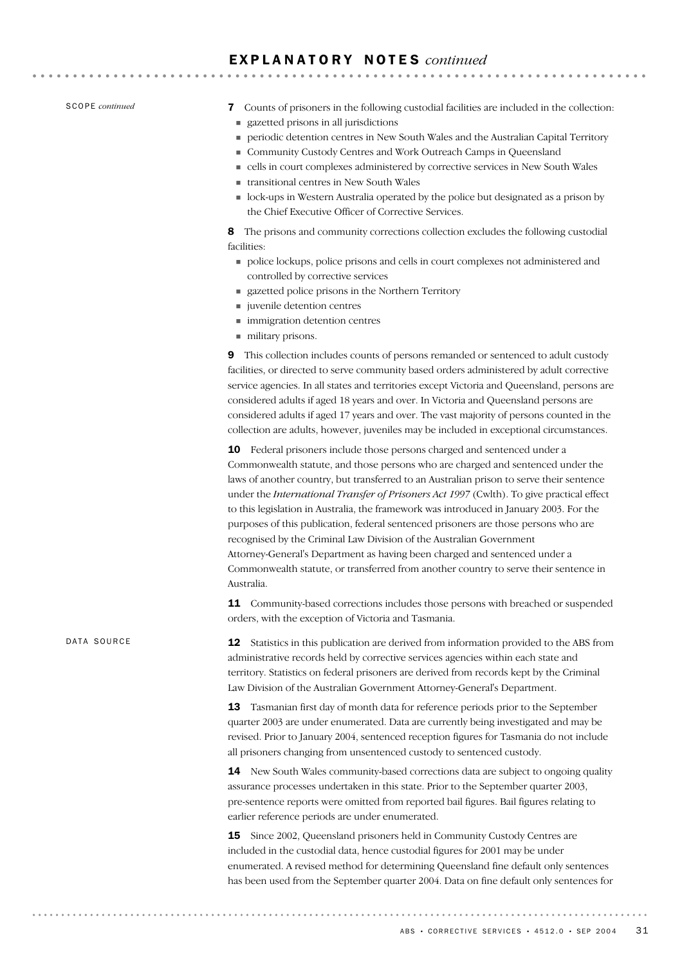SCOPE *continued*

DATA SOURCE

7 Counts of prisoners in the following custodial facilities are included in the collection:

- ! gazetted prisons in all jurisdictions
- ! periodic detention centres in New South Wales and the Australian Capital Territory
- ! Community Custody Centres and Work Outreach Camps in Queensland
- ! cells in court complexes administered by corrective services in New South Wales
- ! transitional centres in New South Wales
- ! lock-ups in Western Australia operated by the police but designated as a prison by the Chief Executive Officer of Corrective Services.

8 The prisons and community corrections collection excludes the following custodial facilities:

- ! police lockups, police prisons and cells in court complexes not administered and controlled by corrective services
- ! gazetted police prisons in the Northern Territory
- $\blacksquare$  juvenile detention centres
- ! immigration detention centres
- ! military prisons.

9 This collection includes counts of persons remanded or sentenced to adult custody facilities, or directed to serve community based orders administered by adult corrective service agencies. In all states and territories except Victoria and Queensland, persons are considered adults if aged 18 years and over. In Victoria and Queensland persons are considered adults if aged 17 years and over. The vast majority of persons counted in the collection are adults, however, juveniles may be included in exceptional circumstances.

10 Federal prisoners include those persons charged and sentenced under a Commonwealth statute, and those persons who are charged and sentenced under the laws of another country, but transferred to an Australian prison to serve their sentence under the *International Transfer of Prisoners Act 1997* (Cwlth). To give practical effect to this legislation in Australia, the framework was introduced in January 2003. For the purposes of this publication, federal sentenced prisoners are those persons who are recognised by the Criminal Law Division of the Australian Government Attorney-General's Department as having been charged and sentenced under a Commonwealth statute, or transferred from another country to serve their sentence in Australia.

11 Community-based corrections includes those persons with breached or suspended orders, with the exception of Victoria and Tasmania.

12 Statistics in this publication are derived from information provided to the ABS from administrative records held by corrective services agencies within each state and territory. Statistics on federal prisoners are derived from records kept by the Criminal Law Division of the Australian Government Attorney-General's Department.

> 13 Tasmanian first day of month data for reference periods prior to the September quarter 2003 are under enumerated. Data are currently being investigated and may be revised. Prior to January 2004, sentenced reception figures for Tasmania do not include all prisoners changing from unsentenced custody to sentenced custody.

14 New South Wales community-based corrections data are subject to ongoing quality assurance processes undertaken in this state. Prior to the September quarter 2003, pre-sentence reports were omitted from reported bail figures. Bail figures relating to earlier reference periods are under enumerated.

15 Since 2002, Queensland prisoners held in Community Custody Centres are included in the custodial data, hence custodial figures for 2001 may be under enumerated. A revised method for determining Queensland fine default only sentences has been used from the September quarter 2004. Data on fine default only sentences for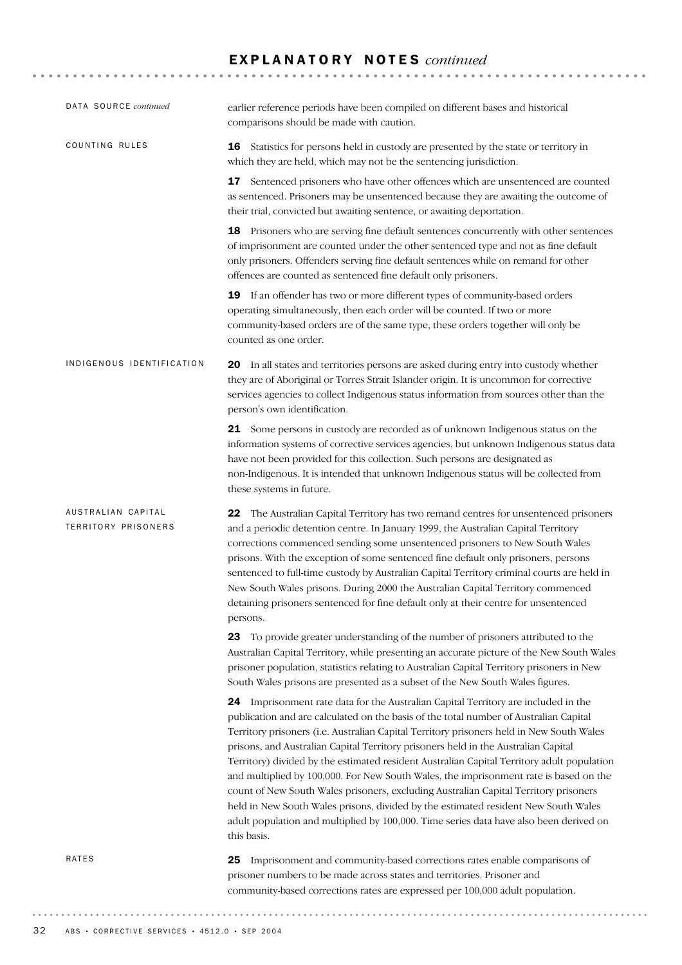| DATA SOURCE continued                     | earlier reference periods have been compiled on different bases and historical<br>comparisons should be made with caution.                                                                                                                                                                                                                                                                                                                                                                                                                                                                                                                                                                                                                                                                                                                  |
|-------------------------------------------|---------------------------------------------------------------------------------------------------------------------------------------------------------------------------------------------------------------------------------------------------------------------------------------------------------------------------------------------------------------------------------------------------------------------------------------------------------------------------------------------------------------------------------------------------------------------------------------------------------------------------------------------------------------------------------------------------------------------------------------------------------------------------------------------------------------------------------------------|
| COUNTING RULES                            | 16 Statistics for persons held in custody are presented by the state or territory in<br>which they are held, which may not be the sentencing jurisdiction.                                                                                                                                                                                                                                                                                                                                                                                                                                                                                                                                                                                                                                                                                  |
|                                           | 17 Sentenced prisoners who have other offences which are unsentenced are counted<br>as sentenced. Prisoners may be unsentenced because they are awaiting the outcome of<br>their trial, convicted but awaiting sentence, or awaiting deportation.                                                                                                                                                                                                                                                                                                                                                                                                                                                                                                                                                                                           |
|                                           | 18 Prisoners who are serving fine default sentences concurrently with other sentences<br>of imprisonment are counted under the other sentenced type and not as fine default<br>only prisoners. Offenders serving fine default sentences while on remand for other<br>offences are counted as sentenced fine default only prisoners.                                                                                                                                                                                                                                                                                                                                                                                                                                                                                                         |
|                                           | 19 If an offender has two or more different types of community-based orders<br>operating simultaneously, then each order will be counted. If two or more<br>community-based orders are of the same type, these orders together will only be<br>counted as one order.                                                                                                                                                                                                                                                                                                                                                                                                                                                                                                                                                                        |
| INDIGENOUS IDENTIFICATION                 | 20 In all states and territories persons are asked during entry into custody whether<br>they are of Aboriginal or Torres Strait Islander origin. It is uncommon for corrective<br>services agencies to collect Indigenous status information from sources other than the<br>person's own identification.                                                                                                                                                                                                                                                                                                                                                                                                                                                                                                                                    |
|                                           | 21 Some persons in custody are recorded as of unknown Indigenous status on the<br>information systems of corrective services agencies, but unknown Indigenous status data<br>have not been provided for this collection. Such persons are designated as<br>non-Indigenous. It is intended that unknown Indigenous status will be collected from<br>these systems in future.                                                                                                                                                                                                                                                                                                                                                                                                                                                                 |
| AUSTRALIAN CAPITAL<br>TERRITORY PRISONERS | The Australian Capital Territory has two remand centres for unsentenced prisoners<br>22<br>and a periodic detention centre. In January 1999, the Australian Capital Territory<br>corrections commenced sending some unsentenced prisoners to New South Wales<br>prisons. With the exception of some sentenced fine default only prisoners, persons<br>sentenced to full-time custody by Australian Capital Territory criminal courts are held in<br>New South Wales prisons. During 2000 the Australian Capital Territory commenced<br>detaining prisoners sentenced for fine default only at their centre for unsentenced<br>persons.                                                                                                                                                                                                      |
|                                           | 23<br>To provide greater understanding of the number of prisoners attributed to the<br>Australian Capital Territory, while presenting an accurate picture of the New South Wales<br>prisoner population, statistics relating to Australian Capital Territory prisoners in New<br>South Wales prisons are presented as a subset of the New South Wales figures.                                                                                                                                                                                                                                                                                                                                                                                                                                                                              |
|                                           | 24 Imprisonment rate data for the Australian Capital Territory are included in the<br>publication and are calculated on the basis of the total number of Australian Capital<br>Territory prisoners (i.e. Australian Capital Territory prisoners held in New South Wales<br>prisons, and Australian Capital Territory prisoners held in the Australian Capital<br>Territory) divided by the estimated resident Australian Capital Territory adult population<br>and multiplied by 100,000. For New South Wales, the imprisonment rate is based on the<br>count of New South Wales prisoners, excluding Australian Capital Territory prisoners<br>held in New South Wales prisons, divided by the estimated resident New South Wales<br>adult population and multiplied by 100,000. Time series data have also been derived on<br>this basis. |
| RATES                                     | Imprisonment and community-based corrections rates enable comparisons of<br>25<br>prisoner numbers to be made across states and territories. Prisoner and<br>community-based corrections rates are expressed per 100,000 adult population.                                                                                                                                                                                                                                                                                                                                                                                                                                                                                                                                                                                                  |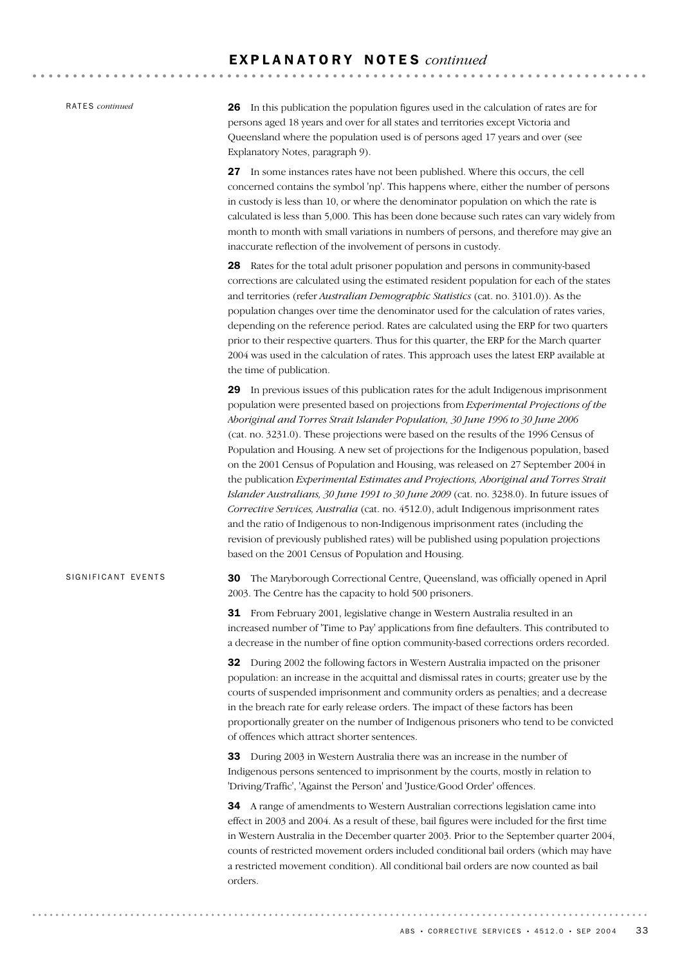RATES *continued*

SIGNIFICANT EVENTS

26 In this publication the population figures used in the calculation of rates are for persons aged 18 years and over for all states and territories except Victoria and Queensland where the population used is of persons aged 17 years and over (see Explanatory Notes, paragraph 9).

27 In some instances rates have not been published. Where this occurs, the cell concerned contains the symbol 'np'. This happens where, either the number of persons in custody is less than 10, or where the denominator population on which the rate is calculated is less than 5,000. This has been done because such rates can vary widely from month to month with small variations in numbers of persons, and therefore may give an inaccurate reflection of the involvement of persons in custody.

28 Rates for the total adult prisoner population and persons in community-based corrections are calculated using the estimated resident population for each of the states and territories (refer *Australian Demographic Statistics* (cat. no. 3101.0)). As the population changes over time the denominator used for the calculation of rates varies, depending on the reference period. Rates are calculated using the ERP for two quarters prior to their respective quarters. Thus for this quarter, the ERP for the March quarter 2004 was used in the calculation of rates. This approach uses the latest ERP available at the time of publication.

29 In previous issues of this publication rates for the adult Indigenous imprisonment population were presented based on projections from *Experimental Projections of the Aboriginal and Torres Strait Islander Population, 30 June 1996 to 30 June 2006* (cat. no. 3231.0). These projections were based on the results of the 1996 Census of Population and Housing. A new set of projections for the Indigenous population, based on the 2001 Census of Population and Housing, was released on 27 September 2004 in the publication *Experimental Estimates and Projections, Aboriginal and Torres Strait Islander Australians, 30 June 1991 to 30 June 2009* (cat. no. 3238.0). In future issues of *Corrective Services, Australia* (cat. no. 4512.0), adult Indigenous imprisonment rates and the ratio of Indigenous to non-Indigenous imprisonment rates (including the revision of previously published rates) will be published using population projections based on the 2001 Census of Population and Housing.

30 The Maryborough Correctional Centre, Queensland, was officially opened in April 2003. The Centre has the capacity to hold 500 prisoners.

31 From February 2001, legislative change in Western Australia resulted in an increased number of 'Time to Pay' applications from fine defaulters. This contributed to a decrease in the number of fine option community-based corrections orders recorded.

32 During 2002 the following factors in Western Australia impacted on the prisoner population: an increase in the acquittal and dismissal rates in courts; greater use by the courts of suspended imprisonment and community orders as penalties; and a decrease in the breach rate for early release orders. The impact of these factors has been proportionally greater on the number of Indigenous prisoners who tend to be convicted of offences which attract shorter sentences.

33 During 2003 in Western Australia there was an increase in the number of Indigenous persons sentenced to imprisonment by the courts, mostly in relation to 'Driving/Traffic', 'Against the Person' and 'Justice/Good Order' offences.

34 A range of amendments to Western Australian corrections legislation came into effect in 2003 and 2004. As a result of these, bail figures were included for the first time in Western Australia in the December quarter 2003. Prior to the September quarter 2004, counts of restricted movement orders included conditional bail orders (which may have a restricted movement condition). All conditional bail orders are now counted as bail orders.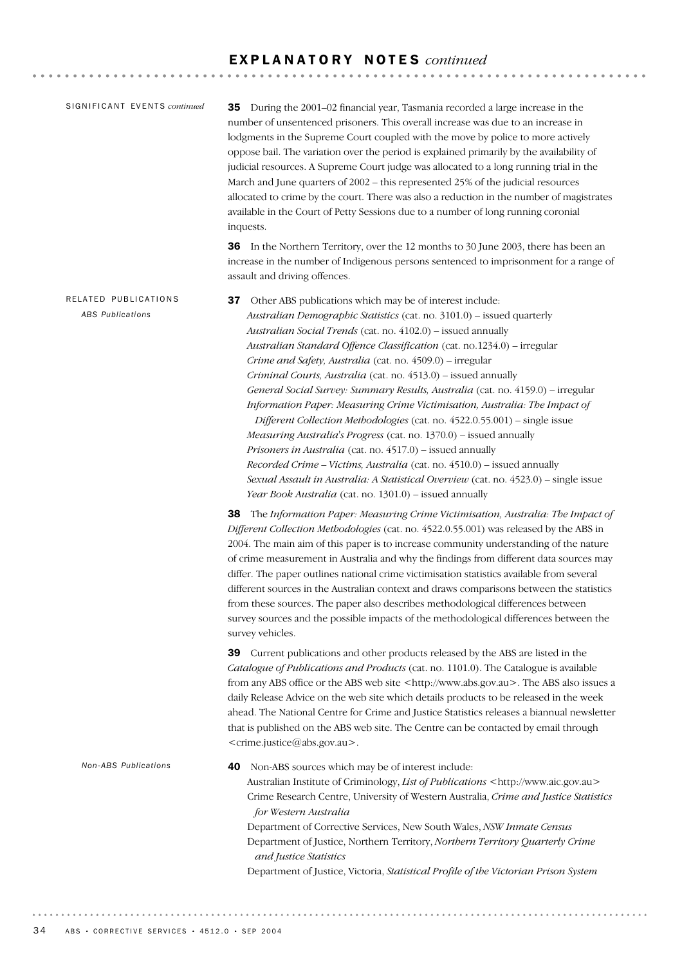| SIGNIFICANT EVENTS continued                    | 35 During the 2001-02 financial year, Tasmania recorded a large increase in the<br>number of unsentenced prisoners. This overall increase was due to an increase in<br>lodgments in the Supreme Court coupled with the move by police to more actively<br>oppose bail. The variation over the period is explained primarily by the availability of<br>judicial resources. A Supreme Court judge was allocated to a long running trial in the<br>March and June quarters of 2002 - this represented 25% of the judicial resources<br>allocated to crime by the court. There was also a reduction in the number of magistrates<br>available in the Court of Petty Sessions due to a number of long running coronial<br>inquests.                                                                                                                                                                                                                                                                                                      |
|-------------------------------------------------|-------------------------------------------------------------------------------------------------------------------------------------------------------------------------------------------------------------------------------------------------------------------------------------------------------------------------------------------------------------------------------------------------------------------------------------------------------------------------------------------------------------------------------------------------------------------------------------------------------------------------------------------------------------------------------------------------------------------------------------------------------------------------------------------------------------------------------------------------------------------------------------------------------------------------------------------------------------------------------------------------------------------------------------|
|                                                 | <b>36</b> In the Northern Territory, over the 12 months to 30 June 2003, there has been an<br>increase in the number of Indigenous persons sentenced to imprisonment for a range of<br>assault and driving offences.                                                                                                                                                                                                                                                                                                                                                                                                                                                                                                                                                                                                                                                                                                                                                                                                                |
| RELATED PUBLICATIONS<br><b>ABS Publications</b> | Other ABS publications which may be of interest include:<br>37<br>Australian Demographic Statistics (cat. no. 3101.0) - issued quarterly<br>Australian Social Trends (cat. no. 4102.0) - issued annually<br>Australian Standard Offence Classification (cat. no.1234.0) - irregular<br>Crime and Safety, Australia (cat. no. 4509.0) - irregular<br>Criminal Courts, Australia (cat. no. 4513.0) - issued annually<br>General Social Survey: Summary Results, Australia (cat. no. 4159.0) - irregular<br>Information Paper: Measuring Crime Victimisation, Australia: The Impact of<br>Different Collection Methodologies (cat. no. 4522.0.55.001) - single issue<br>Measuring Australia's Progress (cat. no. 1370.0) - issued annually<br>Prisoners in Australia (cat. no. 4517.0) - issued annually<br>Recorded Crime - Victims, Australia (cat. no. 4510.0) - issued annually<br>Sexual Assault in Australia: A Statistical Overview (cat. no. 4523.0) - single issue<br>Year Book Australia (cat. no. 1301.0) - issued annually |
|                                                 | 38<br>The Information Paper: Measuring Crime Victimisation, Australia: The Impact of<br>Different Collection Methodologies (cat. no. 4522.0.55.001) was released by the ABS in<br>2004. The main aim of this paper is to increase community understanding of the nature<br>of crime measurement in Australia and why the findings from different data sources may<br>differ. The paper outlines national crime victimisation statistics available from several<br>different sources in the Australian context and draws comparisons between the statistics<br>from these sources. The paper also describes methodological differences between<br>survey sources and the possible impacts of the methodological differences between the<br>survey vehicles.                                                                                                                                                                                                                                                                          |
|                                                 | 39 Current publications and other products released by the ABS are listed in the<br>Catalogue of Publications and Products (cat. no. 1101.0). The Catalogue is available<br>from any ABS office or the ABS web site <http: www.abs.gov.au="">. The ABS also issues a<br/>daily Release Advice on the web site which details products to be released in the week<br/>ahead. The National Centre for Crime and Justice Statistics releases a biannual newsletter<br/>that is published on the ABS web site. The Centre can be contacted by email through<br/><crime.justice@abs.gov.au>.</crime.justice@abs.gov.au></http:>                                                                                                                                                                                                                                                                                                                                                                                                           |
| Non-ABS Publications                            | 40<br>Non-ABS sources which may be of interest include:<br>Australian Institute of Criminology, List of Publications <http: www.aic.gov.au=""><br/>Crime Research Centre, University of Western Australia, Crime and Justice Statistics<br/>for Western Australia<br/>Department of Corrective Services, New South Wales, NSW Inmate Census<br/>Department of Justice, Northern Territory, Northern Territory Quarterly Crime<br/>and Justice Statistics<br/>Department of Justice, Victoria, Statistical Profile of the Victorian Prison System</http:>                                                                                                                                                                                                                                                                                                                                                                                                                                                                            |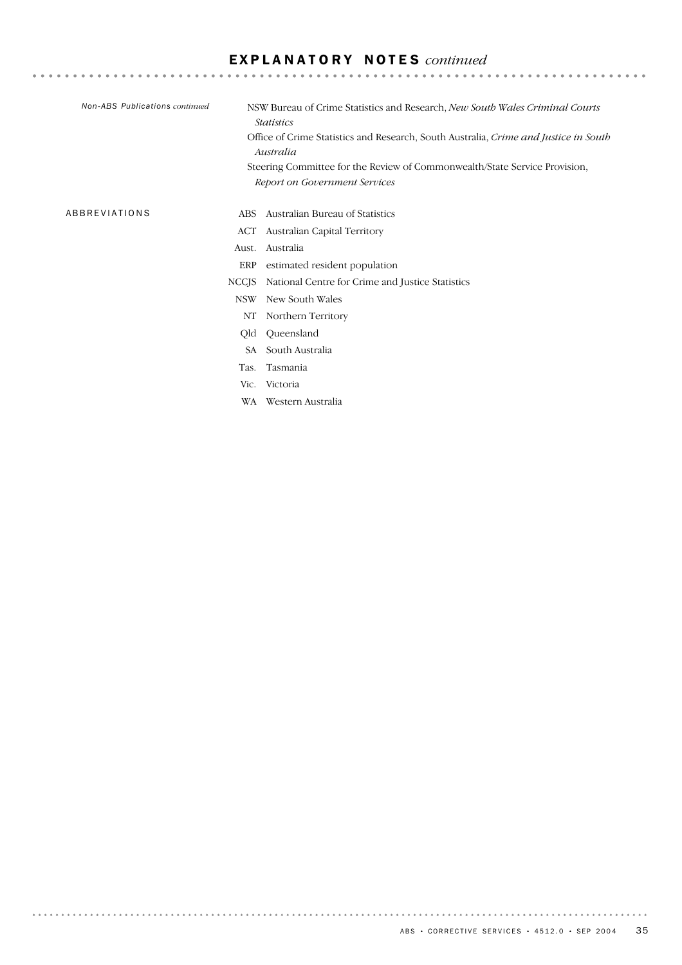| Non-ABS Publications continued |              | NSW Bureau of Crime Statistics and Research, New South Wales Criminal Courts<br><i>Statistics</i><br>Office of Crime Statistics and Research, South Australia, Crime and Justice in South<br>Australia<br>Steering Committee for the Review of Commonwealth/State Service Provision, |
|--------------------------------|--------------|--------------------------------------------------------------------------------------------------------------------------------------------------------------------------------------------------------------------------------------------------------------------------------------|
|                                |              | Report on Government Services                                                                                                                                                                                                                                                        |
| ABBREVIATIONS                  | ABS.         | Australian Bureau of Statistics                                                                                                                                                                                                                                                      |
|                                | ACT          | Australian Capital Territory                                                                                                                                                                                                                                                         |
|                                | Aust.        | Australia                                                                                                                                                                                                                                                                            |
|                                | ERP          | estimated resident population                                                                                                                                                                                                                                                        |
|                                | <b>NCCJS</b> | National Centre for Crime and Justice Statistics                                                                                                                                                                                                                                     |
|                                | <b>NSW</b>   | New South Wales                                                                                                                                                                                                                                                                      |
|                                | NΤ           | Northern Territory                                                                                                                                                                                                                                                                   |
|                                | Qld          | Queensland                                                                                                                                                                                                                                                                           |
|                                | SA.          | South Australia                                                                                                                                                                                                                                                                      |
|                                | Tas.         | Tasmania                                                                                                                                                                                                                                                                             |
|                                | Vic.         | Victoria                                                                                                                                                                                                                                                                             |
|                                | WA           | Western Australia                                                                                                                                                                                                                                                                    |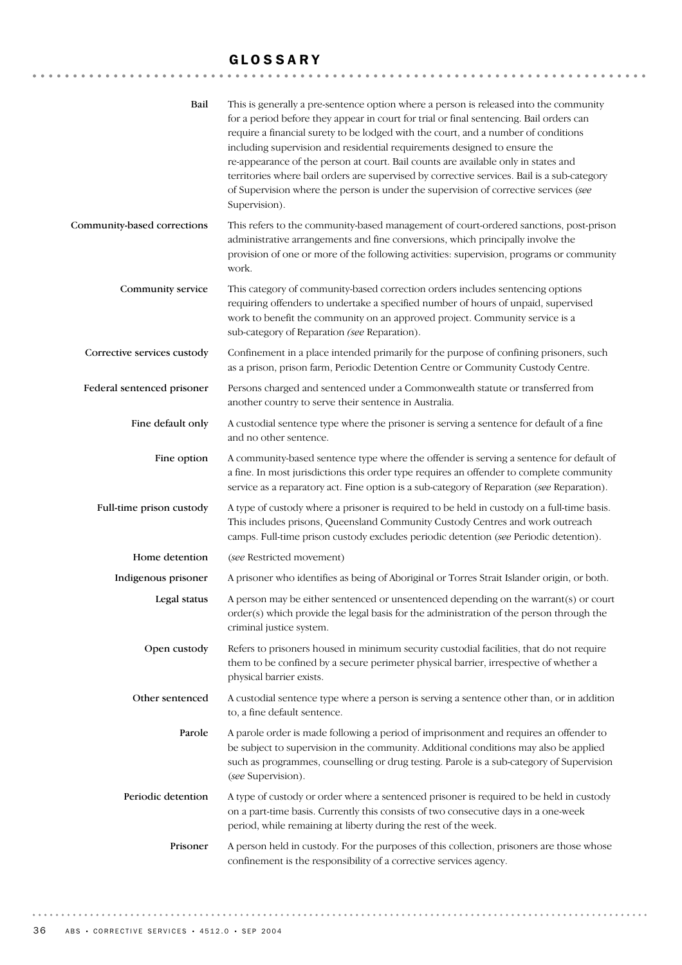#### GLOSSARY

| Bail                        | This is generally a pre-sentence option where a person is released into the community<br>for a period before they appear in court for trial or final sentencing. Bail orders can<br>require a financial surety to be lodged with the court, and a number of conditions<br>including supervision and residential requirements designed to ensure the<br>re-appearance of the person at court. Bail counts are available only in states and<br>territories where bail orders are supervised by corrective services. Bail is a sub-category<br>of Supervision where the person is under the supervision of corrective services (see<br>Supervision). |
|-----------------------------|---------------------------------------------------------------------------------------------------------------------------------------------------------------------------------------------------------------------------------------------------------------------------------------------------------------------------------------------------------------------------------------------------------------------------------------------------------------------------------------------------------------------------------------------------------------------------------------------------------------------------------------------------|
| Community-based corrections | This refers to the community-based management of court-ordered sanctions, post-prison<br>administrative arrangements and fine conversions, which principally involve the<br>provision of one or more of the following activities: supervision, programs or community<br>work.                                                                                                                                                                                                                                                                                                                                                                     |
| Community service           | This category of community-based correction orders includes sentencing options<br>requiring offenders to undertake a specified number of hours of unpaid, supervised<br>work to benefit the community on an approved project. Community service is a<br>sub-category of Reparation (see Reparation).                                                                                                                                                                                                                                                                                                                                              |
| Corrective services custody | Confinement in a place intended primarily for the purpose of confining prisoners, such<br>as a prison, prison farm, Periodic Detention Centre or Community Custody Centre.                                                                                                                                                                                                                                                                                                                                                                                                                                                                        |
| Federal sentenced prisoner  | Persons charged and sentenced under a Commonwealth statute or transferred from<br>another country to serve their sentence in Australia.                                                                                                                                                                                                                                                                                                                                                                                                                                                                                                           |
| Fine default only           | A custodial sentence type where the prisoner is serving a sentence for default of a fine<br>and no other sentence.                                                                                                                                                                                                                                                                                                                                                                                                                                                                                                                                |
| Fine option                 | A community-based sentence type where the offender is serving a sentence for default of<br>a fine. In most jurisdictions this order type requires an offender to complete community<br>service as a reparatory act. Fine option is a sub-category of Reparation (see Reparation).                                                                                                                                                                                                                                                                                                                                                                 |
| Full-time prison custody    | A type of custody where a prisoner is required to be held in custody on a full-time basis.<br>This includes prisons, Queensland Community Custody Centres and work outreach<br>camps. Full-time prison custody excludes periodic detention (see Periodic detention).                                                                                                                                                                                                                                                                                                                                                                              |
| Home detention              | (see Restricted movement)                                                                                                                                                                                                                                                                                                                                                                                                                                                                                                                                                                                                                         |
| Indigenous prisoner         | A prisoner who identifies as being of Aboriginal or Torres Strait Islander origin, or both.                                                                                                                                                                                                                                                                                                                                                                                                                                                                                                                                                       |
| Legal status                | A person may be either sentenced or unsentenced depending on the warrant(s) or court<br>order(s) which provide the legal basis for the administration of the person through the<br>criminal justice system.                                                                                                                                                                                                                                                                                                                                                                                                                                       |
| Open custody                | Refers to prisoners housed in minimum security custodial facilities, that do not require<br>them to be confined by a secure perimeter physical barrier, irrespective of whether a<br>physical barrier exists.                                                                                                                                                                                                                                                                                                                                                                                                                                     |
| Other sentenced             | A custodial sentence type where a person is serving a sentence other than, or in addition<br>to, a fine default sentence.                                                                                                                                                                                                                                                                                                                                                                                                                                                                                                                         |
| Parole                      | A parole order is made following a period of imprisonment and requires an offender to<br>be subject to supervision in the community. Additional conditions may also be applied<br>such as programmes, counselling or drug testing. Parole is a sub-category of Supervision<br>(see Supervision).                                                                                                                                                                                                                                                                                                                                                  |
| Periodic detention          | A type of custody or order where a sentenced prisoner is required to be held in custody<br>on a part-time basis. Currently this consists of two consecutive days in a one-week<br>period, while remaining at liberty during the rest of the week.                                                                                                                                                                                                                                                                                                                                                                                                 |
| Prisoner                    | A person held in custody. For the purposes of this collection, prisoners are those whose<br>confinement is the responsibility of a corrective services agency.                                                                                                                                                                                                                                                                                                                                                                                                                                                                                    |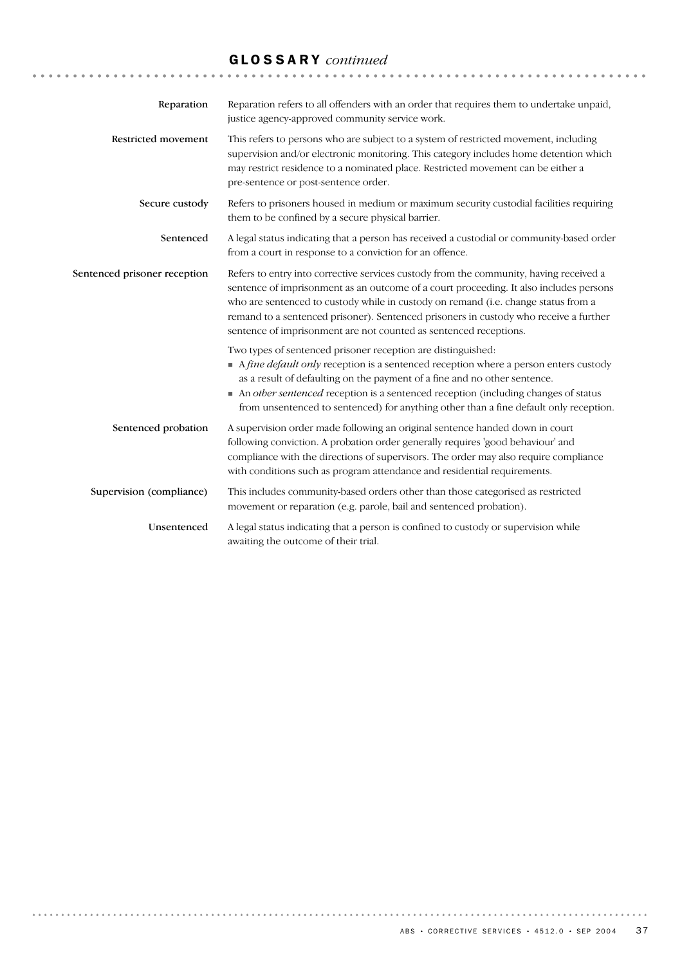# GLOSSARY *continued*

| Reparation                   | Reparation refers to all offenders with an order that requires them to undertake unpaid,<br>justice agency-approved community service work.                                                                                                                                                                                                                                                                                          |
|------------------------------|--------------------------------------------------------------------------------------------------------------------------------------------------------------------------------------------------------------------------------------------------------------------------------------------------------------------------------------------------------------------------------------------------------------------------------------|
| Restricted movement          | This refers to persons who are subject to a system of restricted movement, including<br>supervision and/or electronic monitoring. This category includes home detention which<br>may restrict residence to a nominated place. Restricted movement can be either a<br>pre-sentence or post-sentence order.                                                                                                                            |
| Secure custody               | Refers to prisoners housed in medium or maximum security custodial facilities requiring<br>them to be confined by a secure physical barrier.                                                                                                                                                                                                                                                                                         |
| Sentenced                    | A legal status indicating that a person has received a custodial or community-based order<br>from a court in response to a conviction for an offence.                                                                                                                                                                                                                                                                                |
| Sentenced prisoner reception | Refers to entry into corrective services custody from the community, having received a<br>sentence of imprisonment as an outcome of a court proceeding. It also includes persons<br>who are sentenced to custody while in custody on remand (i.e. change status from a<br>remand to a sentenced prisoner). Sentenced prisoners in custody who receive a further<br>sentence of imprisonment are not counted as sentenced receptions. |
|                              | Two types of sentenced prisoner reception are distinguished:<br>• A fine default only reception is a sentenced reception where a person enters custody<br>as a result of defaulting on the payment of a fine and no other sentence.<br>• An other sentenced reception is a sentenced reception (including changes of status<br>from unsentenced to sentenced) for anything other than a fine default only reception.                 |
| Sentenced probation          | A supervision order made following an original sentence handed down in court<br>following conviction. A probation order generally requires 'good behaviour' and<br>compliance with the directions of supervisors. The order may also require compliance<br>with conditions such as program attendance and residential requirements.                                                                                                  |
| Supervision (compliance)     | This includes community-based orders other than those categorised as restricted<br>movement or reparation (e.g. parole, bail and sentenced probation).                                                                                                                                                                                                                                                                               |
| Unsentenced                  | A legal status indicating that a person is confined to custody or supervision while<br>awaiting the outcome of their trial.                                                                                                                                                                                                                                                                                                          |